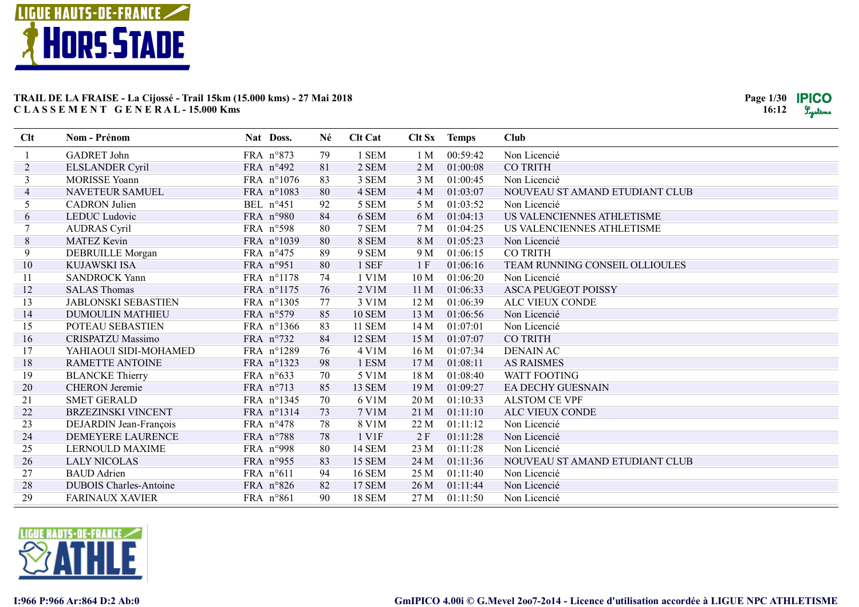

| <b>GADRET</b> John<br>1 SEM<br>00:59:42<br>FRA n°873<br>79<br>1 M<br>Non Licencié<br>2 SEM<br>$\overline{2}$<br>81<br>2 M<br>01:00:08<br><b>CO TRITH</b><br><b>ELSLANDER Cyril</b><br>FRA $n^{\circ}492$<br>83<br>3<br><b>MORISSE Yoann</b><br>FRA n°1076<br>3 SEM<br>3 M<br>01:00:45<br>Non Licencié<br>NAVETEUR SAMUEL<br>FRA n°1083<br>80<br>4 SEM<br>01:03:07<br>NOUVEAU ST AMAND ETUDIANT CLUB<br>$\overline{4}$<br>4 M<br>5<br>92<br>01:03:52<br><b>CADRON</b> Julien<br>BEL n°451<br>5 SEM<br>5 M<br>Non Licencié<br>84<br>6 SEM<br>US VALENCIENNES ATHLETISME<br>6<br>LEDUC Ludovic<br>FRA n°980<br>6 M<br>01:04:13<br>80<br>7 SEM<br>01:04:25<br><b>AUDRAS</b> Cyril<br>FRA n°598<br>7 M<br>US VALENCIENNES ATHLETISME<br>$\,8\,$<br>8 SEM<br>80<br>8 M<br>01:05:23<br><b>MATEZ Kevin</b><br>FRA n°1039<br>Non Licencié<br>9<br>89<br>DEBRUILLE Morgan<br>9 SEM<br>9 M<br>01:06:15<br><b>CO TRITH</b><br>FRA $n^{\circ}475$<br>10<br>80<br>1 SEF<br>1F<br><b>KUJAWSKI ISA</b><br>FRA n°951<br>01:06:16<br>TEAM RUNNING CONSEIL OLLIOULES<br>74<br>FRA n°1178<br>1 V1M<br>10 <sub>M</sub><br>01:06:20<br>Non Licencié<br>11<br><b>SANDROCK Yann</b><br>12<br><b>SALAS Thomas</b><br>FRA n°1175<br>76<br>2 V1M<br>11 <sub>M</sub><br>01:06:33<br><b>ASCA PEUGEOT POISSY</b><br>13<br><b>JABLONSKI SEBASTIEN</b><br>FRA n°1305<br>3 V1M<br>12 M<br>01:06:39<br>ALC VIEUX CONDE<br>77<br>14<br>DUMOULIN MATHIEU<br>FRA n°579<br>85<br><b>10 SEM</b><br>13 M<br>01:06:56<br>Non Licencié<br>15<br>83<br><b>11 SEM</b><br>14M<br>01:07:01<br>POTEAU SEBASTIEN<br>FRA n°1366<br>Non Licencié<br>16<br><b>CRISPATZU Massimo</b><br>84<br>12 SEM<br>01:07:07<br><b>CO TRITH</b><br>FRA n°732<br>15 M<br>76<br>17<br>FRA n°1289<br>4 V1M<br>16 M<br>01:07:34<br><b>DENAIN AC</b><br>YAHIAOUI SIDI-MOHAMED<br>18<br>RAMETTE ANTOINE<br>FRA n°1323<br>98<br>1 ESM<br>17 <sub>M</sub><br>01:08:11<br><b>AS RAISMES</b><br>19<br><b>BLANCKE Thierry</b><br>70<br>5 V1M<br>FRA $n^{\circ}633$<br>18 M<br>01:08:40<br><b>WATT FOOTING</b><br>20<br>13 SEM<br><b>CHERON</b> Jeremie<br>85<br>19 <sub>M</sub><br>01:09:27<br>FRA $n^{\circ}$ 713<br><b>EA DECHY GUESNAIN</b><br>21<br>70<br><b>SMET GERALD</b><br>FRA n°1345<br>6 V1M<br>20 <sub>M</sub><br>01:10:33<br><b>ALSTOM CE VPF</b><br>22<br><b>BRZEZINSKI VINCENT</b><br>FRA n°1314<br>73<br>7 V1M<br>21 M<br>01:11:10<br>ALC VIEUX CONDE<br>23<br>78<br>8 V1M<br>01:11:12<br>DEJARDIN Jean-François<br>FRA $n^{\circ}478$<br>22 M<br>Non Licencié<br>24<br><b>DEMEYERE LAURENCE</b><br>78<br>1 V1F<br>2F<br>01:11:28<br>FRA n°788<br>Non Licencié<br>25<br>80<br>14 SEM<br>23 M<br>01:11:28<br><b>LERNOULD MAXIME</b><br>FRA n°998<br>Non Licencié<br>26<br>83<br>15 SEM<br>24 M<br>01:11:36<br>NOUVEAU ST AMAND ETUDIANT CLUB<br><b>LALY NICOLAS</b><br>FRA n°955<br>27<br>94<br><b>BAUD</b> Adrien<br>FRA n°611<br><b>16 SEM</b><br>25 M<br>01:11:40<br>Non Licencié<br>28<br><b>17 SEM</b><br><b>DUBOIS Charles-Antoine</b><br>FRA n°826<br>82<br>26 M<br>01:11:44<br>Non Licencié<br>29<br>90<br><b>18 SEM</b><br>27 M<br>01:11:50<br><b>FARINAUX XAVIER</b><br>$FRA$ n°861<br>Non Licencié | Clt | Nom - Prénom | Nat Doss. | Né | <b>Clt Cat</b> | Clt Sx Temps | <b>Club</b> |
|---------------------------------------------------------------------------------------------------------------------------------------------------------------------------------------------------------------------------------------------------------------------------------------------------------------------------------------------------------------------------------------------------------------------------------------------------------------------------------------------------------------------------------------------------------------------------------------------------------------------------------------------------------------------------------------------------------------------------------------------------------------------------------------------------------------------------------------------------------------------------------------------------------------------------------------------------------------------------------------------------------------------------------------------------------------------------------------------------------------------------------------------------------------------------------------------------------------------------------------------------------------------------------------------------------------------------------------------------------------------------------------------------------------------------------------------------------------------------------------------------------------------------------------------------------------------------------------------------------------------------------------------------------------------------------------------------------------------------------------------------------------------------------------------------------------------------------------------------------------------------------------------------------------------------------------------------------------------------------------------------------------------------------------------------------------------------------------------------------------------------------------------------------------------------------------------------------------------------------------------------------------------------------------------------------------------------------------------------------------------------------------------------------------------------------------------------------------------------------------------------------------------------------------------------------------------------------------------------------------------------------------------------------------------------------------------------------------------------------------------------------------------------------------------------------------------------------------------------------------------------------------------------------------------------------------------------------------------------------------------------------------------------------------------------------------------------------------------------------------------------------------------------|-----|--------------|-----------|----|----------------|--------------|-------------|
|                                                                                                                                                                                                                                                                                                                                                                                                                                                                                                                                                                                                                                                                                                                                                                                                                                                                                                                                                                                                                                                                                                                                                                                                                                                                                                                                                                                                                                                                                                                                                                                                                                                                                                                                                                                                                                                                                                                                                                                                                                                                                                                                                                                                                                                                                                                                                                                                                                                                                                                                                                                                                                                                                                                                                                                                                                                                                                                                                                                                                                                                                                                                                   |     |              |           |    |                |              |             |
|                                                                                                                                                                                                                                                                                                                                                                                                                                                                                                                                                                                                                                                                                                                                                                                                                                                                                                                                                                                                                                                                                                                                                                                                                                                                                                                                                                                                                                                                                                                                                                                                                                                                                                                                                                                                                                                                                                                                                                                                                                                                                                                                                                                                                                                                                                                                                                                                                                                                                                                                                                                                                                                                                                                                                                                                                                                                                                                                                                                                                                                                                                                                                   |     |              |           |    |                |              |             |
|                                                                                                                                                                                                                                                                                                                                                                                                                                                                                                                                                                                                                                                                                                                                                                                                                                                                                                                                                                                                                                                                                                                                                                                                                                                                                                                                                                                                                                                                                                                                                                                                                                                                                                                                                                                                                                                                                                                                                                                                                                                                                                                                                                                                                                                                                                                                                                                                                                                                                                                                                                                                                                                                                                                                                                                                                                                                                                                                                                                                                                                                                                                                                   |     |              |           |    |                |              |             |
|                                                                                                                                                                                                                                                                                                                                                                                                                                                                                                                                                                                                                                                                                                                                                                                                                                                                                                                                                                                                                                                                                                                                                                                                                                                                                                                                                                                                                                                                                                                                                                                                                                                                                                                                                                                                                                                                                                                                                                                                                                                                                                                                                                                                                                                                                                                                                                                                                                                                                                                                                                                                                                                                                                                                                                                                                                                                                                                                                                                                                                                                                                                                                   |     |              |           |    |                |              |             |
|                                                                                                                                                                                                                                                                                                                                                                                                                                                                                                                                                                                                                                                                                                                                                                                                                                                                                                                                                                                                                                                                                                                                                                                                                                                                                                                                                                                                                                                                                                                                                                                                                                                                                                                                                                                                                                                                                                                                                                                                                                                                                                                                                                                                                                                                                                                                                                                                                                                                                                                                                                                                                                                                                                                                                                                                                                                                                                                                                                                                                                                                                                                                                   |     |              |           |    |                |              |             |
|                                                                                                                                                                                                                                                                                                                                                                                                                                                                                                                                                                                                                                                                                                                                                                                                                                                                                                                                                                                                                                                                                                                                                                                                                                                                                                                                                                                                                                                                                                                                                                                                                                                                                                                                                                                                                                                                                                                                                                                                                                                                                                                                                                                                                                                                                                                                                                                                                                                                                                                                                                                                                                                                                                                                                                                                                                                                                                                                                                                                                                                                                                                                                   |     |              |           |    |                |              |             |
|                                                                                                                                                                                                                                                                                                                                                                                                                                                                                                                                                                                                                                                                                                                                                                                                                                                                                                                                                                                                                                                                                                                                                                                                                                                                                                                                                                                                                                                                                                                                                                                                                                                                                                                                                                                                                                                                                                                                                                                                                                                                                                                                                                                                                                                                                                                                                                                                                                                                                                                                                                                                                                                                                                                                                                                                                                                                                                                                                                                                                                                                                                                                                   |     |              |           |    |                |              |             |
|                                                                                                                                                                                                                                                                                                                                                                                                                                                                                                                                                                                                                                                                                                                                                                                                                                                                                                                                                                                                                                                                                                                                                                                                                                                                                                                                                                                                                                                                                                                                                                                                                                                                                                                                                                                                                                                                                                                                                                                                                                                                                                                                                                                                                                                                                                                                                                                                                                                                                                                                                                                                                                                                                                                                                                                                                                                                                                                                                                                                                                                                                                                                                   |     |              |           |    |                |              |             |
|                                                                                                                                                                                                                                                                                                                                                                                                                                                                                                                                                                                                                                                                                                                                                                                                                                                                                                                                                                                                                                                                                                                                                                                                                                                                                                                                                                                                                                                                                                                                                                                                                                                                                                                                                                                                                                                                                                                                                                                                                                                                                                                                                                                                                                                                                                                                                                                                                                                                                                                                                                                                                                                                                                                                                                                                                                                                                                                                                                                                                                                                                                                                                   |     |              |           |    |                |              |             |
|                                                                                                                                                                                                                                                                                                                                                                                                                                                                                                                                                                                                                                                                                                                                                                                                                                                                                                                                                                                                                                                                                                                                                                                                                                                                                                                                                                                                                                                                                                                                                                                                                                                                                                                                                                                                                                                                                                                                                                                                                                                                                                                                                                                                                                                                                                                                                                                                                                                                                                                                                                                                                                                                                                                                                                                                                                                                                                                                                                                                                                                                                                                                                   |     |              |           |    |                |              |             |
|                                                                                                                                                                                                                                                                                                                                                                                                                                                                                                                                                                                                                                                                                                                                                                                                                                                                                                                                                                                                                                                                                                                                                                                                                                                                                                                                                                                                                                                                                                                                                                                                                                                                                                                                                                                                                                                                                                                                                                                                                                                                                                                                                                                                                                                                                                                                                                                                                                                                                                                                                                                                                                                                                                                                                                                                                                                                                                                                                                                                                                                                                                                                                   |     |              |           |    |                |              |             |
|                                                                                                                                                                                                                                                                                                                                                                                                                                                                                                                                                                                                                                                                                                                                                                                                                                                                                                                                                                                                                                                                                                                                                                                                                                                                                                                                                                                                                                                                                                                                                                                                                                                                                                                                                                                                                                                                                                                                                                                                                                                                                                                                                                                                                                                                                                                                                                                                                                                                                                                                                                                                                                                                                                                                                                                                                                                                                                                                                                                                                                                                                                                                                   |     |              |           |    |                |              |             |
|                                                                                                                                                                                                                                                                                                                                                                                                                                                                                                                                                                                                                                                                                                                                                                                                                                                                                                                                                                                                                                                                                                                                                                                                                                                                                                                                                                                                                                                                                                                                                                                                                                                                                                                                                                                                                                                                                                                                                                                                                                                                                                                                                                                                                                                                                                                                                                                                                                                                                                                                                                                                                                                                                                                                                                                                                                                                                                                                                                                                                                                                                                                                                   |     |              |           |    |                |              |             |
|                                                                                                                                                                                                                                                                                                                                                                                                                                                                                                                                                                                                                                                                                                                                                                                                                                                                                                                                                                                                                                                                                                                                                                                                                                                                                                                                                                                                                                                                                                                                                                                                                                                                                                                                                                                                                                                                                                                                                                                                                                                                                                                                                                                                                                                                                                                                                                                                                                                                                                                                                                                                                                                                                                                                                                                                                                                                                                                                                                                                                                                                                                                                                   |     |              |           |    |                |              |             |
|                                                                                                                                                                                                                                                                                                                                                                                                                                                                                                                                                                                                                                                                                                                                                                                                                                                                                                                                                                                                                                                                                                                                                                                                                                                                                                                                                                                                                                                                                                                                                                                                                                                                                                                                                                                                                                                                                                                                                                                                                                                                                                                                                                                                                                                                                                                                                                                                                                                                                                                                                                                                                                                                                                                                                                                                                                                                                                                                                                                                                                                                                                                                                   |     |              |           |    |                |              |             |
|                                                                                                                                                                                                                                                                                                                                                                                                                                                                                                                                                                                                                                                                                                                                                                                                                                                                                                                                                                                                                                                                                                                                                                                                                                                                                                                                                                                                                                                                                                                                                                                                                                                                                                                                                                                                                                                                                                                                                                                                                                                                                                                                                                                                                                                                                                                                                                                                                                                                                                                                                                                                                                                                                                                                                                                                                                                                                                                                                                                                                                                                                                                                                   |     |              |           |    |                |              |             |
|                                                                                                                                                                                                                                                                                                                                                                                                                                                                                                                                                                                                                                                                                                                                                                                                                                                                                                                                                                                                                                                                                                                                                                                                                                                                                                                                                                                                                                                                                                                                                                                                                                                                                                                                                                                                                                                                                                                                                                                                                                                                                                                                                                                                                                                                                                                                                                                                                                                                                                                                                                                                                                                                                                                                                                                                                                                                                                                                                                                                                                                                                                                                                   |     |              |           |    |                |              |             |
|                                                                                                                                                                                                                                                                                                                                                                                                                                                                                                                                                                                                                                                                                                                                                                                                                                                                                                                                                                                                                                                                                                                                                                                                                                                                                                                                                                                                                                                                                                                                                                                                                                                                                                                                                                                                                                                                                                                                                                                                                                                                                                                                                                                                                                                                                                                                                                                                                                                                                                                                                                                                                                                                                                                                                                                                                                                                                                                                                                                                                                                                                                                                                   |     |              |           |    |                |              |             |
|                                                                                                                                                                                                                                                                                                                                                                                                                                                                                                                                                                                                                                                                                                                                                                                                                                                                                                                                                                                                                                                                                                                                                                                                                                                                                                                                                                                                                                                                                                                                                                                                                                                                                                                                                                                                                                                                                                                                                                                                                                                                                                                                                                                                                                                                                                                                                                                                                                                                                                                                                                                                                                                                                                                                                                                                                                                                                                                                                                                                                                                                                                                                                   |     |              |           |    |                |              |             |
|                                                                                                                                                                                                                                                                                                                                                                                                                                                                                                                                                                                                                                                                                                                                                                                                                                                                                                                                                                                                                                                                                                                                                                                                                                                                                                                                                                                                                                                                                                                                                                                                                                                                                                                                                                                                                                                                                                                                                                                                                                                                                                                                                                                                                                                                                                                                                                                                                                                                                                                                                                                                                                                                                                                                                                                                                                                                                                                                                                                                                                                                                                                                                   |     |              |           |    |                |              |             |
|                                                                                                                                                                                                                                                                                                                                                                                                                                                                                                                                                                                                                                                                                                                                                                                                                                                                                                                                                                                                                                                                                                                                                                                                                                                                                                                                                                                                                                                                                                                                                                                                                                                                                                                                                                                                                                                                                                                                                                                                                                                                                                                                                                                                                                                                                                                                                                                                                                                                                                                                                                                                                                                                                                                                                                                                                                                                                                                                                                                                                                                                                                                                                   |     |              |           |    |                |              |             |
|                                                                                                                                                                                                                                                                                                                                                                                                                                                                                                                                                                                                                                                                                                                                                                                                                                                                                                                                                                                                                                                                                                                                                                                                                                                                                                                                                                                                                                                                                                                                                                                                                                                                                                                                                                                                                                                                                                                                                                                                                                                                                                                                                                                                                                                                                                                                                                                                                                                                                                                                                                                                                                                                                                                                                                                                                                                                                                                                                                                                                                                                                                                                                   |     |              |           |    |                |              |             |
|                                                                                                                                                                                                                                                                                                                                                                                                                                                                                                                                                                                                                                                                                                                                                                                                                                                                                                                                                                                                                                                                                                                                                                                                                                                                                                                                                                                                                                                                                                                                                                                                                                                                                                                                                                                                                                                                                                                                                                                                                                                                                                                                                                                                                                                                                                                                                                                                                                                                                                                                                                                                                                                                                                                                                                                                                                                                                                                                                                                                                                                                                                                                                   |     |              |           |    |                |              |             |
|                                                                                                                                                                                                                                                                                                                                                                                                                                                                                                                                                                                                                                                                                                                                                                                                                                                                                                                                                                                                                                                                                                                                                                                                                                                                                                                                                                                                                                                                                                                                                                                                                                                                                                                                                                                                                                                                                                                                                                                                                                                                                                                                                                                                                                                                                                                                                                                                                                                                                                                                                                                                                                                                                                                                                                                                                                                                                                                                                                                                                                                                                                                                                   |     |              |           |    |                |              |             |
|                                                                                                                                                                                                                                                                                                                                                                                                                                                                                                                                                                                                                                                                                                                                                                                                                                                                                                                                                                                                                                                                                                                                                                                                                                                                                                                                                                                                                                                                                                                                                                                                                                                                                                                                                                                                                                                                                                                                                                                                                                                                                                                                                                                                                                                                                                                                                                                                                                                                                                                                                                                                                                                                                                                                                                                                                                                                                                                                                                                                                                                                                                                                                   |     |              |           |    |                |              |             |
|                                                                                                                                                                                                                                                                                                                                                                                                                                                                                                                                                                                                                                                                                                                                                                                                                                                                                                                                                                                                                                                                                                                                                                                                                                                                                                                                                                                                                                                                                                                                                                                                                                                                                                                                                                                                                                                                                                                                                                                                                                                                                                                                                                                                                                                                                                                                                                                                                                                                                                                                                                                                                                                                                                                                                                                                                                                                                                                                                                                                                                                                                                                                                   |     |              |           |    |                |              |             |
|                                                                                                                                                                                                                                                                                                                                                                                                                                                                                                                                                                                                                                                                                                                                                                                                                                                                                                                                                                                                                                                                                                                                                                                                                                                                                                                                                                                                                                                                                                                                                                                                                                                                                                                                                                                                                                                                                                                                                                                                                                                                                                                                                                                                                                                                                                                                                                                                                                                                                                                                                                                                                                                                                                                                                                                                                                                                                                                                                                                                                                                                                                                                                   |     |              |           |    |                |              |             |
|                                                                                                                                                                                                                                                                                                                                                                                                                                                                                                                                                                                                                                                                                                                                                                                                                                                                                                                                                                                                                                                                                                                                                                                                                                                                                                                                                                                                                                                                                                                                                                                                                                                                                                                                                                                                                                                                                                                                                                                                                                                                                                                                                                                                                                                                                                                                                                                                                                                                                                                                                                                                                                                                                                                                                                                                                                                                                                                                                                                                                                                                                                                                                   |     |              |           |    |                |              |             |
|                                                                                                                                                                                                                                                                                                                                                                                                                                                                                                                                                                                                                                                                                                                                                                                                                                                                                                                                                                                                                                                                                                                                                                                                                                                                                                                                                                                                                                                                                                                                                                                                                                                                                                                                                                                                                                                                                                                                                                                                                                                                                                                                                                                                                                                                                                                                                                                                                                                                                                                                                                                                                                                                                                                                                                                                                                                                                                                                                                                                                                                                                                                                                   |     |              |           |    |                |              |             |

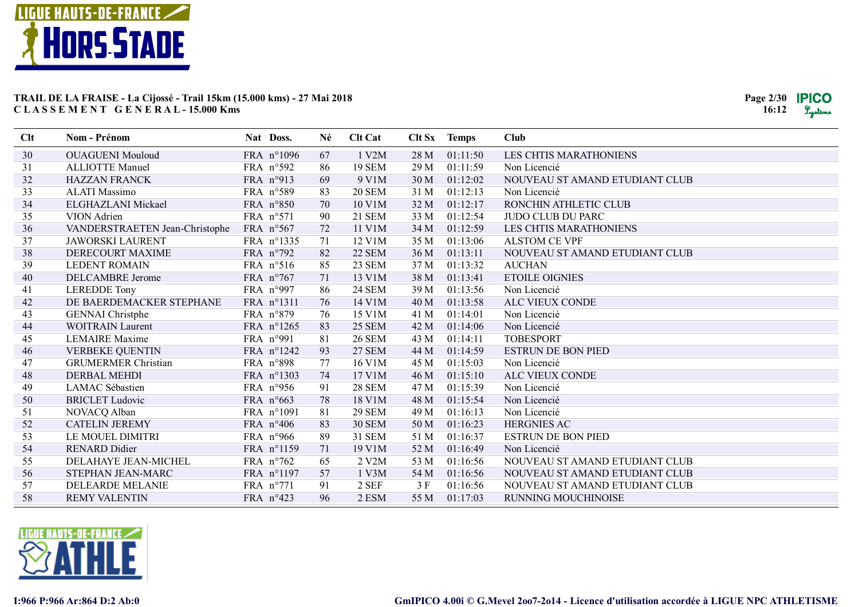

| Clt | Nom - Prénom                   | Nat Doss.           |                    | Né | <b>Clt Cat</b> |      | Clt Sx Temps | Club                           |
|-----|--------------------------------|---------------------|--------------------|----|----------------|------|--------------|--------------------------------|
| 30  | <b>OUAGUENI Mouloud</b>        |                     | FRA n°1096         | 67 | 1 V2M          | 28 M | 01:11:50     | LES CHTIS MARATHONIENS         |
| 31  | <b>ALLIOTTE Manuel</b>         |                     | FRA n°592          | 86 | <b>19 SEM</b>  | 29 M | 01:11:59     | Non Licencié                   |
| 32  | <b>HAZZAN FRANCK</b>           | FRA n°913           |                    | 69 | 9 V1M          | 30 M | 01:12:02     | NOUVEAU ST AMAND ETUDIANT CLUB |
| 33  | <b>ALATI Massimo</b>           |                     | FRA n°589          | 83 | <b>20 SEM</b>  | 31 M | 01:12:13     | Non Licencié                   |
| 34  | ELGHAZLANI Mickael             |                     | FRA n°850          | 70 | 10 V1M         | 32 M | 01:12:17     | RONCHIN ATHLETIC CLUB          |
| 35  | VION Adrien                    | FRA n°571           |                    | 90 | <b>21 SEM</b>  | 33 M | 01:12:54     | JUDO CLUB DU PARC              |
| 36  | VANDERSTRAETEN Jean-Christophe | FRA $n°567$         |                    | 72 | 11 V1M         | 34 M | 01:12:59     | <b>LES CHTIS MARATHONIENS</b>  |
| 37  | <b>JAWORSKI LAURENT</b>        |                     | FRA n°1335         | 71 | 12 V1M         | 35 M | 01:13:06     | <b>ALSTOM CE VPF</b>           |
| 38  | DERECOURT MAXIME               |                     | FRA $n°792$        | 82 | 22 SEM         | 36 M | 01:13:11     | NOUVEAU ST AMAND ETUDIANT CLUB |
| 39  | <b>LEDENT ROMAIN</b>           |                     | FRA n°516          | 85 | 23 SEM         | 37 M | 01:13:32     | <b>AUCHAN</b>                  |
| 40  | DELCAMBRE Jerome               | FRA n°767           |                    | 71 | 13 V1M         | 38 M | 01:13:41     | <b>ETOILE OIGNIES</b>          |
| 41  | <b>LEREDDE Tony</b>            |                     | FRA n°997          | 86 | <b>24 SEM</b>  | 39 M | 01:13:56     | Non Licencié                   |
| 42  | DE BAERDEMACKER STEPHANE       |                     | FRA n°1311         | 76 | 14 V1M         | 40 M | 01:13:58     | ALC VIEUX CONDE                |
| 43  | <b>GENNAI</b> Christphe        |                     | FRA n°879          | 76 | 15 V1M         | 41 M | 01:14:01     | Non Licencié                   |
| 44  | <b>WOITRAIN Laurent</b>        |                     | FRA n°1265         | 83 | <b>25 SEM</b>  | 42 M | 01:14:06     | Non Licencié                   |
| 45  | <b>LEMAIRE</b> Maxime          | FRA n°991           |                    | 81 | <b>26 SEM</b>  | 43 M | 01:14:11     | <b>TOBESPORT</b>               |
| 46  | <b>VERBEKE QUENTIN</b>         |                     | FRA n°1242         | 93 | <b>27 SEM</b>  | 44 M | 01:14:59     | <b>ESTRUN DE BON PIED</b>      |
| 47  | <b>GRUMERMER Christian</b>     |                     | FRA n°898          | 77 | 16 V1M         | 45 M | 01:15:03     | Non Licencié                   |
| 48  | <b>DERBAL MEHDI</b>            |                     | FRA n°1303         | 74 | 17 V1M         | 46 M | 01:15:10     | ALC VIEUX CONDE                |
| 49  | LAMAC Sébastien                |                     | FRA n°956          | 91 | <b>28 SEM</b>  | 47 M | 01:15:39     | Non Licencié                   |
| 50  | <b>BRICLET</b> Ludovic         | FRA n°663           |                    | 78 | 18 V1M         | 48 M | 01:15:54     | Non Licencié                   |
| 51  | NOVACQ Alban                   |                     | FRA n°1091         | 81 | <b>29 SEM</b>  | 49 M | 01:16:13     | Non Licencié                   |
| 52  | <b>CATELIN JEREMY</b>          |                     | FRA $n^{\circ}406$ | 83 | <b>30 SEM</b>  | 50 M | 01:16:23     | <b>HERGNIES AC</b>             |
| 53  | LE MOUEL DIMITRI               |                     | FRA $n°966$        | 89 | <b>31 SEM</b>  | 51 M | 01:16:37     | <b>ESTRUN DE BON PIED</b>      |
| 54  | <b>RENARD Didier</b>           |                     | FRA n°1159         | 71 | 19 V1M         | 52 M | 01:16:49     | Non Licencié                   |
| 55  | DELAHAYE JEAN-MICHEL           | FRA $n^{\circ}$ 762 |                    | 65 | 2 V2M          | 53 M | 01:16:56     | NOUVEAU ST AMAND ETUDIANT CLUB |
| 56  | STEPHAN JEAN-MARC              |                     | FRA n°1197         | 57 | 1 V3M          | 54 M | 01:16:56     | NOUVEAU ST AMAND ETUDIANT CLUB |
| 57  | DELEARDE MELANIE               | FRA n°771           |                    | 91 | 2 SEF          | 3 F  | 01:16:56     | NOUVEAU ST AMAND ETUDIANT CLUB |
| 58  | <b>REMY VALENTIN</b>           | FRA n°423           |                    | 96 | 2 ESM          | 55 M | 01:17:03     | RUNNING MOUCHINOISE            |

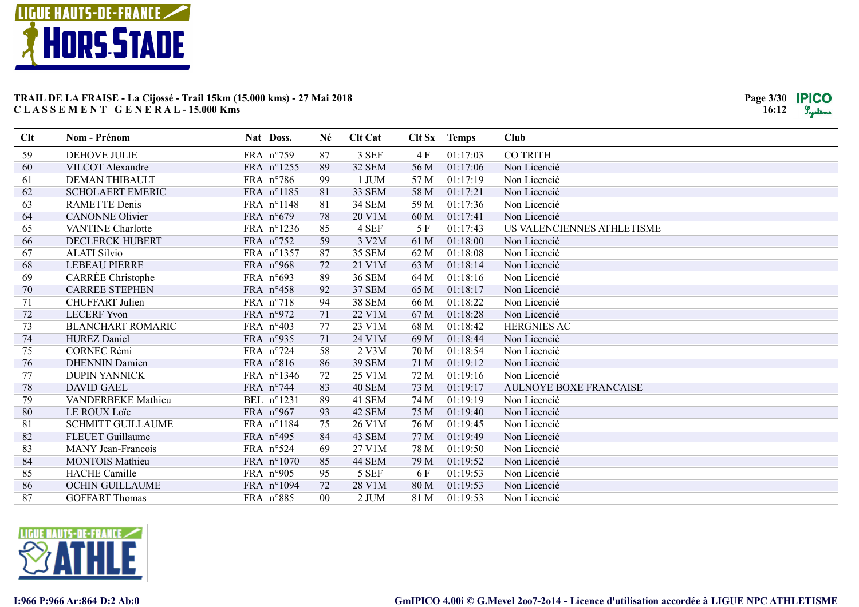

| Clt | Nom - Prénom             | Nat Doss.          | Né     | <b>Clt Cat</b> |      | Clt Sx Temps | <b>Club</b>                   |
|-----|--------------------------|--------------------|--------|----------------|------|--------------|-------------------------------|
| 59  | DEHOVE JULIE             | FRA n°759          | 87     | 3 SEF          | 4 F  | 01:17:03     | <b>CO TRITH</b>               |
| 60  | VILCOT Alexandre         | FRA n°1255         | 89     | <b>32 SEM</b>  | 56 M | 01:17:06     | Non Licencié                  |
| 61  | DEMAN THIBAULT           | FRA $n^{\circ}786$ | 99     | 1 JUM          | 57 M | 01:17:19     | Non Licencié                  |
| 62  | <b>SCHOLAERT EMERIC</b>  | FRA n°1185         | 81     | 33 SEM         | 58 M | 01:17:21     | Non Licencié                  |
| 63  | <b>RAMETTE</b> Denis     | FRA n°1148         | 81     | <b>34 SEM</b>  | 59 M | 01:17:36     | Non Licencié                  |
| 64  | <b>CANONNE</b> Olivier   | FRA n°679          | 78     | 20 V1M         | 60 M | 01:17:41     | Non Licencié                  |
| 65  | <b>VANTINE Charlotte</b> | FRA n°1236         | 85     | 4 SEF          | 5F   | 01:17:43     | US VALENCIENNES ATHLETISME    |
| 66  | <b>DECLERCK HUBERT</b>   | FRA n°752          | 59     | 3 V2M          | 61 M | 01:18:00     | Non Licencié                  |
| 67  | <b>ALATI Silvio</b>      | FRA n°1357         | 87     | <b>35 SEM</b>  | 62 M | 01:18:08     | Non Licencié                  |
| 68  | <b>LEBEAU PIERRE</b>     | FRA n°968          | 72     | 21 V1M         | 63 M | 01:18:14     | Non Licencié                  |
| 69  | CARRÉE Christophe        | FRA n°693          | 89     | <b>36 SEM</b>  | 64 M | 01:18:16     | Non Licencié                  |
| 70  | <b>CARREE STEPHEN</b>    | FRA $n^{\circ}458$ | 92     | <b>37 SEM</b>  | 65 M | 01:18:17     | Non Licencié                  |
| 71  | <b>CHUFFART</b> Julien   | FRA n°718          | 94     | <b>38 SEM</b>  | 66 M | 01:18:22     | Non Licencié                  |
| 72  | <b>LECERF Yvon</b>       | FRA n°972          | 71     | 22 V1M         | 67 M | 01:18:28     | Non Licencié                  |
| 73  | <b>BLANCHART ROMARIC</b> | FRA n°403          | 77     | 23 V1M         | 68 M | 01:18:42     | <b>HERGNIES AC</b>            |
| 74  | <b>HUREZ</b> Daniel      | FRA n°935          | 71     | 24 V1M         | 69 M | 01:18:44     | Non Licencié                  |
| 75  | <b>CORNEC Rémi</b>       | FRA n°724          | 58     | $2$ V $3M$     | 70 M | 01:18:54     | Non Licencié                  |
| 76  | <b>DHENNIN Damien</b>    | FRA n°816          | 86     | <b>39 SEM</b>  | 71 M | 01:19:12     | Non Licencié                  |
| 77  | <b>DUPIN YANNICK</b>     | FRA n°1346         | 72     | 25 V1M         | 72 M | 01:19:16     | Non Licencié                  |
| 78  | <b>DAVID GAEL</b>        | FRA n°744          | 83     | 40 SEM         | 73 M | 01:19:17     | <b>AULNOYE BOXE FRANCAISE</b> |
| 79  | VANDERBEKE Mathieu       | BEL n°1231         | 89     | 41 SEM         | 74 M | 01:19:19     | Non Licencié                  |
| 80  | <b>LE ROUX Loïc</b>      | FRA n°967          | 93     | 42 SEM         | 75 M | 01:19:40     | Non Licencié                  |
| 81  | <b>SCHMITT GUILLAUME</b> | FRA n°1184         | 75     | 26 V1M         | 76 M | 01:19:45     | Non Licencié                  |
| 82  | <b>FLEUET Guillaume</b>  | FRA n°495          | 84     | 43 SEM         | 77 M | 01:19:49     | Non Licencié                  |
| 83  | MANY Jean-Francois       | FRA n°524          | 69     | 27 V1M         | 78 M | 01:19:50     | Non Licencié                  |
| 84  | <b>MONTOIS Mathieu</b>   | FRA n°1070         | 85     | 44 SEM         | 79 M | 01:19:52     | Non Licencié                  |
| 85  | <b>HACHE</b> Camille     | FRA n°905          | 95     | 5 SEF          | 6 F  | 01:19:53     | Non Licencié                  |
| 86  | <b>OCHIN GUILLAUME</b>   | FRA n°1094         | 72     | 28 V1M         | 80 M | 01:19:53     | Non Licencié                  |
| 87  | <b>GOFFART Thomas</b>    | FRA n°885          | $00\,$ | 2 JUM          | 81 M | 01:19:53     | Non Licencié                  |

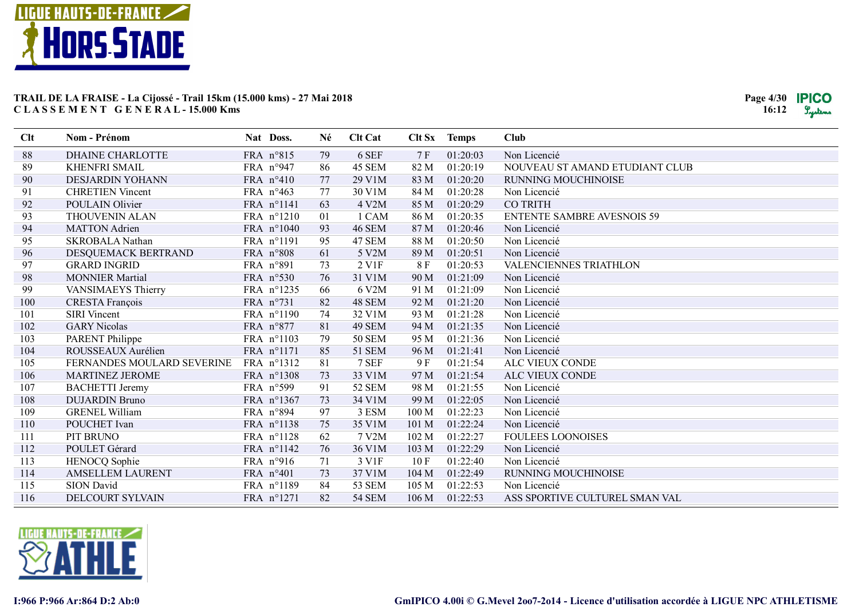

| Clt | <b>Nom - Prénom</b>        | Nat Doss.          | Né | <b>Clt Cat</b>         |                  | Clt Sx Temps | <b>Club</b>                       |
|-----|----------------------------|--------------------|----|------------------------|------------------|--------------|-----------------------------------|
| 88  | <b>DHAINE CHARLOTTE</b>    | FRA n°815          | 79 | 6 SEF                  | 7F               | 01:20:03     | Non Licencié                      |
| 89  | <b>KHENFRI SMAIL</b>       | FRA n°947          | 86 | 45 SEM                 | 82 M             | 01:20:19     | NOUVEAU ST AMAND ETUDIANT CLUB    |
| 90  | DESJARDIN YOHANN           | FRA n°410          | 77 | 29 V1M                 | 83 M             | 01:20:20     | RUNNING MOUCHINOISE               |
| 91  | <b>CHRETIEN Vincent</b>    | FRA $n^{\circ}463$ | 77 | 30 V1M                 | 84 M             | 01:20:28     | Non Licencié                      |
| 92  | POULAIN Olivier            | FRA n°1141         | 63 | 4 V2M                  | 85 M             | 01:20:29     | <b>CO TRITH</b>                   |
| 93  | <b>THOUVENIN ALAN</b>      | FRA n°1210         | 01 | 1 CAM                  | 86 M             | 01:20:35     | <b>ENTENTE SAMBRE AVESNOIS 59</b> |
| 94  | <b>MATTON</b> Adrien       | FRA n°1040         | 93 | <b>46 SEM</b>          | 87 M             | 01:20:46     | Non Licencié                      |
| 95  | <b>SKROBALA Nathan</b>     | FRA n°1191         | 95 | 47 SEM                 | 88 M             | 01:20:50     | Non Licencié                      |
| 96  | DESQUEMACK BERTRAND        | FRA n°808          | 61 | 5 V2M                  | 89 M             | 01:20:51     | Non Licencié                      |
| 97  | <b>GRARD INGRID</b>        | FRA n°891          | 73 | $2$ V <sub>1</sub> $F$ | 8F               | 01:20:53     | VALENCIENNES TRIATHLON            |
| 98  | <b>MONNIER Martial</b>     | FRA n°530          | 76 | 31 V1M                 | 90 M             | 01:21:09     | Non Licencié                      |
| 99  | VANSIMAEYS Thierry         | FRA n°1235         | 66 | 6 V2M                  | 91 M             | 01:21:09     | Non Licencié                      |
| 100 | <b>CRESTA François</b>     | FRA n°731          | 82 | 48 SEM                 | 92 M             | 01:21:20     | Non Licencié                      |
| 101 | <b>SIRI</b> Vincent        | FRA n°1190         | 74 | 32 V1M                 | 93 M             | 01:21:28     | Non Licencié                      |
| 102 | <b>GARY Nicolas</b>        | FRA n°877          | 81 | 49 SEM                 | 94 M             | 01:21:35     | Non Licencié                      |
| 103 | <b>PARENT Philippe</b>     | FRA n°1103         | 79 | <b>50 SEM</b>          | 95 M             | 01:21:36     | Non Licencié                      |
| 104 | ROUSSEAUX Aurélien         | FRA n°1171         | 85 | <b>51 SEM</b>          | 96 M             | 01:21:41     | Non Licencié                      |
| 105 | FERNANDES MOULARD SEVERINE | FRA n°1312         | 81 | 7 SEF                  | 9 F              | 01:21:54     | ALC VIEUX CONDE                   |
| 106 | <b>MARTINEZ JEROME</b>     | FRA n°1308         | 73 | 33 V1M                 | 97 M             | 01:21:54     | ALC VIEUX CONDE                   |
| 107 | <b>BACHETTI</b> Jeremy     | FRA n°599          | 91 | <b>52 SEM</b>          | 98 M             | 01:21:55     | Non Licencié                      |
| 108 | <b>DUJARDIN Bruno</b>      | FRA n°1367         | 73 | 34 V1M                 | 99 M             | 01:22:05     | Non Licencié                      |
| 109 | <b>GRENEL William</b>      | FRA n°894          | 97 | 3 ESM                  | 100 M            | 01:22:23     | Non Licencié                      |
| 110 | POUCHET Ivan               | FRA n°1138         | 75 | 35 V1M                 | 101 M            | 01:22:24     | Non Licencié                      |
| 111 | PIT BRUNO                  | FRA n°1128         | 62 | 7 V2M                  | 102 M            | 01:22:27     | <b>FOULEES LOONOISES</b>          |
| 112 | POULET Gérard              | FRA n°1142         | 76 | 36 V1M                 | 103 M            | 01:22:29     | Non Licencié                      |
| 113 | HENOCQ Sophie              | FRA $n°916$        | 71 | 3 V1F                  | 10F              | 01:22:40     | Non Licencié                      |
| 114 | <b>AMSELLEM LAURENT</b>    | FRA n°401          | 73 | 37 V1M                 | 104 M            | 01:22:49     | RUNNING MOUCHINOISE               |
| 115 | SION David                 | FRA n°1189         | 84 | <b>53 SEM</b>          | 105 M            | 01:22:53     | Non Licencié                      |
| 116 | <b>DELCOURT SYLVAIN</b>    | FRA n°1271         | 82 | <b>54 SEM</b>          | 106 <sub>M</sub> | 01:22:53     | ASS SPORTIVE CULTUREL SMAN VAL    |

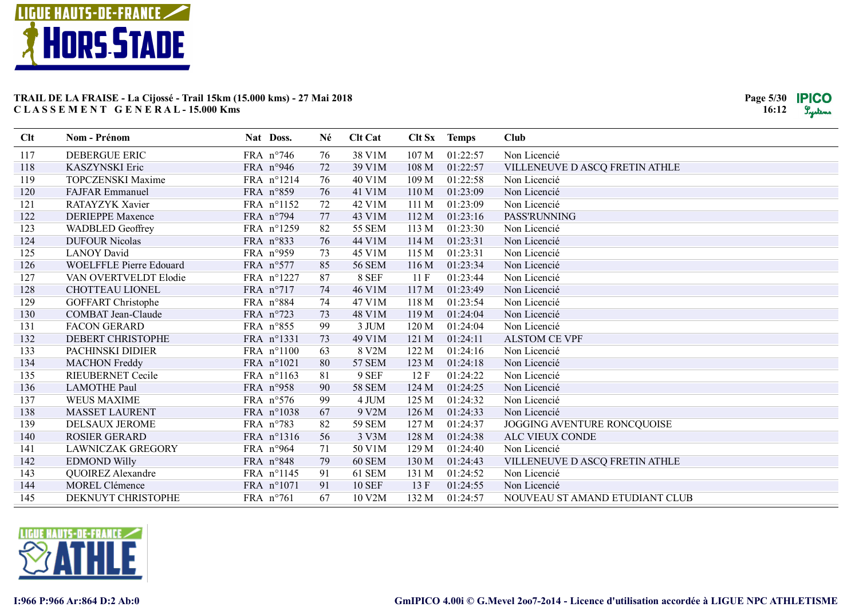

| Clt | <b>Nom - Prénom</b>            | Nat Doss.          | Né | <b>Clt Cat</b> |       | Clt Sx Temps | Club                           |
|-----|--------------------------------|--------------------|----|----------------|-------|--------------|--------------------------------|
| 117 | DEBERGUE ERIC                  | FRA n°746          | 76 | 38 V1M         | 107 M | 01:22:57     | Non Licencié                   |
| 118 | <b>KASZYNSKI</b> Eric          | FRA n°946          | 72 | 39 V1M         | 108 M | 01:22:57     | VILLENEUVE D ASCQ FRETIN ATHLE |
| 119 | <b>TOPCZENSKI Maxime</b>       | FRA n°1214         | 76 | 40 V1M         | 109 M | 01:22:58     | Non Licencié                   |
| 120 | <b>FAJFAR Emmanuel</b>         | FRA n°859          | 76 | 41 V1M         | 110 M | 01:23:09     | Non Licencié                   |
| 121 | RATAYZYK Xavier                | FRA n°1152         | 72 | 42 V1M         | 111M  | 01:23:09     | Non Licencié                   |
| 122 | <b>DERIEPPE Maxence</b>        | FRA n°794          | 77 | 43 V1M         | 112 M | 01:23:16     | PASS'RUNNING                   |
| 123 | <b>WADBLED Geoffrey</b>        | FRA n°1259         | 82 | <b>55 SEM</b>  | 113 M | 01:23:30     | Non Licencié                   |
| 124 | <b>DUFOUR Nicolas</b>          | FRA n°833          | 76 | 44 V1M         | 114 M | 01:23:31     | Non Licencié                   |
| 125 | <b>LANOY David</b>             | FRA n°959          | 73 | 45 V1M         | 115M  | 01:23:31     | Non Licencié                   |
| 126 | <b>WOELFFLE Pierre Edouard</b> | FRA n°577          | 85 | <b>56 SEM</b>  | 116 M | 01:23:34     | Non Licencié                   |
| 127 | VAN OVERTVELDT Elodie          | FRA n°1227         | 87 | 8 SEF          | 11F   | 01:23:44     | Non Licencié                   |
| 128 | CHOTTEAU LIONEL                | FRA n°717          | 74 | 46 V1M         | 117 M | 01:23:49     | Non Licencié                   |
| 129 | <b>GOFFART</b> Christophe      | FRA n°884          | 74 | 47 V1M         | 118M  | 01:23:54     | Non Licencié                   |
| 130 | COMBAT Jean-Claude             | FRA n°723          | 73 | 48 V1M         | 119M  | 01:24:04     | Non Licencié                   |
| 131 | <b>FACON GERARD</b>            | FRA n°855          | 99 | 3 JUM          | 120 M | 01:24:04     | Non Licencié                   |
| 132 | DEBERT CHRISTOPHE              | FRA n°1331         | 73 | 49 V1M         | 121 M | 01:24:11     | <b>ALSTOM CE VPF</b>           |
| 133 | PACHINSKI DIDIER               | FRA n°1100         | 63 | 8 V2M          | 122 M | 01:24:16     | Non Licencié                   |
| 134 | <b>MACHON</b> Freddy           | FRA n°1021         | 80 | <b>57 SEM</b>  | 123 M | 01:24:18     | Non Licencié                   |
| 135 | <b>RIEUBERNET Cecile</b>       | FRA n°1163         | 81 | 9 SEF          | 12F   | 01:24:22     | Non Licencié                   |
| 136 | <b>LAMOTHE Paul</b>            | FRA n°958          | 90 | <b>58 SEM</b>  | 124 M | 01:24:25     | Non Licencié                   |
| 137 | <b>WEUS MAXIME</b>             | FRA n°576          | 99 | 4 JUM          | 125 M | 01:24:32     | Non Licencié                   |
| 138 | <b>MASSET LAURENT</b>          | FRA n°1038         | 67 | 9 V2M          | 126 M | 01:24:33     | Non Licencié                   |
| 139 | DELSAUX JEROME                 | FRA n°783          | 82 | <b>59 SEM</b>  | 127 M | 01:24:37     | JOGGING AVENTURE RONCQUOISE    |
| 140 | <b>ROSIER GERARD</b>           | FRA n°1316         | 56 | 3 V3M          | 128 M | 01:24:38     | <b>ALC VIEUX CONDE</b>         |
| 141 | <b>LAWNICZAK GREGORY</b>       | FRA n°964          | 71 | 50 V1M         | 129 M | 01:24:40     | Non Licencié                   |
| 142 | <b>EDMOND Willy</b>            | FRA n°848          | 79 | 60 SEM         | 130 M | 01:24:43     | VILLENEUVE D ASCQ FRETIN ATHLE |
| 143 | QUOIREZ Alexandre              | FRA n°1145         | 91 | 61 SEM         | 131 M | 01:24:52     | Non Licencié                   |
| 144 | <b>MOREL Clémence</b>          | FRA n°1071         | 91 | <b>10 SEF</b>  | 13F   | 01:24:55     | Non Licencié                   |
| 145 | DEKNUYT CHRISTOPHE             | FRA $n^{\circ}761$ | 67 | 10 V2M         | 132 M | 01:24:57     | NOUVEAU ST AMAND ETUDIANT CLUB |

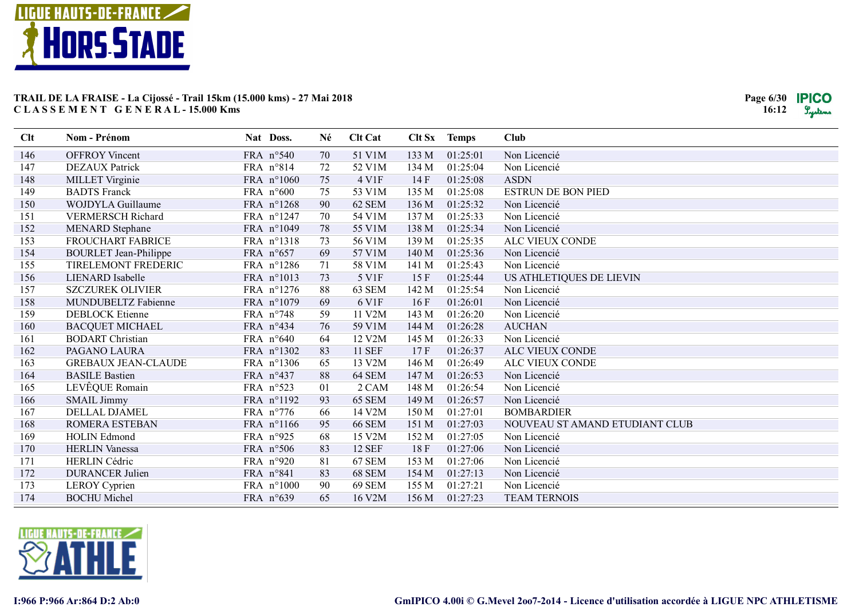

| Clt | Nom - Prénom                 | Nat Doss.          | Né | <b>Clt Cat</b> |       | Clt Sx Temps | <b>Club</b>                    |
|-----|------------------------------|--------------------|----|----------------|-------|--------------|--------------------------------|
| 146 | <b>OFFROY Vincent</b>        | FRA n°540          | 70 | 51 V1M         | 133 M | 01:25:01     | Non Licencié                   |
| 147 | <b>DEZAUX</b> Patrick        | FRA n°814          | 72 | 52 V1M         | 134 M | 01:25:04     | Non Licencié                   |
| 148 | MILLET Virginie              | FRA n°1060         | 75 | 4 V1F          | 14F   | 01:25:08     | <b>ASDN</b>                    |
| 149 | <b>BADTS</b> Franck          | FRA n°600          | 75 | 53 V1M         | 135 M | 01:25:08     | <b>ESTRUN DE BON PIED</b>      |
| 150 | <b>WOJDYLA Guillaume</b>     | FRA n°1268         | 90 | 62 SEM         | 136 M | 01:25:32     | Non Licencié                   |
| 151 | <b>VERMERSCH Richard</b>     | FRA n°1247         | 70 | 54 V1M         | 137 M | 01:25:33     | Non Licencié                   |
| 152 | <b>MENARD</b> Stephane       | FRA n°1049         | 78 | 55 V1M         | 138 M | 01:25:34     | Non Licencié                   |
| 153 | FROUCHART FABRICE            | FRA n°1318         | 73 | 56 V1M         | 139 M | 01:25:35     | ALC VIEUX CONDE                |
| 154 | <b>BOURLET Jean-Philippe</b> | FRA n°657          | 69 | 57 V1M         | 140 M | 01:25:36     | Non Licencié                   |
| 155 | TIRELEMONT FREDERIC          | FRA n°1286         | 71 | 58 V1M         | 141 M | 01:25:43     | Non Licencié                   |
| 156 | <b>LIENARD</b> Isabelle      | FRA n°1013         | 73 | 5 V1F          | 15F   | 01:25:44     | US ATHLETIQUES DE LIEVIN       |
| 157 | <b>SZCZUREK OLIVIER</b>      | FRA n°1276         | 88 | 63 SEM         | 142 M | 01:25:54     | Non Licencié                   |
| 158 | MUNDUBELTZ Fabienne          | FRA n°1079         | 69 | 6 V1F          | 16F   | 01:26:01     | Non Licencié                   |
| 159 | <b>DEBLOCK Etienne</b>       | FRA $n^{\circ}748$ | 59 | 11 V2M         | 143 M | 01:26:20     | Non Licencié                   |
| 160 | <b>BACQUET MICHAEL</b>       | FRA n°434          | 76 | 59 V1M         | 144 M | 01:26:28     | <b>AUCHAN</b>                  |
| 161 | <b>BODART</b> Christian      | FRA $n^{\circ}640$ | 64 | 12 V2M         | 145 M | 01:26:33     | Non Licencié                   |
| 162 | PAGANO LAURA                 | FRA n°1302         | 83 | <b>11 SEF</b>  | 17F   | 01:26:37     | ALC VIEUX CONDE                |
| 163 | <b>GREBAUX JEAN-CLAUDE</b>   | FRA n°1306         | 65 | 13 V2M         | 146 M | 01:26:49     | ALC VIEUX CONDE                |
| 164 | <b>BASILE Bastien</b>        | FRA $n^{\circ}437$ | 88 | 64 SEM         | 147 M | 01:26:53     | Non Licencié                   |
| 165 | LEVÊQUE Romain               | FRA n°523          | 01 | 2 CAM          | 148 M | 01:26:54     | Non Licencié                   |
| 166 | <b>SMAIL Jimmy</b>           | FRA n°1192         | 93 | 65 SEM         | 149 M | 01:26:57     | Non Licencié                   |
| 167 | DELLAL DJAMEL                | FRA $n^{\circ}776$ | 66 | 14 V2M         | 150 M | 01:27:01     | <b>BOMBARDIER</b>              |
| 168 | ROMERA ESTEBAN               | FRA n°1166         | 95 | <b>66 SEM</b>  | 151 M | 01:27:03     | NOUVEAU ST AMAND ETUDIANT CLUB |
| 169 | <b>HOLIN</b> Edmond          | FRA n°925          | 68 | 15 V2M         | 152 M | 01:27:05     | Non Licencié                   |
| 170 | <b>HERLIN Vanessa</b>        | FRA $n°506$        | 83 | <b>12 SEF</b>  | 18F   | 01:27:06     | Non Licencié                   |
| 171 | <b>HERLIN</b> Cédric         | FRA n°920          | 81 | 67 SEM         | 153 M | 01:27:06     | Non Licencié                   |
| 172 | <b>DURANCER Julien</b>       | FRA n°841          | 83 | 68 SEM         | 154 M | 01:27:13     | Non Licencié                   |
| 173 | <b>LEROY</b> Cyprien         | FRA n°1000         | 90 | <b>69 SEM</b>  | 155 M | 01:27:21     | Non Licencié                   |
| 174 | <b>BOCHU</b> Michel          | FRA n°639          | 65 | 16 V2M         | 156 M | 01:27:23     | <b>TEAM TERNOIS</b>            |

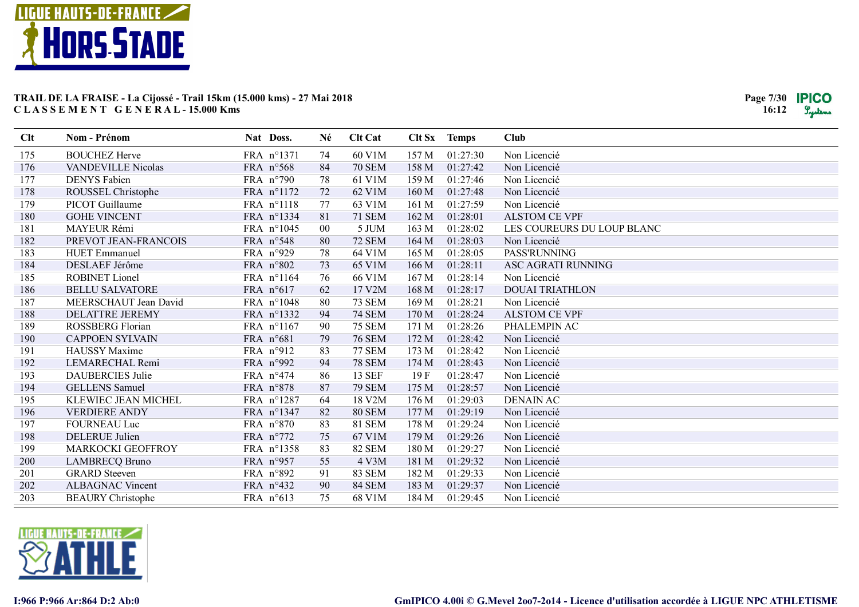

| Clt | Nom - Prénom              | Nat Doss.          | Né     | <b>Clt Cat</b> |                  | Clt Sx Temps | <b>Club</b>                |
|-----|---------------------------|--------------------|--------|----------------|------------------|--------------|----------------------------|
| 175 | <b>BOUCHEZ Herve</b>      | FRA n°1371         | 74     | 60 V1M         | 157 M            | 01:27:30     | Non Licencié               |
| 176 | <b>VANDEVILLE Nicolas</b> | FRA n°568          | 84     | <b>70 SEM</b>  | 158 M            | 01:27:42     | Non Licencié               |
| 177 | <b>DENYS</b> Fabien       | FRA $n°790$        | 78     | 61 V1M         | 159 M            | 01:27:46     | Non Licencié               |
| 178 | ROUSSEL Christophe        | FRA n°1172         | 72     | 62 V1M         | 160 M            | 01:27:48     | Non Licencié               |
| 179 | <b>PICOT</b> Guillaume    | FRA n°1118         | 77     | 63 V1M         | 161 M            | 01:27:59     | Non Licencié               |
| 180 | <b>GOHE VINCENT</b>       | FRA n°1334         | 81     | <b>71 SEM</b>  | 162 M            | 01:28:01     | <b>ALSTOM CE VPF</b>       |
| 181 | MAYEUR Rémi               | FRA n°1045         | $00\,$ | 5 JUM          | 163 M            | 01:28:02     | LES COUREURS DU LOUP BLANC |
| 182 | PREVOT JEAN-FRANCOIS      | FRA n°548          | 80     | <b>72 SEM</b>  | 164 M            | 01:28:03     | Non Licencié               |
| 183 | <b>HUET</b> Emmanuel      | FRA n°929          | 78     | 64 V1M         | 165 M            | 01:28:05     | PASS'RUNNING               |
| 184 | DESLAEF Jérôme            | FRA n°802          | 73     | 65 V1M         | 166 M            | 01:28:11     | ASC AGRATI RUNNING         |
| 185 | <b>ROBINET</b> Lionel     | FRA n°1164         | 76     | 66 V1M         | 167 <sub>M</sub> | 01:28:14     | Non Licencié               |
| 186 | <b>BELLU SALVATORE</b>    | FRA n°617          | 62     | 17 V2M         | 168 M            | 01:28:17     | <b>DOUAI TRIATHLON</b>     |
| 187 | MEERSCHAUT Jean David     | FRA n°1048         | 80     | <b>73 SEM</b>  | 169 M            | 01:28:21     | Non Licencié               |
| 188 | <b>DELATTRE JEREMY</b>    | FRA n°1332         | 94     | <b>74 SEM</b>  | 170 M            | 01:28:24     | <b>ALSTOM CE VPF</b>       |
| 189 | <b>ROSSBERG Florian</b>   | FRA n°1167         | 90     | <b>75 SEM</b>  | 171 M            | 01:28:26     | PHALEMPIN AC               |
| 190 | <b>CAPPOEN SYLVAIN</b>    | FRA n°681          | 79     | <b>76 SEM</b>  | 172 M            | 01:28:42     | Non Licencié               |
| 191 | <b>HAUSSY</b> Maxime      | FRA n°912          | 83     | <b>77 SEM</b>  | 173 M            | 01:28:42     | Non Licencié               |
| 192 | LEMARECHAL Remi           | FRA n°992          | 94     | <b>78 SEM</b>  | 174 M            | 01:28:43     | Non Licencié               |
| 193 | <b>DAUBERCIES Julie</b>   | FRA $n^{\circ}474$ | 86     | <b>13 SEF</b>  | 19F              | 01:28:47     | Non Licencié               |
| 194 | <b>GELLENS</b> Samuel     | FRA n°878          | 87     | <b>79 SEM</b>  | 175 M            | 01:28:57     | Non Licencié               |
| 195 | KLEWIEC JEAN MICHEL       | FRA n°1287         | 64     | 18 V2M         | 176 M            | 01:29:03     | <b>DENAIN AC</b>           |
| 196 | <b>VERDIERE ANDY</b>      | FRA n°1347         | 82     | <b>80 SEM</b>  | 177 M            | 01:29:19     | Non Licencié               |
| 197 | <b>FOURNEAU Luc</b>       | FRA n°870          | 83     | <b>81 SEM</b>  | 178 M            | 01:29:24     | Non Licencié               |
| 198 | <b>DELERUE</b> Julien     | FRA n°772          | 75     | 67 V1M         | 179 M            | 01:29:26     | Non Licencié               |
| 199 | MARKOCKI GEOFFROY         | FRA n°1358         | 83     | 82 SEM         | 180 M            | 01:29:27     | Non Licencié               |
| 200 | <b>LAMBRECQ Bruno</b>     | FRA n°957          | 55     | 4 V3M          | 181 M            | 01:29:32     | Non Licencié               |
| 201 | <b>GRARD</b> Steeven      | FRA n°892          | 91     | <b>83 SEM</b>  | 182 M            | 01:29:33     | Non Licencié               |
| 202 | <b>ALBAGNAC Vincent</b>   | FRA n°432          | 90     | 84 SEM         | 183 M            | 01:29:37     | Non Licencié               |
| 203 | <b>BEAURY</b> Christophe  | FRA $n°613$        | 75     | 68 V1M         | 184 M            | 01:29:45     | Non Licencié               |

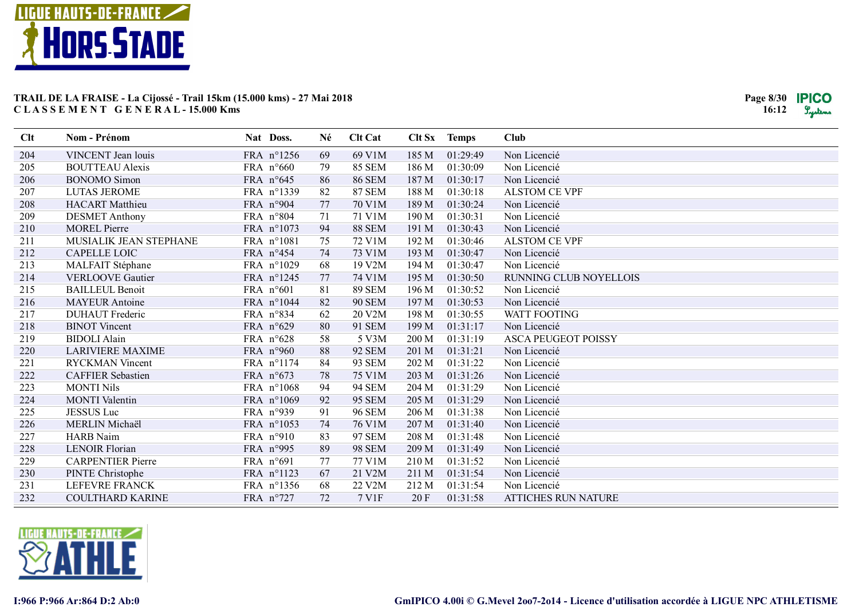

| Clt | Nom - Prénom             | Nat Doss.          | Né | <b>Clt Cat</b> |       | Clt Sx Temps | Club                       |
|-----|--------------------------|--------------------|----|----------------|-------|--------------|----------------------------|
| 204 | VINCENT Jean louis       | FRA n°1256         | 69 | 69 V1M         | 185 M | 01:29:49     | Non Licencié               |
| 205 | <b>BOUTTEAU Alexis</b>   | FRA $n^{\circ}660$ | 79 | <b>85 SEM</b>  | 186 M | 01:30:09     | Non Licencié               |
| 206 | <b>BONOMO</b> Simon      | FRA n°645          | 86 | <b>86 SEM</b>  | 187 M | 01:30:17     | Non Licencié               |
| 207 | <b>LUTAS JEROME</b>      | FRA n°1339         | 82 | <b>87 SEM</b>  | 188 M | 01:30:18     | <b>ALSTOM CE VPF</b>       |
| 208 | <b>HACART</b> Matthieu   | FRA n°904          | 77 | 70 V1M         | 189 M | 01:30:24     | Non Licencié               |
| 209 | <b>DESMET Anthony</b>    | FRA n°804          | 71 | 71 V1M         | 190 M | 01:30:31     | Non Licencié               |
| 210 | <b>MOREL Pierre</b>      | FRA n°1073         | 94 | <b>88 SEM</b>  | 191 M | 01:30:43     | Non Licencié               |
| 211 | MUSIALIK JEAN STEPHANE   | FRA n°1081         | 75 | 72 V1M         | 192 M | 01:30:46     | <b>ALSTOM CE VPF</b>       |
| 212 | CAPELLE LOIC             | FRA n°454          | 74 | 73 V1M         | 193 M | 01:30:47     | Non Licencié               |
| 213 | MALFAIT Stéphane         | FRA n°1029         | 68 | 19 V2M         | 194 M | 01:30:47     | Non Licencié               |
| 214 | <b>VERLOOVE Gautier</b>  | FRA n°1245         | 77 | 74 V1M         | 195 M | 01:30:50     | RUNNING CLUB NOYELLOIS     |
| 215 | <b>BAILLEUL Benoit</b>   | FRA n°601          | 81 | <b>89 SEM</b>  | 196 M | 01:30:52     | Non Licencié               |
| 216 | <b>MAYEUR Antoine</b>    | FRA n°1044         | 82 | <b>90 SEM</b>  | 197 M | 01:30:53     | Non Licencié               |
| 217 | <b>DUHAUT</b> Frederic   | FRA n°834          | 62 | 20 V2M         | 198 M | 01:30:55     | <b>WATT FOOTING</b>        |
| 218 | <b>BINOT</b> Vincent     | FRA n°629          | 80 | 91 SEM         | 199 M | 01:31:17     | Non Licencié               |
| 219 | <b>BIDOLI Alain</b>      | FRA n°628          | 58 | 5 V3M          | 200 M | 01:31:19     | <b>ASCA PEUGEOT POISSY</b> |
| 220 | <b>LARIVIERE MAXIME</b>  | FRA n°960          | 88 | <b>92 SEM</b>  | 201 M | 01:31:21     | Non Licencié               |
| 221 | <b>RYCKMAN Vincent</b>   | FRA n°1174         | 84 | 93 SEM         | 202 M | 01:31:22     | Non Licencié               |
| 222 | <b>CAFFIER Sebastien</b> | FRA n°673          | 78 | 75 V1M         | 203 M | 01:31:26     | Non Licencié               |
| 223 | <b>MONTI Nils</b>        | FRA n°1068         | 94 | <b>94 SEM</b>  | 204 M | 01:31:29     | Non Licencié               |
| 224 | <b>MONTI</b> Valentin    | FRA n°1069         | 92 | <b>95 SEM</b>  | 205 M | 01:31:29     | Non Licencié               |
| 225 | <b>JESSUS</b> Luc        | FRA n°939          | 91 | <b>96 SEM</b>  | 206 M | 01:31:38     | Non Licencié               |
| 226 | MERLIN Michaël           | FRA n°1053         | 74 | 76 V1M         | 207 M | 01:31:40     | Non Licencié               |
| 227 | <b>HARB</b> Naim         | FRA $n°910$        | 83 | 97 SEM         | 208 M | 01:31:48     | Non Licencié               |
| 228 | <b>LENOIR Florian</b>    | FRA n°995          | 89 | <b>98 SEM</b>  | 209 M | 01:31:49     | Non Licencié               |
| 229 | <b>CARPENTIER Pierre</b> | FRA n°691          | 77 | 77 V1M         | 210 M | 01:31:52     | Non Licencié               |
| 230 | PINTE Christophe         | FRA n°1123         | 67 | 21 V2M         | 211 M | 01:31:54     | Non Licencié               |
| 231 | LEFEVRE FRANCK           | FRA n°1356         | 68 | 22 V2M         | 212 M | 01:31:54     | Non Licencié               |
| 232 | <b>COULTHARD KARINE</b>  | FRA n°727          | 72 | 7 V1F          | 20F   | 01:31:58     | <b>ATTICHES RUN NATURE</b> |

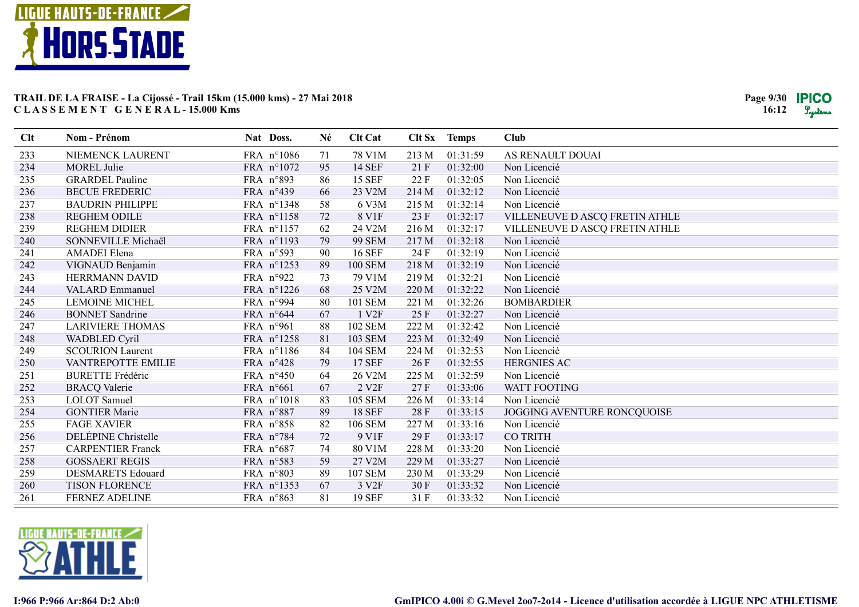

| Nom - Prénom             | Nat Doss.                                                                                          | Né                                                                                        | <b>Clt Cat</b>                               |                                                                                                            |                                                  | <b>Club</b>                                                                                      |
|--------------------------|----------------------------------------------------------------------------------------------------|-------------------------------------------------------------------------------------------|----------------------------------------------|------------------------------------------------------------------------------------------------------------|--------------------------------------------------|--------------------------------------------------------------------------------------------------|
| NIEMENCK LAURENT         | FRA n°1086                                                                                         | 71                                                                                        | 78 V1M                                       | 213 M                                                                                                      | 01:31:59                                         | AS RENAULT DOUAI                                                                                 |
| <b>MOREL Julie</b>       | FRA n°1072                                                                                         | 95                                                                                        | <b>14 SEF</b>                                | 21F                                                                                                        | 01:32:00                                         | Non Licencié                                                                                     |
| <b>GRARDEL Pauline</b>   | FRA n°893                                                                                          | 86                                                                                        | <b>15 SEF</b>                                | 22F                                                                                                        | 01:32:05                                         | Non Licencié                                                                                     |
| <b>BECUE FREDERIC</b>    | FRA n°439                                                                                          | 66                                                                                        | 23 V2M                                       | 214 M                                                                                                      | 01:32:12                                         | Non Licencié                                                                                     |
| <b>BAUDRIN PHILIPPE</b>  | FRA n°1348                                                                                         | 58                                                                                        | 6 V3M                                        | 215 M                                                                                                      | 01:32:14                                         | Non Licencié                                                                                     |
| <b>REGHEM ODILE</b>      | FRA n°1158                                                                                         | 72                                                                                        | 8 V1F                                        | 23 F                                                                                                       | 01:32:17                                         | VILLENEUVE D ASCQ FRETIN ATHLE                                                                   |
| <b>REGHEM DIDIER</b>     | FRA n°1157                                                                                         | 62                                                                                        | 24 V2M                                       | 216 M                                                                                                      | 01:32:17                                         | VILLENEUVE D ASCQ FRETIN ATHLE                                                                   |
| SONNEVILLE Michaël       | FRA n°1193                                                                                         | 79                                                                                        | <b>99 SEM</b>                                | 217 M                                                                                                      | 01:32:18                                         | Non Licencié                                                                                     |
| AMADEI Elena             | FRA n°593                                                                                          | 90                                                                                        | <b>16 SEF</b>                                | 24 F                                                                                                       | 01:32:19                                         | Non Licencié                                                                                     |
| VIGNAUD Benjamin         | FRA n°1253                                                                                         | 89                                                                                        | <b>100 SEM</b>                               | 218 M                                                                                                      | 01:32:19                                         | Non Licencié                                                                                     |
| HERRMANN DAVID           | FRA n°922                                                                                          | 73                                                                                        | 79 V1M                                       | 219M                                                                                                       | 01:32:21                                         | Non Licencié                                                                                     |
| <b>VALARD Emmanuel</b>   | FRA n°1226                                                                                         | 68                                                                                        | 25 V2M                                       | 220 M                                                                                                      | 01:32:22                                         | Non Licencié                                                                                     |
| <b>LEMOINE MICHEL</b>    | FRA n°994                                                                                          | 80                                                                                        | <b>101 SEM</b>                               | 221 M                                                                                                      | 01:32:26                                         | <b>BOMBARDIER</b>                                                                                |
| <b>BONNET</b> Sandrine   | FRA n°644                                                                                          | 67                                                                                        | 1 V <sub>2F</sub>                            | 25 F                                                                                                       | 01:32:27                                         | Non Licencié                                                                                     |
| <b>LARIVIERE THOMAS</b>  | FRA n°961                                                                                          | 88                                                                                        | <b>102 SEM</b>                               | 222 M                                                                                                      | 01:32:42                                         | Non Licencié                                                                                     |
| WADBLED Cyril            |                                                                                                    |                                                                                           |                                              |                                                                                                            |                                                  | Non Licencié                                                                                     |
|                          |                                                                                                    |                                                                                           |                                              |                                                                                                            |                                                  | Non Licencié                                                                                     |
| VANTREPOTTE EMILIE       |                                                                                                    |                                                                                           |                                              | 26F                                                                                                        |                                                  | <b>HERGNIES AC</b>                                                                               |
|                          |                                                                                                    |                                                                                           |                                              |                                                                                                            |                                                  | Non Licencié                                                                                     |
| <b>BRACQ Valerie</b>     | FRA n°661                                                                                          | 67                                                                                        | 2 V <sub>2F</sub>                            | 27F                                                                                                        | 01:33:06                                         | WATT FOOTING                                                                                     |
| <b>LOLOT</b> Samuel      | FRA n°1018                                                                                         | 83                                                                                        | <b>105 SEM</b>                               | 226 M                                                                                                      | 01:33:14                                         | Non Licencié                                                                                     |
| <b>GONTIER Marie</b>     | FRA n°887                                                                                          | 89                                                                                        | <b>18 SEF</b>                                | 28F                                                                                                        | 01:33:15                                         | JOGGING AVENTURE RONCQUOISE                                                                      |
| <b>FAGE XAVIER</b>       |                                                                                                    | 82                                                                                        | <b>106 SEM</b>                               | 227 M                                                                                                      | 01:33:16                                         | Non Licencié                                                                                     |
|                          | FRA n°784                                                                                          |                                                                                           |                                              |                                                                                                            | 01:33:17                                         | <b>CO TRITH</b>                                                                                  |
| <b>CARPENTIER Franck</b> | FRA n°687                                                                                          |                                                                                           |                                              |                                                                                                            |                                                  | Non Licencié                                                                                     |
|                          |                                                                                                    |                                                                                           |                                              |                                                                                                            |                                                  | Non Licencié                                                                                     |
| <b>DESMARETS Edouard</b> |                                                                                                    |                                                                                           |                                              | 230 M                                                                                                      |                                                  | Non Licencié                                                                                     |
| <b>TISON FLORENCE</b>    | FRA n°1353                                                                                         | 67                                                                                        | 3 V <sub>2F</sub>                            | 30F                                                                                                        | 01:33:32                                         | Non Licencié                                                                                     |
| FERNEZ ADELINE           | FRA n°863                                                                                          | 81                                                                                        | <b>19 SEF</b>                                | 31 F                                                                                                       | 01:33:32                                         | Non Licencié                                                                                     |
|                          | <b>SCOURION Laurent</b><br><b>BURETTE Frédéric</b><br>DELÉPINE Christelle<br><b>GOSSAERT REGIS</b> | FRA n°1258<br>FRA n°1186<br>FRA n°428<br>FRA n°450<br>FRA n°858<br>FRA n°583<br>FRA n°803 | 81<br>84<br>79<br>64<br>72<br>74<br>59<br>89 | <b>103 SEM</b><br><b>104 SEM</b><br><b>17 SEF</b><br>26 V2M<br>9 V1F<br>80 V1M<br>27 V2M<br><b>107 SEM</b> | 223 M<br>224 M<br>225 M<br>29F<br>228 M<br>229 M | Clt Sx Temps<br>01:32:49<br>01:32:53<br>01:32:55<br>01:32:59<br>01:33:20<br>01:33:27<br>01:33:29 |

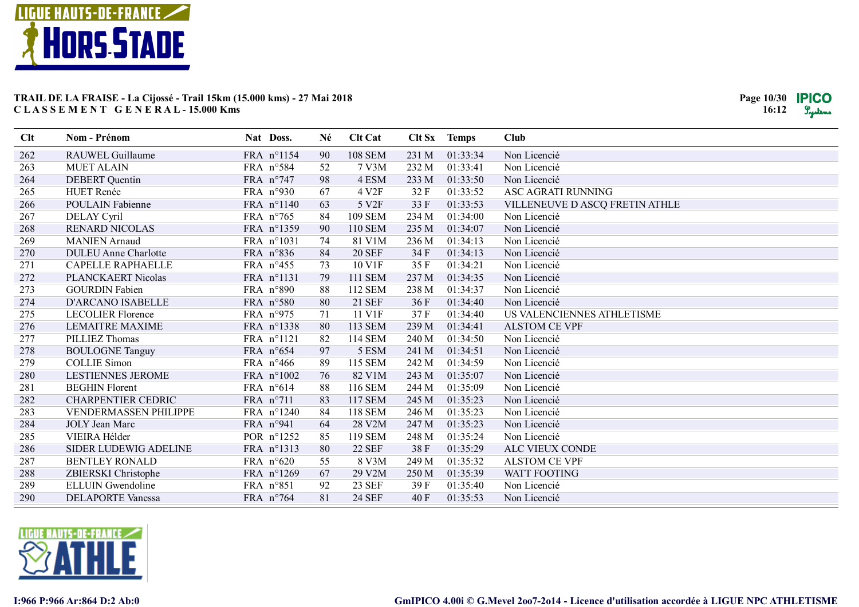

| Clt | Nom - Prénom                 | Nat Doss.           | Né | <b>Clt Cat</b> |       | Clt Sx Temps | <b>Club</b>                    |
|-----|------------------------------|---------------------|----|----------------|-------|--------------|--------------------------------|
| 262 | RAUWEL Guillaume             | FRA n°1154          | 90 | <b>108 SEM</b> | 231 M | 01:33:34     | Non Licencié                   |
| 263 | <b>MUET ALAIN</b>            | FRA n°584           | 52 | 7 V3M          | 232 M | 01:33:41     | Non Licencié                   |
| 264 | <b>DEBERT</b> Quentin        | FRA n°747           | 98 | 4 ESM          | 233 M | 01:33:50     | Non Licencié                   |
| 265 | <b>HUET Renée</b>            | FRA n°930           | 67 | 4 V2F          | 32F   | 01:33:52     | ASC AGRATI RUNNING             |
| 266 | POULAIN Fabienne             | FRA n°1140          | 63 | 5 V2F          | 33 F  | 01:33:53     | VILLENEUVE D ASCQ FRETIN ATHLE |
| 267 | DELAY Cyril                  | FRA $n^{\circ}$ 765 | 84 | <b>109 SEM</b> | 234 M | 01:34:00     | Non Licencié                   |
| 268 | <b>RENARD NICOLAS</b>        | FRA n°1359          | 90 | <b>110 SEM</b> | 235 M | 01:34:07     | Non Licencié                   |
| 269 | <b>MANIEN</b> Arnaud         | FRA n°1031          | 74 | 81 V1M         | 236 M | 01:34:13     | Non Licencié                   |
| 270 | <b>DULEU</b> Anne Charlotte  | FRA n°836           | 84 | <b>20 SEF</b>  | 34 F  | 01:34:13     | Non Licencié                   |
| 271 | <b>CAPELLE RAPHAELLE</b>     | FRA n°455           | 73 | 10 V1F         | 35F   | 01:34:21     | Non Licencié                   |
| 272 | PLANCKAERT Nicolas           | FRA n°1131          | 79 | 111 SEM        | 237 M | 01:34:35     | Non Licencié                   |
| 273 | <b>GOURDIN Fabien</b>        | FRA n°890           | 88 | 112 SEM        | 238 M | 01:34:37     | Non Licencié                   |
| 274 | D'ARCANO ISABELLE            | FRA n°580           | 80 | 21 SEF         | 36 F  | 01:34:40     | Non Licencié                   |
| 275 | <b>LECOLIER Florence</b>     | FRA n°975           | 71 | 11 V1F         | 37F   | 01:34:40     | US VALENCIENNES ATHLETISME     |
| 276 | <b>LEMAITRE MAXIME</b>       | FRA n°1338          | 80 | <b>113 SEM</b> | 239 M | 01:34:41     | <b>ALSTOM CE VPF</b>           |
| 277 | PILLIEZ Thomas               | FRA n°1121          | 82 | <b>114 SEM</b> | 240 M | 01:34:50     | Non Licencié                   |
| 278 | <b>BOULOGNE Tanguy</b>       | FRA n°654           | 97 | 5 ESM          | 241 M | 01:34:51     | Non Licencié                   |
| 279 | <b>COLLIE Simon</b>          | FRA $n^{\circ}466$  | 89 | 115 SEM        | 242 M | 01:34:59     | Non Licencié                   |
| 280 | <b>LESTIENNES JEROME</b>     | FRA n°1002          | 76 | 82 V1M         | 243 M | 01:35:07     | Non Licencié                   |
| 281 | <b>BEGHIN Florent</b>        | FRA n°614           | 88 | 116 SEM        | 244 M | 01:35:09     | Non Licencié                   |
| 282 | <b>CHARPENTIER CEDRIC</b>    | FRA $n^{\circ}711$  | 83 | <b>117 SEM</b> | 245 M | 01:35:23     | Non Licencié                   |
| 283 | <b>VENDERMASSEN PHILIPPE</b> | FRA n°1240          | 84 | <b>118 SEM</b> | 246 M | 01:35:23     | Non Licencié                   |
| 284 | JOLY Jean Marc               | FRA n°941           | 64 | 28 V2M         | 247 M | 01:35:23     | Non Licencié                   |
| 285 | VIEIRA Hélder                | POR n°1252          | 85 | 119 SEM        | 248 M | 01:35:24     | Non Licencié                   |
| 286 | SIDER LUDEWIG ADELINE        | FRA n°1313          | 80 | <b>22 SEF</b>  | 38F   | 01:35:29     | ALC VIEUX CONDE                |
| 287 | <b>BENTLEY RONALD</b>        | FRA n°620           | 55 | 8 V3M          | 249 M | 01:35:32     | <b>ALSTOM CE VPF</b>           |
| 288 | ZBIERSKI Christophe          | FRA n°1269          | 67 | 29 V2M         | 250 M | 01:35:39     | <b>WATT FOOTING</b>            |
| 289 | <b>ELLUIN</b> Gwendoline     | FRA n°851           | 92 | <b>23 SEF</b>  | 39 F  | 01:35:40     | Non Licencié                   |
| 290 | <b>DELAPORTE Vanessa</b>     | FRA n°764           | 81 | <b>24 SEF</b>  | 40 F  | 01:35:53     | Non Licencié                   |

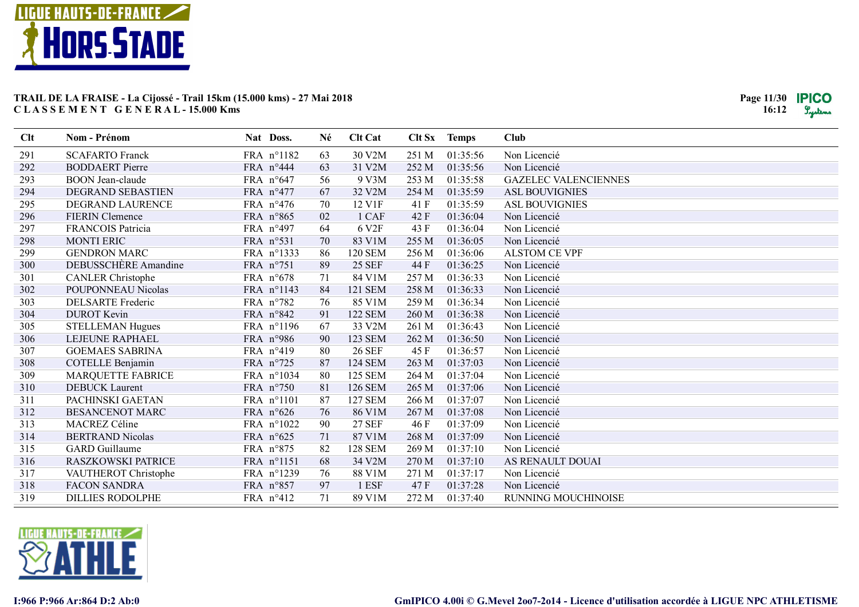

| Clt | Nom - Prénom             | Nat Doss.  | Né | <b>Clt Cat</b>    | Clt Sx | <b>Temps</b> | <b>Club</b>                 |
|-----|--------------------------|------------|----|-------------------|--------|--------------|-----------------------------|
| 291 | <b>SCAFARTO Franck</b>   | FRA n°1182 | 63 | 30 V2M            | 251 M  | 01:35:56     | Non Licencié                |
| 292 | <b>BODDAERT</b> Pierre   | FRA n°444  | 63 | 31 V2M            | 252 M  | 01:35:56     | Non Licencié                |
| 293 | <b>BOON</b> Jean-claude  | FRA n°647  | 56 | 9 V3M             | 253 M  | 01:35:58     | <b>GAZELEC VALENCIENNES</b> |
| 294 | <b>DEGRAND SEBASTIEN</b> | FRA n°477  | 67 | 32 V2M            | 254 M  | 01:35:59     | <b>ASL BOUVIGNIES</b>       |
| 295 | DEGRAND LAURENCE         | FRA n°476  | 70 | 12 V1F            | 41 F   | 01:35:59     | <b>ASL BOUVIGNIES</b>       |
| 296 | <b>FIERIN</b> Clemence   | FRA n°865  | 02 | 1 CAF             | 42 F   | 01:36:04     | Non Licencié                |
| 297 | <b>FRANCOIS Patricia</b> | FRA n°497  | 64 | 6 V <sub>2F</sub> | 43 F   | 01:36:04     | Non Licencié                |
| 298 | <b>MONTI ERIC</b>        | FRA n°531  | 70 | 83 V1M            | 255 M  | 01:36:05     | Non Licencié                |
| 299 | <b>GENDRON MARC</b>      | FRA n°1333 | 86 | <b>120 SEM</b>    | 256 M  | 01:36:06     | <b>ALSTOM CE VPF</b>        |
| 300 | DEBUSSCHERE Amandine     | FRA n°751  | 89 | <b>25 SEF</b>     | 44 F   | 01:36:25     | Non Licencié                |
| 301 | <b>CANLER Christophe</b> | FRA n°678  | 71 | 84 V1M            | 257 M  | 01:36:33     | Non Licencié                |
| 302 | POUPONNEAU Nicolas       | FRA n°1143 | 84 | 121 SEM           | 258 M  | 01:36:33     | Non Licencié                |
| 303 | <b>DELSARTE</b> Frederic | FRA n°782  | 76 | 85 V1M            | 259 M  | 01:36:34     | Non Licencié                |
| 304 | <b>DUROT</b> Kevin       | FRA n°842  | 91 | <b>122 SEM</b>    | 260 M  | 01:36:38     | Non Licencié                |
| 305 | <b>STELLEMAN Hugues</b>  | FRA n°1196 | 67 | 33 V2M            | 261 M  | 01:36:43     | Non Licencié                |
| 306 | LEJEUNE RAPHAEL          | FRA n°986  | 90 | <b>123 SEM</b>    | 262 M  | 01:36:50     | Non Licencié                |
| 307 | <b>GOEMAES SABRINA</b>   | FRA n°419  | 80 | <b>26 SEF</b>     | 45 F   | 01:36:57     | Non Licencié                |
| 308 | <b>COTELLE Benjamin</b>  | FRA n°725  | 87 | <b>124 SEM</b>    | 263 M  | 01:37:03     | Non Licencié                |
| 309 | MARQUETTE FABRICE        | FRA n°1034 | 80 | <b>125 SEM</b>    | 264 M  | 01:37:04     | Non Licencié                |
| 310 | <b>DEBUCK Laurent</b>    | FRA n°750  | 81 | <b>126 SEM</b>    | 265 M  | 01:37:06     | Non Licencié                |
| 311 | PACHINSKI GAETAN         | FRA n°1101 | 87 | <b>127 SEM</b>    | 266 M  | 01:37:07     | Non Licencié                |
| 312 | <b>BESANCENOT MARC</b>   | FRA n°626  | 76 | 86 V1M            | 267 M  | 01:37:08     | Non Licencié                |
| 313 | MACREZ Céline            | FRA n°1022 | 90 | <b>27 SEF</b>     | 46 F   | 01:37:09     | Non Licencié                |
| 314 | <b>BERTRAND Nicolas</b>  | FRA n°625  | 71 | 87 V1M            | 268 M  | 01:37:09     | Non Licencié                |
| 315 | <b>GARD</b> Guillaume    | FRA n°875  | 82 | <b>128 SEM</b>    | 269 M  | 01:37:10     | Non Licencié                |
| 316 | RASZKOWSKI PATRICE       | FRA n°1151 | 68 | 34 V2M            | 270 M  | 01:37:10     | AS RENAULT DOUAI            |
| 317 | VAUTHEROT Christophe     | FRA n°1239 | 76 | 88 V1M            | 271 M  | 01:37:17     | Non Licencié                |
| 318 | <b>FACON SANDRA</b>      | FRA n°857  | 97 | 1 ESF             | 47 F   | 01:37:28     | Non Licencié                |
| 319 | <b>DILLIES RODOLPHE</b>  | FRA n°412  | 71 | 89 V1M            | 272 M  | 01:37:40     | RUNNING MOUCHINOISE         |

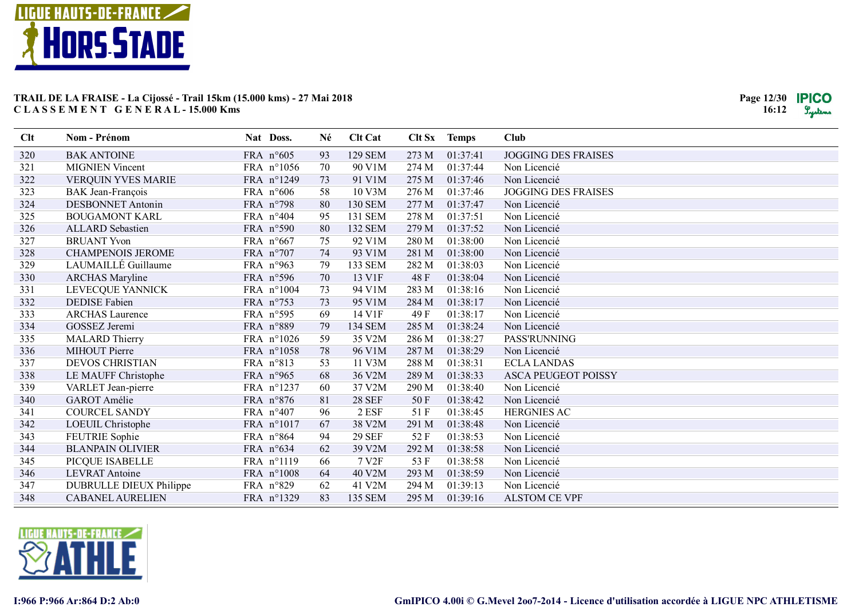

| Clt | Nom - Prénom              | Nat Doss.          | Né | <b>Clt Cat</b>    |       | Clt Sx Temps | <b>Club</b>                |
|-----|---------------------------|--------------------|----|-------------------|-------|--------------|----------------------------|
| 320 | <b>BAK ANTOINE</b>        | FRA n°605          | 93 | <b>129 SEM</b>    | 273 M | 01:37:41     | <b>JOGGING DES FRAISES</b> |
| 321 | <b>MIGNIEN Vincent</b>    | FRA n°1056         | 70 | 90 V1M            | 274 M | 01:37:44     | Non Licencié               |
| 322 | <b>VERQUIN YVES MARIE</b> | FRA n°1249         | 73 | 91 V1M            | 275 M | 01:37:46     | Non Licencié               |
| 323 | BAK Jean-François         | FRA $n^{\circ}606$ | 58 | 10 V3M            | 276 M | 01:37:46     | <b>JOGGING DES FRAISES</b> |
| 324 | <b>DESBONNET Antonin</b>  | FRA n°798          | 80 | <b>130 SEM</b>    | 277 M | 01:37:47     | Non Licencié               |
| 325 | <b>BOUGAMONT KARL</b>     | FRA $n^{\circ}404$ | 95 | 131 SEM           | 278 M | 01:37:51     | Non Licencié               |
| 326 | <b>ALLARD</b> Sebastien   | FRA n°590          | 80 | <b>132 SEM</b>    | 279M  | 01:37:52     | Non Licencié               |
| 327 | <b>BRUANT Yvon</b>        | FRA $n^{\circ}667$ | 75 | 92 V1M            | 280 M | 01:38:00     | Non Licencié               |
| 328 | <b>CHAMPENOIS JEROME</b>  | FRA n°707          | 74 | 93 V1M            | 281 M | 01:38:00     | Non Licencié               |
| 329 | LAUMAILLÉ Guillaume       | FRA n°963          | 79 | 133 SEM           | 282 M | 01:38:03     | Non Licencié               |
| 330 | <b>ARCHAS Maryline</b>    | FRA n°596          | 70 | 13 V1F            | 48 F  | 01:38:04     | Non Licencié               |
| 331 | LEVECQUE YANNICK          | FRA n°1004         | 73 | 94 V1M            | 283 M | 01:38:16     | Non Licencié               |
| 332 | <b>DEDISE</b> Fabien      | FRA n°753          | 73 | 95 V1M            | 284 M | 01:38:17     | Non Licencié               |
| 333 | <b>ARCHAS Laurence</b>    | FRA n°595          | 69 | 14 V1F            | 49 F  | 01:38:17     | Non Licencié               |
| 334 | GOSSEZ Jeremi             | FRA n°889          | 79 | 134 SEM           | 285 M | 01:38:24     | Non Licencié               |
| 335 | <b>MALARD Thierry</b>     | FRA n°1026         | 59 | 35 V2M            | 286 M | 01:38:27     | <b>PASS'RUNNING</b>        |
| 336 | MIHOUT Pierre             | FRA n°1058         | 78 | 96 V1M            | 287 M | 01:38:29     | Non Licencié               |
| 337 | <b>DEVOS CHRISTIAN</b>    | FRA n°813          | 53 | 11 V3M            | 288 M | 01:38:31     | <b>ECLA LANDAS</b>         |
| 338 | LE MAUFF Christophe       | FRA n°965          | 68 | 36 V2M            | 289 M | 01:38:33     | <b>ASCA PEUGEOT POISSY</b> |
| 339 | VARLET Jean-pierre        | FRA n°1237         | 60 | 37 V2M            | 290 M | 01:38:40     | Non Licencié               |
| 340 | GAROT Amélie              | FRA n°876          | 81 | <b>28 SEF</b>     | 50F   | 01:38:42     | Non Licencié               |
| 341 | <b>COURCEL SANDY</b>      | FRA n°407          | 96 | 2 ESF             | 51 F  | 01:38:45     | <b>HERGNIES AC</b>         |
| 342 | LOEUIL Christophe         | FRA n°1017         | 67 | 38 V2M            | 291 M | 01:38:48     | Non Licencié               |
| 343 | FEUTRIE Sophie            | FRA n°864          | 94 | <b>29 SEF</b>     | 52 F  | 01:38:53     | Non Licencié               |
| 344 | <b>BLANPAIN OLIVIER</b>   | FRA n°634          | 62 | 39 V2M            | 292 M | 01:38:58     | Non Licencié               |
| 345 | PICQUE ISABELLE           | FRA n°1119         | 66 | 7 V <sub>2F</sub> | 53 F  | 01:38:58     | Non Licencié               |
| 346 | <b>LEVRAT Antoine</b>     | FRA n°1008         | 64 | 40 V2M            | 293 M | 01:38:59     | Non Licencié               |
| 347 | DUBRULLE DIEUX Philippe   | FRA n°829          | 62 | 41 V2M            | 294 M | 01:39:13     | Non Licencié               |
| 348 | <b>CABANEL AURELIEN</b>   | FRA n°1329         | 83 | <b>135 SEM</b>    | 295 M | 01:39:16     | <b>ALSTOM CE VPF</b>       |

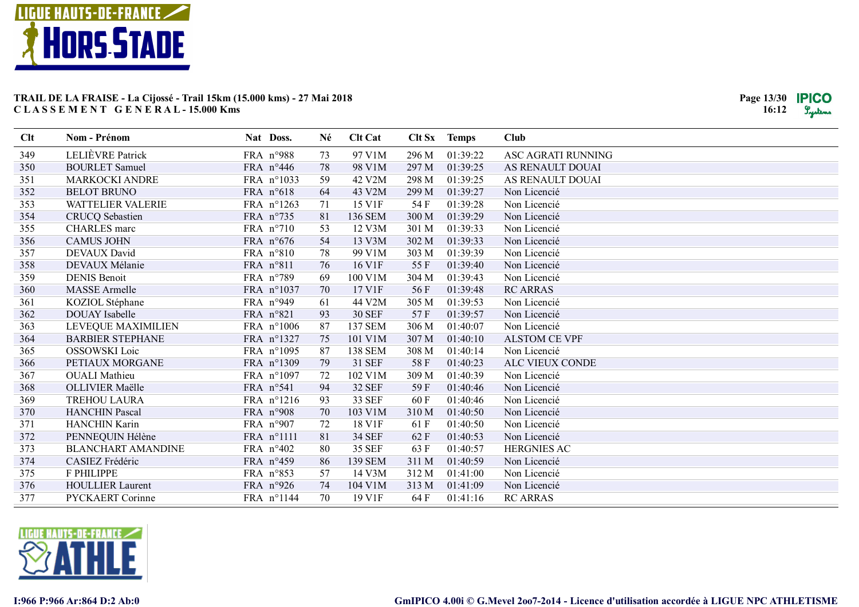

| Clt | <b>Nom - Prénom</b>       | Nat Doss.          |            | Né | <b>Clt Cat</b> |       | Clt Sx Temps | Club                 |
|-----|---------------------------|--------------------|------------|----|----------------|-------|--------------|----------------------|
| 349 | LELIÈVRE Patrick          | FRA n°988          |            | 73 | 97 V1M         | 296 M | 01:39:22     | ASC AGRATI RUNNING   |
| 350 | <b>BOURLET</b> Samuel     | FRA n°446          |            | 78 | 98 V1M         | 297 M | 01:39:25     | AS RENAULT DOUAI     |
| 351 | MARKOCKI ANDRE            |                    | FRA n°1033 | 59 | 42 V2M         | 298 M | 01:39:25     | AS RENAULT DOUAI     |
| 352 | <b>BELOT BRUNO</b>        | FRA n°618          |            | 64 | 43 V2M         | 299 M | 01:39:27     | Non Licencié         |
| 353 | <b>WATTELIER VALERIE</b>  |                    | FRA n°1263 | 71 | 15 V1F         | 54 F  | 01:39:28     | Non Licencié         |
| 354 | <b>CRUCQ</b> Sebastien    | FRA n°735          |            | 81 | 136 SEM        | 300 M | 01:39:29     | Non Licencié         |
| 355 | <b>CHARLES</b> marc       | FRA $n^{\circ}710$ |            | 53 | 12 V3M         | 301 M | 01:39:33     | Non Licencié         |
| 356 | <b>CAMUS JOHN</b>         | FRA n°676          |            | 54 | 13 V3M         | 302 M | 01:39:33     | Non Licencié         |
| 357 | DEVAUX David              | FRA n°810          |            | 78 | 99 V1M         | 303 M | 01:39:39     | Non Licencié         |
| 358 | DEVAUX Mélanie            | FRA n°811          |            | 76 | 16 V1F         | 55 F  | 01:39:40     | Non Licencié         |
| 359 | <b>DENIS Benoit</b>       | FRA n°789          |            | 69 | 100 V1M        | 304 M | 01:39:43     | Non Licencié         |
| 360 | <b>MASSE</b> Armelle      |                    | FRA n°1037 | 70 | 17 V1F         | 56F   | 01:39:48     | <b>RC ARRAS</b>      |
| 361 | KOZIOL Stéphane           | FRA n°949          |            | 61 | 44 V2M         | 305 M | 01:39:53     | Non Licencié         |
| 362 | <b>DOUAY</b> Isabelle     | FRA n°821          |            | 93 | <b>30 SEF</b>  | 57F   | 01:39:57     | Non Licencié         |
| 363 | LEVEQUE MAXIMILIEN        |                    | FRA n°1006 | 87 | <b>137 SEM</b> | 306 M | 01:40:07     | Non Licencié         |
| 364 | <b>BARBIER STEPHANE</b>   |                    | FRA n°1327 | 75 | 101 V1M        | 307 M | 01:40:10     | <b>ALSTOM CE VPF</b> |
| 365 | OSSOWSKI Loic             |                    | FRA n°1095 | 87 | <b>138 SEM</b> | 308 M | 01:40:14     | Non Licencié         |
| 366 | PETIAUX MORGANE           |                    | FRA n°1309 | 79 | <b>31 SEF</b>  | 58F   | 01:40:23     | ALC VIEUX CONDE      |
| 367 | <b>OUALI</b> Mathieu      |                    | FRA n°1097 | 72 | 102 V1M        | 309 M | 01:40:39     | Non Licencié         |
| 368 | OLLIVIER Maëlle           | FRA n°541          |            | 94 | <b>32 SEF</b>  | 59F   | 01:40:46     | Non Licencié         |
| 369 | TREHOU LAURA              |                    | FRA n°1216 | 93 | 33 SEF         | 60 F  | 01:40:46     | Non Licencié         |
| 370 | <b>HANCHIN Pascal</b>     | FRA n°908          |            | 70 | 103 V1M        | 310 M | 01:40:50     | Non Licencié         |
| 371 | HANCHIN Karin             | FRA n°907          |            | 72 | 18 V1F         | 61 F  | 01:40:50     | Non Licencié         |
| 372 | PENNEQUIN Hélène          | FRA n°1111         |            | 81 | 34 SEF         | 62 F  | 01:40:53     | Non Licencié         |
| 373 | <b>BLANCHART AMANDINE</b> | FRA n°402          |            | 80 | <b>35 SEF</b>  | 63 F  | 01:40:57     | <b>HERGNIES AC</b>   |
| 374 | CASIEZ Frédéric           | FRA n°459          |            | 86 | 139 SEM        | 311 M | 01:40:59     | Non Licencié         |
| 375 | F PHILIPPE                | FRA n°853          |            | 57 | 14 V3M         | 312 M | 01:41:00     | Non Licencié         |
| 376 | <b>HOULLIER Laurent</b>   | FRA n°926          |            | 74 | 104 V1M        | 313 M | 01:41:09     | Non Licencié         |
| 377 | PYCKAERT Corinne          |                    | FRA n°1144 | 70 | 19 V1F         | 64 F  | 01:41:16     | <b>RC ARRAS</b>      |

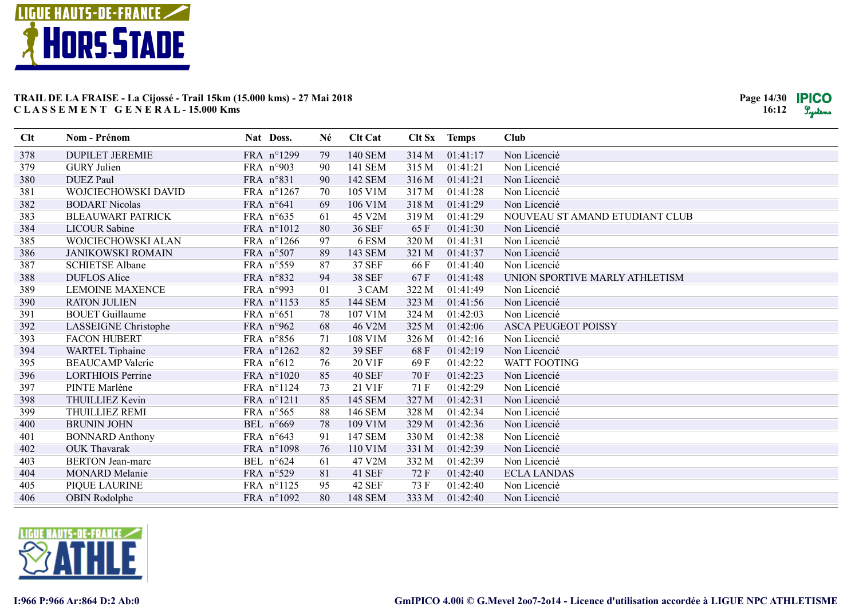

| Clt | <b>Nom - Prénom</b>      | Nat Doss.  | Né | <b>Clt Cat</b> |       | Clt Sx Temps | Club                           |
|-----|--------------------------|------------|----|----------------|-------|--------------|--------------------------------|
| 378 | <b>DUPILET JEREMIE</b>   | FRA n°1299 | 79 | <b>140 SEM</b> | 314 M | 01:41:17     | Non Licencié                   |
| 379 | <b>GURY</b> Julien       | FRA n°903  | 90 | 141 SEM        | 315 M | 01:41:21     | Non Licencié                   |
| 380 | <b>DUEZ Paul</b>         | FRA n°831  | 90 | 142 SEM        | 316 M | 01:41:21     | Non Licencié                   |
| 381 | WOJCIECHOWSKI DAVID      | FRA n°1267 | 70 | 105 V1M        | 317 M | 01:41:28     | Non Licencié                   |
| 382 | <b>BODART Nicolas</b>    | FRA n°641  | 69 | 106 V1M        | 318 M | 01:41:29     | Non Licencié                   |
| 383 | <b>BLEAUWART PATRICK</b> | FRA n°635  | 61 | 45 V2M         | 319 M | 01:41:29     | NOUVEAU ST AMAND ETUDIANT CLUB |
| 384 | <b>LICOUR Sabine</b>     | FRA n°1012 | 80 | <b>36 SEF</b>  | 65 F  | 01:41:30     | Non Licencié                   |
| 385 | WOJCIECHOWSKI ALAN       | FRA n°1266 | 97 | 6 ESM          | 320 M | 01:41:31     | Non Licencié                   |
| 386 | <b>JANIKOWSKI ROMAIN</b> | FRA n°507  | 89 | 143 SEM        | 321 M | 01:41:37     | Non Licencié                   |
| 387 | <b>SCHIETSE Albane</b>   | FRA n°559  | 87 | <b>37 SEF</b>  | 66 F  | 01:41:40     | Non Licencié                   |
| 388 | <b>DUFLOS Alice</b>      | FRA n°832  | 94 | <b>38 SEF</b>  | 67 F  | 01:41:48     | UNION SPORTIVE MARLY ATHLETISM |
| 389 | <b>LEMOINE MAXENCE</b>   | FRA n°993  | 01 | 3 CAM          | 322 M | 01:41:49     | Non Licencié                   |
| 390 | <b>RATON JULIEN</b>      | FRA n°1153 | 85 | <b>144 SEM</b> | 323 M | 01:41:56     | Non Licencié                   |
| 391 | <b>BOUET</b> Guillaume   | FRA n°651  | 78 | 107 V1M        | 324 M | 01:42:03     | Non Licencié                   |
| 392 | LASSEIGNE Christophe     | FRA n°962  | 68 | 46 V2M         | 325 M | 01:42:06     | <b>ASCA PEUGEOT POISSY</b>     |
| 393 | <b>FACON HUBERT</b>      | FRA n°856  | 71 | 108 V1M        | 326 M | 01:42:16     | Non Licencié                   |
| 394 | <b>WARTEL Tiphaine</b>   | FRA n°1262 | 82 | <b>39 SEF</b>  | 68 F  | 01:42:19     | Non Licencié                   |
| 395 | <b>BEAUCAMP</b> Valerie  | FRA n°612  | 76 | 20 V1F         | 69 F  | 01:42:22     | <b>WATT FOOTING</b>            |
| 396 | <b>LORTHIOIS Perrine</b> | FRA n°1020 | 85 | <b>40 SEF</b>  | 70 F  | 01:42:23     | Non Licencié                   |
| 397 | PINTE Marlène            | FRA n°1124 | 73 | 21 V1F         | 71 F  | 01:42:29     | Non Licencié                   |
| 398 | THUILLIEZ Kevin          | FRA n°1211 | 85 | <b>145 SEM</b> | 327 M | 01:42:31     | Non Licencié                   |
| 399 | THUILLIEZ REMI           | FRA n°565  | 88 | 146 SEM        | 328 M | 01:42:34     | Non Licencié                   |
| 400 | <b>BRUNIN JOHN</b>       | BEL n°669  | 78 | 109 V1M        | 329 M | 01:42:36     | Non Licencié                   |
| 401 | <b>BONNARD Anthony</b>   | FRA n°643  | 91 | 147 SEM        | 330 M | 01:42:38     | Non Licencié                   |
| 402 | <b>OUK Thavarak</b>      | FRA n°1098 | 76 | 110 V1M        | 331 M | 01:42:39     | Non Licencié                   |
| 403 | <b>BERTON</b> Jean-marc  | BEL n°624  | 61 | 47 V2M         | 332 M | 01:42:39     | Non Licencié                   |
| 404 | <b>MONARD</b> Melanie    | FRA n°529  | 81 | <b>41 SEF</b>  | 72 F  | 01:42:40     | <b>ECLA LANDAS</b>             |
| 405 | PIQUE LAURINE            | FRA n°1125 | 95 | <b>42 SEF</b>  | 73 F  | 01:42:40     | Non Licencié                   |
| 406 | OBIN Rodolphe            | FRA n°1092 | 80 | <b>148 SEM</b> | 333 M | 01:42:40     | Non Licencié                   |

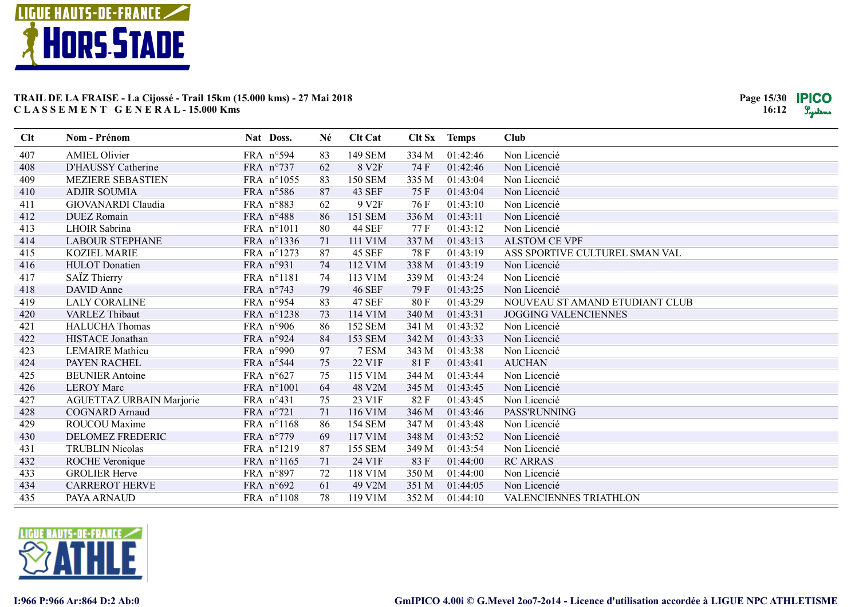

| Clt | Nom - Prénom                    | Nat Doss.          | Né | <b>Clt Cat</b>    | Clt Sx | <b>Temps</b> | <b>Club</b>                    |
|-----|---------------------------------|--------------------|----|-------------------|--------|--------------|--------------------------------|
| 407 | <b>AMIEL Olivier</b>            | FRA n°594          | 83 | <b>149 SEM</b>    | 334 M  | 01:42:46     | Non Licencié                   |
| 408 | D'HAUSSY Catherine              | FRA n°737          | 62 | 8 V <sub>2F</sub> | 74 F   | 01:42:46     | Non Licencié                   |
| 409 | MEZIERE SEBASTIEN               | FRA n°1055         | 83 | <b>150 SEM</b>    | 335 M  | 01:43:04     | Non Licencié                   |
| 410 | <b>ADJIR SOUMIA</b>             | FRA n°586          | 87 | 43 SEF            | 75 F   | 01:43:04     | Non Licencié                   |
| 411 | GIOVANARDI Claudia              | FRA n°883          | 62 | 9 V <sub>2F</sub> | 76 F   | 01:43:10     | Non Licencié                   |
| 412 | <b>DUEZ</b> Romain              | FRA n°488          | 86 | 151 SEM           | 336 M  | 01:43:11     | Non Licencié                   |
| 413 | LHOIR Sabrina                   | FRA n°1011         | 80 | <b>44 SEF</b>     | 77 F   | 01:43:12     | Non Licencié                   |
| 414 | <b>LABOUR STEPHANE</b>          | FRA n°1336         | 71 | 111 V1M           | 337 M  | 01:43:13     | <b>ALSTOM CE VPF</b>           |
| 415 | <b>KOZIEL MARIE</b>             | FRA n°1273         | 87 | <b>45 SEF</b>     | 78 F   | 01:43:19     | ASS SPORTIVE CULTUREL SMAN VAL |
| 416 | <b>HULOT</b> Donatien           | FRA n°931          | 74 | 112 V1M           | 338 M  | 01:43:19     | Non Licencié                   |
| 417 | SAÏZ Thierry                    | FRA n°1181         | 74 | 113 V1M           | 339 M  | 01:43:24     | Non Licencié                   |
| 418 | DAVID Anne                      | FRA n°743          | 79 | <b>46 SEF</b>     | 79 F   | 01:43:25     | Non Licencié                   |
| 419 | <b>LALY CORALINE</b>            | FRA n°954          | 83 | <b>47 SEF</b>     | 80 F   | 01:43:29     | NOUVEAU ST AMAND ETUDIANT CLUB |
| 420 | <b>VARLEZ Thibaut</b>           | FRA n°1238         | 73 | 114 V1M           | 340 M  | 01:43:31     | <b>JOGGING VALENCIENNES</b>    |
| 421 | <b>HALUCHA Thomas</b>           | FRA $n°906$        | 86 | <b>152 SEM</b>    | 341 M  | 01:43:32     | Non Licencié                   |
| 422 | HISTACE Jonathan                | FRA n°924          | 84 | <b>153 SEM</b>    | 342 M  | 01:43:33     | Non Licencié                   |
| 423 | <b>LEMAIRE</b> Mathieu          | FRA n°990          | 97 | 7 ESM             | 343 M  | 01:43:38     | Non Licencié                   |
| 424 | PAYEN RACHEL                    | FRA n°544          | 75 | 22 V1F            | 81F    | 01:43:41     | <b>AUCHAN</b>                  |
| 425 | <b>BEUNIER Antoine</b>          | FRA n°627          | 75 | 115 V1M           | 344 M  | 01:43:44     | Non Licencié                   |
| 426 | <b>LEROY Marc</b>               | FRA n°1001         | 64 | 48 V2M            | 345 M  | 01:43:45     | Non Licencié                   |
| 427 | <b>AGUETTAZ URBAIN Marjorie</b> | FRA n°431          | 75 | 23 V1F            | 82F    | 01:43:45     | Non Licencié                   |
| 428 | <b>COGNARD Arnaud</b>           | FRA n°721          | 71 | 116 V1M           | 346 M  | 01:43:46     | PASS'RUNNING                   |
| 429 | ROUCOU Maxime                   | FRA n°1168         | 86 | <b>154 SEM</b>    | 347 M  | 01:43:48     | Non Licencié                   |
| 430 | DELOMEZ FREDERIC                | FRA $n^{\circ}779$ | 69 | 117 V1M           | 348 M  | 01:43:52     | Non Licencié                   |
| 431 | <b>TRUBLIN Nicolas</b>          | FRA n°1219         | 87 | <b>155 SEM</b>    | 349 M  | 01:43:54     | Non Licencié                   |
| 432 | ROCHE Veronique                 | FRA n°1165         | 71 | 24 V1F            | 83F    | 01:44:00     | <b>RC ARRAS</b>                |
| 433 | <b>GROLIER Herve</b>            | FRA n°897          | 72 | 118 V1M           | 350 M  | 01:44:00     | Non Licencié                   |
| 434 | <b>CARREROT HERVE</b>           | FRA $n°692$        | 61 | 49 V2M            | 351 M  | 01:44:05     | Non Licencié                   |
| 435 | PAYA ARNAUD                     | FRA n°1108         | 78 | 119 V1M           | 352 M  | 01:44:10     | VALENCIENNES TRIATHLON         |

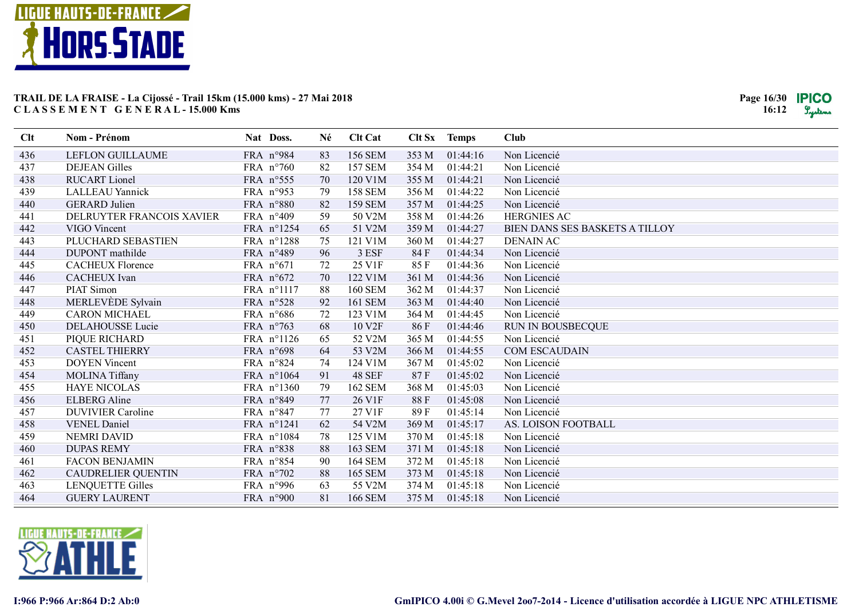

| Clt | Nom - Prénom              | Nat Doss.          | Né | <b>Clt Cat</b> |       | Clt Sx Temps | Club                           |
|-----|---------------------------|--------------------|----|----------------|-------|--------------|--------------------------------|
| 436 | LEFLON GUILLAUME          | FRA n°984          | 83 | <b>156 SEM</b> | 353 M | 01:44:16     | Non Licencié                   |
| 437 | <b>DEJEAN Gilles</b>      | FRA n°760          | 82 | <b>157 SEM</b> | 354 M | 01:44:21     | Non Licencié                   |
| 438 | <b>RUCART</b> Lionel      | FRA n°555          | 70 | 120 V1M        | 355 M | 01:44:21     | Non Licencié                   |
| 439 | <b>LALLEAU Yannick</b>    | FRA n°953          | 79 | <b>158 SEM</b> | 356 M | 01:44:22     | Non Licencié                   |
| 440 | <b>GERARD</b> Julien      | FRA n°880          | 82 | <b>159 SEM</b> | 357 M | 01:44:25     | Non Licencié                   |
| 441 | DELRUYTER FRANCOIS XAVIER | FRA n°409          | 59 | 50 V2M         | 358 M | 01:44:26     | <b>HERGNIES AC</b>             |
| 442 | VIGO Vincent              | FRA n°1254         | 65 | 51 V2M         | 359 M | 01:44:27     | BIEN DANS SES BASKETS A TILLOY |
| 443 | PLUCHARD SEBASTIEN        | FRA n°1288         | 75 | 121 V1M        | 360 M | 01:44:27     | <b>DENAIN AC</b>               |
| 444 | DUPONT mathilde           | FRA n°489          | 96 | 3 ESF          | 84 F  | 01:44:34     | Non Licencié                   |
| 445 | <b>CACHEUX Florence</b>   | FRA $n^{\circ}671$ | 72 | 25 V1F         | 85F   | 01:44:36     | Non Licencié                   |
| 446 | <b>CACHEUX</b> Ivan       | FRA n°672          | 70 | 122 V1M        | 361 M | 01:44:36     | Non Licencié                   |
| 447 | PIAT Simon                | FRA n°1117         | 88 | <b>160 SEM</b> | 362 M | 01:44:37     | Non Licencié                   |
| 448 | MERLEVEDE Sylvain         | FRA n°528          | 92 | <b>161 SEM</b> | 363 M | 01:44:40     | Non Licencié                   |
| 449 | <b>CARON MICHAEL</b>      | FRA n°686          | 72 | 123 V1M        | 364 M | 01:44:45     | Non Licencié                   |
| 450 | <b>DELAHOUSSE Lucie</b>   | FRA n°763          | 68 | 10 V2F         | 86 F  | 01:44:46     | <b>RUN IN BOUSBECQUE</b>       |
| 451 | PIQUE RICHARD             | FRA n°1126         | 65 | 52 V2M         | 365 M | 01:44:55     | Non Licencié                   |
| 452 | <b>CASTEL THIERRY</b>     | FRA n°698          | 64 | 53 V2M         | 366 M | 01:44:55     | <b>COM ESCAUDAIN</b>           |
| 453 | <b>DOYEN Vincent</b>      | FRA n°824          | 74 | 124 V1M        | 367 M | 01:45:02     | Non Licencié                   |
| 454 | MOLINA Tiffany            | FRA n°1064         | 91 | <b>48 SEF</b>  | 87F   | 01:45:02     | Non Licencié                   |
| 455 | <b>HAYE NICOLAS</b>       | FRA n°1360         | 79 | <b>162 SEM</b> | 368 M | 01:45:03     | Non Licencié                   |
| 456 | <b>ELBERG</b> Aline       | FRA n°849          | 77 | 26 V1F         | 88F   | 01:45:08     | Non Licencié                   |
| 457 | <b>DUVIVIER Caroline</b>  | FRA n°847          | 77 | 27 V1F         | 89F   | 01:45:14     | Non Licencié                   |
| 458 | <b>VENEL Daniel</b>       | FRA n°1241         | 62 | 54 V2M         | 369 M | 01:45:17     | AS. LOISON FOOTBALL            |
| 459 | <b>NEMRI DAVID</b>        | FRA n°1084         | 78 | 125 V1M        | 370 M | 01:45:18     | Non Licencié                   |
| 460 | <b>DUPAS REMY</b>         | FRA n°838          | 88 | <b>163 SEM</b> | 371 M | 01:45:18     | Non Licencié                   |
| 461 | <b>FACON BENJAMIN</b>     | FRA n°854          | 90 | <b>164 SEM</b> | 372 M | 01:45:18     | Non Licencié                   |
| 462 | <b>CAUDRELIER QUENTIN</b> | FRA n°702          | 88 | <b>165 SEM</b> | 373 M | 01:45:18     | Non Licencié                   |
| 463 | <b>LENQUETTE Gilles</b>   | FRA n°996          | 63 | 55 V2M         | 374 M | 01:45:18     | Non Licencié                   |
| 464 | <b>GUERY LAURENT</b>      | FRA n°900          | 81 | <b>166 SEM</b> | 375 M | 01:45:18     | Non Licencié                   |

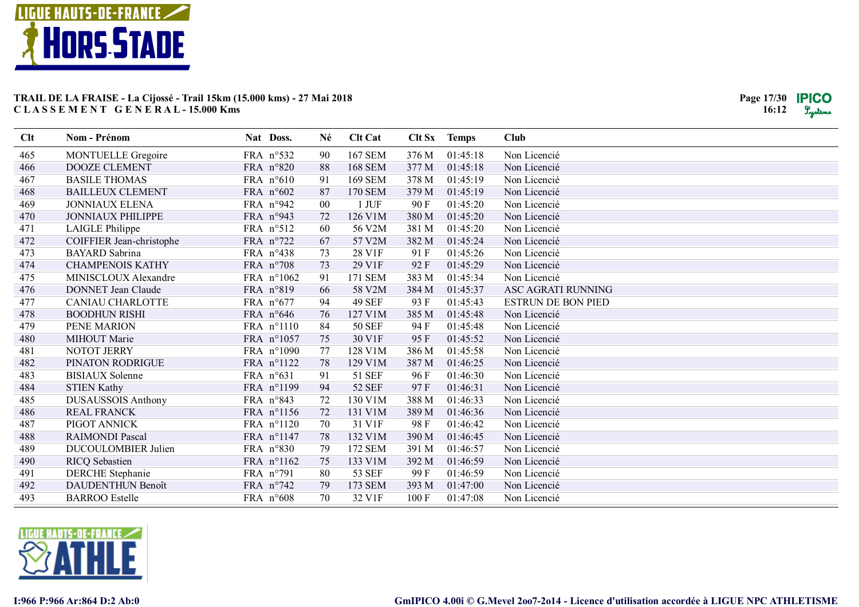

| Clt | Nom - Prénom               | Nat Doss.           | Né | <b>Clt Cat</b> | Clt Sx | <b>Temps</b> | <b>Club</b>               |
|-----|----------------------------|---------------------|----|----------------|--------|--------------|---------------------------|
| 465 | <b>MONTUELLE Gregoire</b>  | FRA n°532           | 90 | <b>167 SEM</b> | 376 M  | 01:45:18     | Non Licencié              |
| 466 | <b>DOOZE CLEMENT</b>       | FRA n°820           | 88 | <b>168 SEM</b> | 377 M  | 01:45:18     | Non Licencié              |
| 467 | <b>BASILE THOMAS</b>       | FRA n°610           | 91 | <b>169 SEM</b> | 378 M  | 01:45:19     | Non Licencié              |
| 468 | <b>BAILLEUX CLEMENT</b>    | FRA n°602           | 87 | <b>170 SEM</b> | 379 M  | 01:45:19     | Non Licencié              |
| 469 | <b>JONNIAUX ELENA</b>      | FRA n°942           | 00 | $1$ JUF        | 90 F   | 01:45:20     | Non Licencié              |
| 470 | <b>JONNIAUX PHILIPPE</b>   | FRA n°943           | 72 | 126 V1M        | 380 M  | 01:45:20     | Non Licencié              |
| 471 | LAIGLE Philippe            | FRA n°512           | 60 | 56 V2M         | 381 M  | 01:45:20     | Non Licencié              |
| 472 | COIFFIER Jean-christophe   | FRA n°722           | 67 | 57 V2M         | 382 M  | 01:45:24     | Non Licencié              |
| 473 | <b>BAYARD</b> Sabrina      | FRA n°438           | 73 | 28 V1F         | 91 F   | 01:45:26     | Non Licencié              |
| 474 | <b>CHAMPENOIS KATHY</b>    | FRA n°708           | 73 | 29 V1F         | 92F    | 01:45:29     | Non Licencié              |
| 475 | MINISCLOUX Alexandre       | FRA n°1062          | 91 | 171 SEM        | 383 M  | 01:45:34     | Non Licencié              |
| 476 | <b>DONNET</b> Jean Claude  | FRA n°819           | 66 | 58 V2M         | 384 M  | 01:45:37     | ASC AGRATI RUNNING        |
| 477 | <b>CANIAU CHARLOTTE</b>    | FRA $n^{\circ}677$  | 94 | <b>49 SEF</b>  | 93 F   | 01:45:43     | <b>ESTRUN DE BON PIED</b> |
| 478 | <b>BOODHUN RISHI</b>       | FRA n°646           | 76 | 127 V1M        | 385 M  | 01:45:48     | Non Licencié              |
| 479 | PENE MARION                | FRA n°1110          | 84 | <b>50 SEF</b>  | 94 F   | 01:45:48     | Non Licencié              |
| 480 | MIHOUT Marie               | FRA n°1057          | 75 | 30 V1F         | 95F    | 01:45:52     | Non Licencié              |
| 481 | NOTOT JERRY                | FRA n°1090          | 77 | 128 V1M        | 386 M  | 01:45:58     | Non Licencié              |
| 482 | PINATON RODRIGUE           | FRA n°1122          | 78 | 129 V1M        | 387 M  | 01:46:25     | Non Licencié              |
| 483 | <b>BISIAUX</b> Solenne     | FRA n°631           | 91 | 51 SEF         | 96 F   | 01:46:30     | Non Licencié              |
| 484 | <b>STIEN Kathy</b>         | FRA n°1199          | 94 | <b>52 SEF</b>  | 97 F   | 01:46:31     | Non Licencié              |
| 485 | <b>DUSAUSSOIS Anthony</b>  | FRA n°843           | 72 | 130 V1M        | 388 M  | 01:46:33     | Non Licencié              |
| 486 | <b>REAL FRANCK</b>         | FRA n°1156          | 72 | 131 V1M        | 389 M  | 01:46:36     | Non Licencié              |
| 487 | PIGOT ANNICK               | FRA n°1120          | 70 | 31 V1F         | 98 F   | 01:46:42     | Non Licencié              |
| 488 | <b>RAIMONDI Pascal</b>     | FRA n°1147          | 78 | 132 V1M        | 390 M  | 01:46:45     | Non Licencié              |
| 489 | <b>DUCOULOMBIER Julien</b> | FRA n°830           | 79 | 172 SEM        | 391 M  | 01:46:57     | Non Licencié              |
| 490 | <b>RICQ</b> Sebastien      | FRA n°1162          | 75 | 133 V1M        | 392 M  | 01:46:59     | Non Licencié              |
| 491 | <b>DERCHE</b> Stephanie    | FRA n°791           | 80 | <b>53 SEF</b>  | 99 F   | 01:46:59     | Non Licencié              |
| 492 | <b>DAUDENTHUN Benoît</b>   | FRA $n^{\circ}$ 742 | 79 | <b>173 SEM</b> | 393 M  | 01:47:00     | Non Licencié              |
| 493 | <b>BARROO</b> Estelle      | FRA n°608           | 70 | 32 V1F         | 100 F  | 01:47:08     | Non Licencié              |

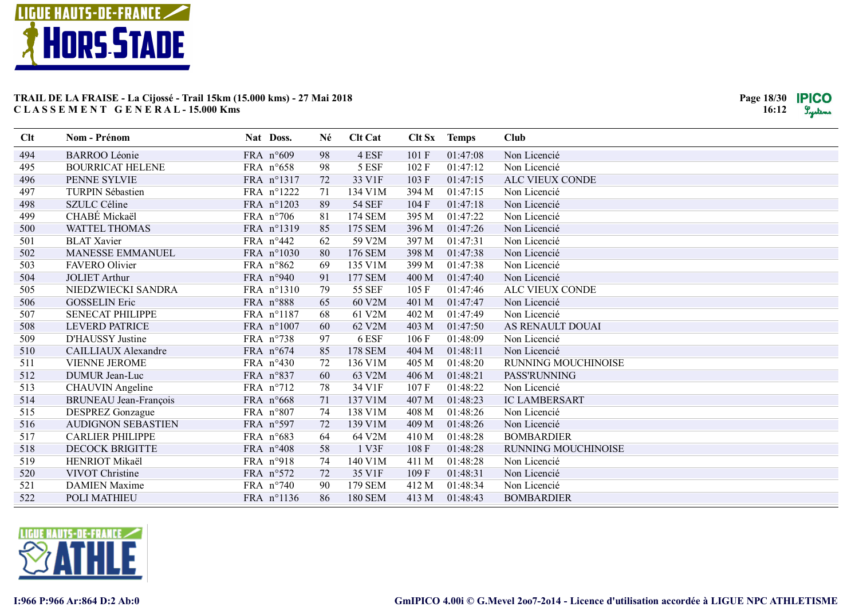

| Clt | Nom - Prénom               | Nat Doss.           | Né | <b>Clt Cat</b> |       | Clt Sx Temps | <b>Club</b>                |
|-----|----------------------------|---------------------|----|----------------|-------|--------------|----------------------------|
| 494 | <b>BARROO Léonie</b>       | FRA n°609           | 98 | 4 ESF          | 101F  | 01:47:08     | Non Licencié               |
| 495 | <b>BOURRICAT HELENE</b>    | FRA n°658           | 98 | 5 ESF          | 102F  | 01:47:12     | Non Licencié               |
| 496 | PENNE SYLVIE               | FRA n°1317          | 72 | 33 V1F         | 103F  | 01:47:15     | ALC VIEUX CONDE            |
| 497 | <b>TURPIN Sébastien</b>    | FRA n°1222          | 71 | 134 V1M        | 394 M | 01:47:15     | Non Licencié               |
| 498 | SZULC Céline               | FRA n°1203          | 89 | <b>54 SEF</b>  | 104F  | 01:47:18     | Non Licencié               |
| 499 | CHABÉ Mickaël              | FRA $n°706$         | 81 | 174 SEM        | 395 M | 01:47:22     | Non Licencié               |
| 500 | <b>WATTEL THOMAS</b>       | FRA n°1319          | 85 | 175 SEM        | 396 M | 01:47:26     | Non Licencié               |
| 501 | <b>BLAT Xavier</b>         | FRA n°442           | 62 | 59 V2M         | 397 M | 01:47:31     | Non Licencié               |
| 502 | <b>MANESSE EMMANUEL</b>    | FRA n°1030          | 80 | 176 SEM        | 398 M | 01:47:38     | Non Licencié               |
| 503 | <b>FAVERO</b> Olivier      | FRA n°862           | 69 | 135 V1M        | 399 M | 01:47:38     | Non Licencié               |
| 504 | <b>JOLIET Arthur</b>       | FRA n°940           | 91 | <b>177 SEM</b> | 400 M | 01:47:40     | Non Licencié               |
| 505 | NIEDZWIECKI SANDRA         | FRA n°1310          | 79 | <b>55 SEF</b>  | 105F  | 01:47:46     | ALC VIEUX CONDE            |
| 506 | <b>GOSSELIN Eric</b>       | FRA n°888           | 65 | 60 V2M         | 401 M | 01:47:47     | Non Licencié               |
| 507 | <b>SENECAT PHILIPPE</b>    | FRA n°1187          | 68 | 61 V2M         | 402 M | 01:47:49     | Non Licencié               |
| 508 | <b>LEVERD PATRICE</b>      | FRA n°1007          | 60 | 62 V2M         | 403 M | 01:47:50     | AS RENAULT DOUAI           |
| 509 | D'HAUSSY Justine           | FRA n°738           | 97 | 6 ESF          | 106 F | 01:48:09     | Non Licencié               |
| 510 | <b>CAILLIAUX Alexandre</b> | FRA n°674           | 85 | <b>178 SEM</b> | 404 M | 01:48:11     | Non Licencié               |
| 511 | <b>VIENNE JEROME</b>       | FRA $n^{\circ}430$  | 72 | 136 V1M        | 405 M | 01:48:20     | <b>RUNNING MOUCHINOISE</b> |
| 512 | DUMUR Jean-Luc             | FRA n°837           | 60 | 63 V2M         | 406 M | 01:48:21     | PASS'RUNNING               |
| 513 | <b>CHAUVIN</b> Angeline    | FRA $n^{\circ}$ 712 | 78 | 34 V1F         | 107 F | 01:48:22     | Non Licencié               |
| 514 | BRUNEAU Jean-François      | FRA n°668           | 71 | 137 V1M        | 407 M | 01:48:23     | <b>IC LAMBERSART</b>       |
| 515 | <b>DESPREZ</b> Gonzague    | FRA n°807           | 74 | 138 V1M        | 408 M | 01:48:26     | Non Licencié               |
| 516 | <b>AUDIGNON SEBASTIEN</b>  | FRA n°597           | 72 | 139 V1M        | 409 M | 01:48:26     | Non Licencié               |
| 517 | <b>CARLIER PHILIPPE</b>    | FRA n°683           | 64 | 64 V2M         | 410 M | 01:48:28     | <b>BOMBARDIER</b>          |
| 518 | <b>DECOCK BRIGITTE</b>     | FRA n°408           | 58 | 1 V3F          | 108F  | 01:48:28     | <b>RUNNING MOUCHINOISE</b> |
| 519 | HENRIOT Mikaël             | FRA n°918           | 74 | 140 V1M        | 411 M | 01:48:28     | Non Licencié               |
| 520 | VIVOT Christine            | FRA n°572           | 72 | 35 V1F         | 109F  | 01:48:31     | Non Licencié               |
| 521 | <b>DAMIEN Maxime</b>       | FRA $n^{\circ}740$  | 90 | 179 SEM        | 412 M | 01:48:34     | Non Licencié               |
| 522 | POLI MATHIEU               | FRA n°1136          | 86 | <b>180 SEM</b> | 413 M | 01:48:43     | <b>BOMBARDIER</b>          |

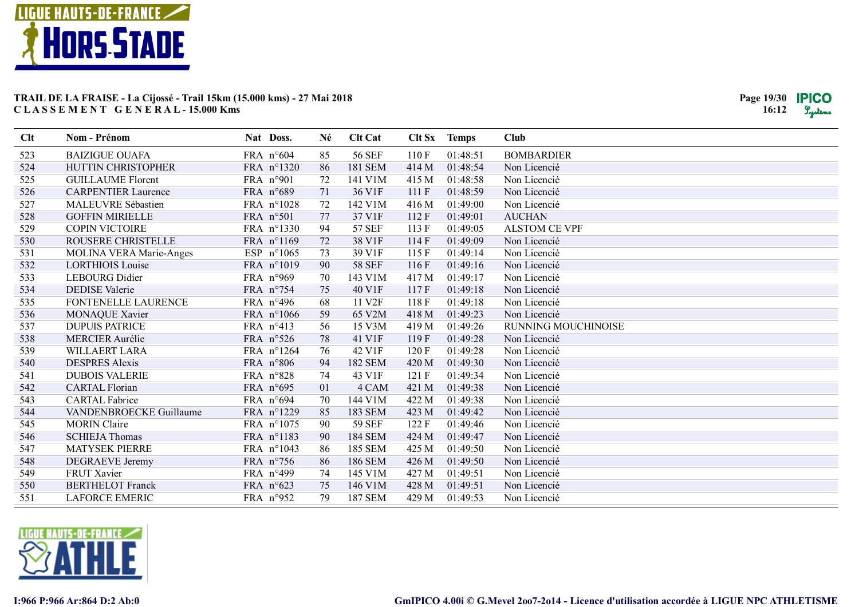

| Clt | <b>Nom - Prénom</b>            | Nat Doss.           | Né | <b>Clt Cat</b>     |       | Clt Sx Temps | Club                       |
|-----|--------------------------------|---------------------|----|--------------------|-------|--------------|----------------------------|
| 523 | <b>BAIZIGUE OUAFA</b>          | FRA n°604           | 85 | <b>56 SEF</b>      | 110F  | 01:48:51     | <b>BOMBARDIER</b>          |
| 524 | HUTTIN CHRISTOPHER             | FRA n°1320          | 86 | <b>181 SEM</b>     | 414 M | 01:48:54     | Non Licencié               |
| 525 | <b>GUILLAUME Florent</b>       | FRA n°901           | 72 | 141 V1M            | 415 M | 01:48:58     | Non Licencié               |
| 526 | <b>CARPENTIER Laurence</b>     | FRA n°689           | 71 | 36 V1F             | 111 F | 01:48:59     | Non Licencié               |
| 527 | <b>MALEUVRE Sébastien</b>      | FRA n°1028          | 72 | 142 V1M            | 416 M | 01:49:00     | Non Licencié               |
| 528 | <b>GOFFIN MIRIELLE</b>         | FRA n°501           | 77 | 37 V1F             | 112F  | 01:49:01     | <b>AUCHAN</b>              |
| 529 | <b>COPIN VICTOIRE</b>          | FRA n°1330          | 94 | <b>57 SEF</b>      | 113 F | 01:49:05     | <b>ALSTOM CE VPF</b>       |
| 530 | ROUSERE CHRISTELLE             | FRA n°1169          | 72 | 38 V1F             | 114F  | 01:49:09     | Non Licencié               |
| 531 | <b>MOLINA VERA Marie-Anges</b> | ESP $n^{\circ}1065$ | 73 | 39 V1F             | 115F  | 01:49:14     | Non Licencié               |
| 532 | <b>LORTHIOIS Louise</b>        | FRA n°1019          | 90 | <b>58 SEF</b>      | 116F  | 01:49:16     | Non Licencié               |
| 533 | <b>LEBOURG</b> Didier          | FRA n°969           | 70 | 143 V1M            | 417 M | 01:49:17     | Non Licencié               |
| 534 | <b>DEDISE</b> Valerie          | FRA n°754           | 75 | 40 V1F             | 117F  | 01:49:18     | Non Licencié               |
| 535 | FONTENELLE LAURENCE            | FRA n°496           | 68 | 11 V <sub>2F</sub> | 118 F | 01:49:18     | Non Licencié               |
| 536 | <b>MONAQUE Xavier</b>          | FRA n°1066          | 59 | 65 V2M             | 418 M | 01:49:23     | Non Licencié               |
| 537 | <b>DUPUIS PATRICE</b>          | FRA n°413           | 56 | 15 V3M             | 419 M | 01:49:26     | <b>RUNNING MOUCHINOISE</b> |
| 538 | <b>MERCIER Aurélie</b>         | FRA n°526           | 78 | 41 V1F             | 119F  | 01:49:28     | Non Licencié               |
| 539 | <b>WILLAERT LARA</b>           | FRA n°1264          | 76 | 42 V1F             | 120F  | 01:49:28     | Non Licencié               |
| 540 | <b>DESPRES Alexis</b>          | FRA n°806           | 94 | <b>182 SEM</b>     | 420 M | 01:49:30     | Non Licencié               |
| 541 | <b>DUBOIS VALERIE</b>          | FRA n°828           | 74 | 43 V1F             | 121 F | 01:49:34     | Non Licencié               |
| 542 | <b>CARTAL Florian</b>          | FRA n°695           | 01 | 4 CAM              | 421 M | 01:49:38     | Non Licencié               |
| 543 | <b>CARTAL Fabrice</b>          | FRA n°694           | 70 | 144 V1M            | 422 M | 01:49:38     | Non Licencié               |
| 544 | VANDENBROECKE Guillaume        | FRA n°1229          | 85 | <b>183 SEM</b>     | 423 M | 01:49:42     | Non Licencié               |
| 545 | <b>MORIN Claire</b>            | FRA n°1075          | 90 | <b>59 SEF</b>      | 122F  | 01:49:46     | Non Licencié               |
| 546 | <b>SCHIEJA Thomas</b>          | FRA n°1183          | 90 | <b>184 SEM</b>     | 424 M | 01:49:47     | Non Licencié               |
| 547 | <b>MATYSEK PIERRE</b>          | FRA n°1043          | 86 | <b>185 SEM</b>     | 425 M | 01:49:50     | Non Licencié               |
| 548 | DEGRAEVE Jeremy                | FRA n°756           | 86 | <b>186 SEM</b>     | 426 M | 01:49:50     | Non Licencié               |
| 549 | FRUT Xavier                    | FRA n°499           | 74 | 145 V1M            | 427 M | 01:49:51     | Non Licencié               |
| 550 | <b>BERTHELOT</b> Franck        | FRA n°623           | 75 | 146 V1M            | 428 M | 01:49:51     | Non Licencié               |
| 551 | <b>LAFORCE EMERIC</b>          | FRA n°952           | 79 | <b>187 SEM</b>     | 429 M | 01:49:53     | Non Licencié               |

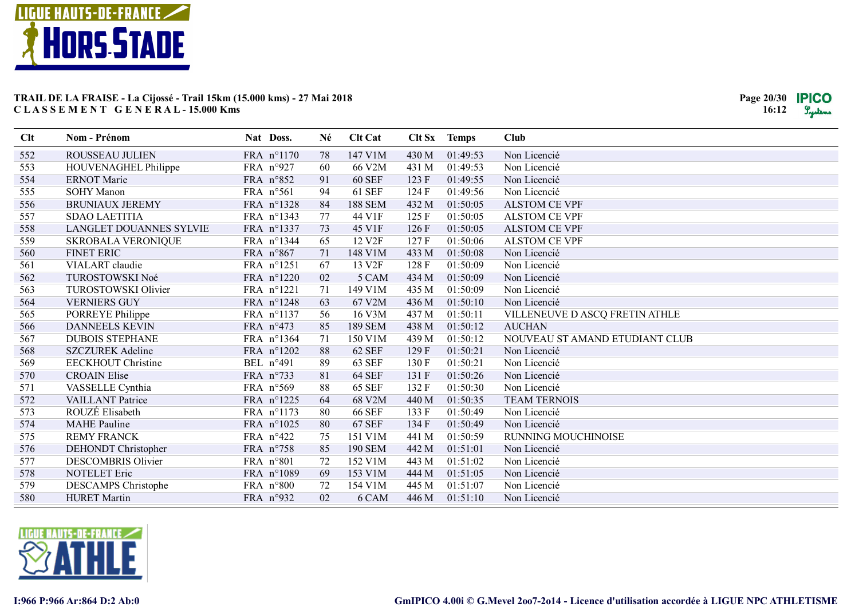

| Clt | Nom - Prénom                   | Nat Doss.  | Né | <b>Clt Cat</b>     |       | Clt Sx Temps | <b>Club</b>                    |
|-----|--------------------------------|------------|----|--------------------|-------|--------------|--------------------------------|
| 552 | ROUSSEAU JULIEN                | FRA n°1170 | 78 | 147 V1M            | 430 M | 01:49:53     | Non Licencié                   |
| 553 | HOUVENAGHEL Philippe           | FRA n°927  | 60 | 66 V2M             | 431 M | 01:49:53     | Non Licencié                   |
| 554 | <b>ERNOT</b> Marie             | FRA n°852  | 91 | <b>60 SEF</b>      | 123 F | 01:49:55     | Non Licencié                   |
| 555 | <b>SOHY Manon</b>              | FRA n°561  | 94 | <b>61 SEF</b>      | 124 F | 01:49:56     | Non Licencié                   |
| 556 | <b>BRUNIAUX JEREMY</b>         | FRA n°1328 | 84 | <b>188 SEM</b>     | 432 M | 01:50:05     | <b>ALSTOM CE VPF</b>           |
| 557 | <b>SDAO LAETITIA</b>           | FRA n°1343 | 77 | 44 V1F             | 125F  | 01:50:05     | <b>ALSTOM CE VPF</b>           |
| 558 | <b>LANGLET DOUANNES SYLVIE</b> | FRA n°1337 | 73 | 45 V1F             | 126F  | 01:50:05     | <b>ALSTOM CE VPF</b>           |
| 559 | <b>SKROBALA VERONIQUE</b>      | FRA n°1344 | 65 | 12 V <sub>2F</sub> | 127F  | 01:50:06     | <b>ALSTOM CE VPF</b>           |
| 560 | <b>FINET ERIC</b>              | FRA n°867  | 71 | 148 V1M            | 433 M | 01:50:08     | Non Licencié                   |
| 561 | VIALART claudie                | FRA n°1251 | 67 | 13 V <sub>2F</sub> | 128F  | 01:50:09     | Non Licencié                   |
| 562 | TUROSTOWSKI Noé                | FRA n°1220 | 02 | 5 CAM              | 434 M | 01:50:09     | Non Licencié                   |
| 563 | TUROSTOWSKI Olivier            | FRA n°1221 | 71 | 149 V1M            | 435 M | 01:50:09     | Non Licencié                   |
| 564 | <b>VERNIERS GUY</b>            | FRA n°1248 | 63 | 67 V2M             | 436 M | 01:50:10     | Non Licencié                   |
| 565 | PORREYE Philippe               | FRA n°1137 | 56 | 16 V3M             | 437 M | 01:50:11     | VILLENEUVE D ASCQ FRETIN ATHLE |
| 566 | <b>DANNEELS KEVIN</b>          | FRA n°473  | 85 | <b>189 SEM</b>     | 438 M | 01:50:12     | <b>AUCHAN</b>                  |
| 567 | <b>DUBOIS STEPHANE</b>         | FRA n°1364 | 71 | 150 V1M            | 439 M | 01:50:12     | NOUVEAU ST AMAND ETUDIANT CLUB |
| 568 | <b>SZCZUREK Adeline</b>        | FRA n°1202 | 88 | 62 SEF             | 129F  | 01:50:21     | Non Licencié                   |
| 569 | <b>EECKHOUT Christine</b>      | BEL n°491  | 89 | <b>63 SEF</b>      | 130F  | 01:50:21     | Non Licencié                   |
| 570 | <b>CROAIN Elise</b>            | FRA n°733  | 81 | <b>64 SEF</b>      | 131 F | 01:50:26     | Non Licencié                   |
| 571 | VASSELLE Cynthia               | FRA n°569  | 88 | <b>65 SEF</b>      | 132F  | 01:50:30     | Non Licencié                   |
| 572 | VAILLANT Patrice               | FRA n°1225 | 64 | 68 V2M             | 440 M | 01:50:35     | <b>TEAM TERNOIS</b>            |
| 573 | ROUZÉ Elisabeth                | FRA n°1173 | 80 | <b>66 SEF</b>      | 133 F | 01:50:49     | Non Licencié                   |
| 574 | <b>MAHE</b> Pauline            | FRA n°1025 | 80 | <b>67 SEF</b>      | 134 F | 01:50:49     | Non Licencié                   |
| 575 | <b>REMY FRANCK</b>             | FRA n°422  | 75 | 151 V1M            | 441 M | 01:50:59     | RUNNING MOUCHINOISE            |
| 576 | DEHONDT Christopher            | FRA n°758  | 85 | <b>190 SEM</b>     | 442 M | 01:51:01     | Non Licencié                   |
| 577 | <b>DESCOMBRIS Olivier</b>      | FRA n°801  | 72 | 152 V1M            | 443 M | 01:51:02     | Non Licencié                   |
| 578 | <b>NOTELET Eric</b>            | FRA n°1089 | 69 | 153 V1M            | 444 M | 01:51:05     | Non Licencié                   |
| 579 | DESCAMPS Christophe            | FRA n°800  | 72 | 154 V1M            | 445 M | 01:51:07     | Non Licencié                   |
| 580 | <b>HURET</b> Martin            | FRA n°932  | 02 | 6 CAM              | 446 M | 01:51:10     | Non Licencié                   |

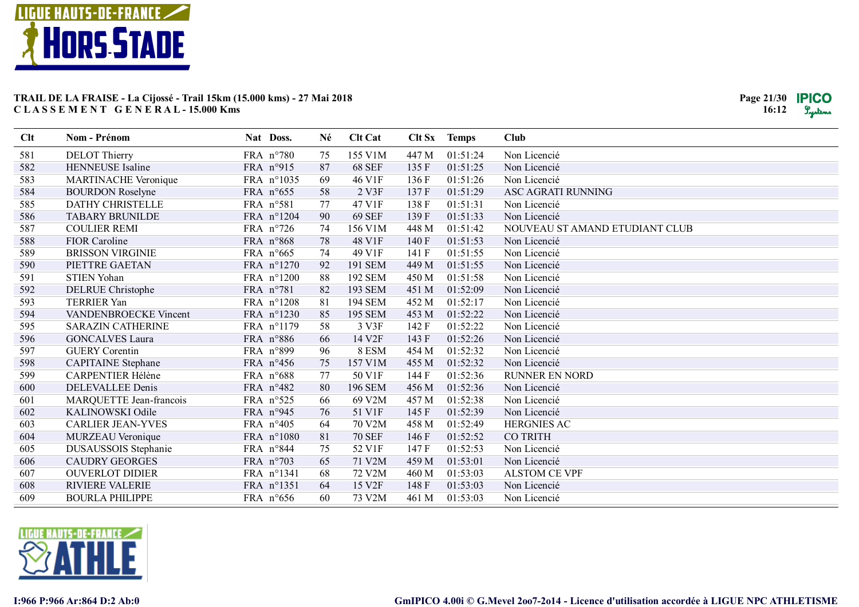

| Clt | Nom - Prénom                | Nat Doss.  | Né | <b>Clt Cat</b>     |       | Clt Sx Temps | <b>Club</b>                    |
|-----|-----------------------------|------------|----|--------------------|-------|--------------|--------------------------------|
| 581 | <b>DELOT</b> Thierry        | FRA n°780  | 75 | 155 V1M            | 447 M | 01:51:24     | Non Licencié                   |
| 582 | HENNEUSE Isaline            | FRA n°915  | 87 | <b>68 SEF</b>      | 135F  | 01:51:25     | Non Licencié                   |
| 583 | <b>MARTINACHE Veronique</b> | FRA n°1035 | 69 | 46 V1F             | 136F  | 01:51:26     | Non Licencié                   |
| 584 | <b>BOURDON Roselyne</b>     | FRA n°655  | 58 | 2 V3F              | 137F  | 01:51:29     | ASC AGRATI RUNNING             |
| 585 | DATHY CHRISTELLE            | FRA n°581  | 77 | 47 V1F             | 138 F | 01:51:31     | Non Licencié                   |
| 586 | <b>TABARY BRUNILDE</b>      | FRA n°1204 | 90 | <b>69 SEF</b>      | 139F  | 01:51:33     | Non Licencié                   |
| 587 | <b>COULIER REMI</b>         | FRA n°726  | 74 | 156 V1M            | 448 M | 01:51:42     | NOUVEAU ST AMAND ETUDIANT CLUB |
| 588 | FIOR Caroline               | FRA n°868  | 78 | 48 V1F             | 140 F | 01:51:53     | Non Licencié                   |
| 589 | <b>BRISSON VIRGINIE</b>     | FRA n°665  | 74 | 49 V1F             | 141 F | 01:51:55     | Non Licencié                   |
| 590 | PIETTRE GAETAN              | FRA n°1270 | 92 | 191 SEM            | 449 M | 01:51:55     | Non Licencié                   |
| 591 | <b>STIEN Yohan</b>          | FRA n°1200 | 88 | 192 SEM            | 450 M | 01:51:58     | Non Licencié                   |
| 592 | <b>DELRUE</b> Christophe    | FRA n°781  | 82 | 193 SEM            | 451 M | 01:52:09     | Non Licencié                   |
| 593 | <b>TERRIER Yan</b>          | FRA n°1208 | 81 | 194 SEM            | 452 M | 01:52:17     | Non Licencié                   |
| 594 | VANDENBROECKE Vincent       | FRA n°1230 | 85 | <b>195 SEM</b>     | 453 M | 01:52:22     | Non Licencié                   |
| 595 | <b>SARAZIN CATHERINE</b>    | FRA n°1179 | 58 | 3 V3F              | 142 F | 01:52:22     | Non Licencié                   |
| 596 | <b>GONCALVES Laura</b>      | FRA n°886  | 66 | 14 V2F             | 143 F | 01:52:26     | Non Licencié                   |
| 597 | <b>GUERY Corentin</b>       | FRA n°899  | 96 | 8 ESM              | 454 M | 01:52:32     | Non Licencié                   |
| 598 | <b>CAPITAINE</b> Stephane   | FRA n°456  | 75 | 157 V1M            | 455 M | 01:52:32     | Non Licencié                   |
| 599 | CARPENTIER Hélène           | FRA n°688  | 77 | 50 V1F             | 144 F | 01:52:36     | <b>RUNNER EN NORD</b>          |
| 600 | DELEVALLEE Denis            | FRA n°482  | 80 | <b>196 SEM</b>     | 456 M | 01:52:36     | Non Licencié                   |
| 601 | MARQUETTE Jean-francois     | FRA n°525  | 66 | 69 V2M             | 457 M | 01:52:38     | Non Licencié                   |
| 602 | KALINOWSKI Odile            | FRA n°945  | 76 | 51 V1F             | 145 F | 01:52:39     | Non Licencié                   |
| 603 | <b>CARLIER JEAN-YVES</b>    | FRA n°405  | 64 | 70 V2M             | 458 M | 01:52:49     | <b>HERGNIES AC</b>             |
| 604 | <b>MURZEAU Veronique</b>    | FRA n°1080 | 81 | <b>70 SEF</b>      | 146 F | 01:52:52     | <b>CO TRITH</b>                |
| 605 | DUSAUSSOIS Stephanie        | FRA n°844  | 75 | 52 V1F             | 147F  | 01:52:53     | Non Licencié                   |
| 606 | <b>CAUDRY GEORGES</b>       | FRA n°703  | 65 | 71 V2M             | 459 M | 01:53:01     | Non Licencié                   |
| 607 | <b>OUVERLOT DIDIER</b>      | FRA n°1341 | 68 | 72 V2M             | 460 M | 01:53:03     | <b>ALSTOM CE VPF</b>           |
| 608 | <b>RIVIERE VALERIE</b>      | FRA n°1351 | 64 | 15 V <sub>2F</sub> | 148 F | 01:53:03     | Non Licencié                   |
| 609 | <b>BOURLA PHILIPPE</b>      | FRA n°656  | 60 | 73 V2M             | 461 M | 01:53:03     | Non Licencié                   |

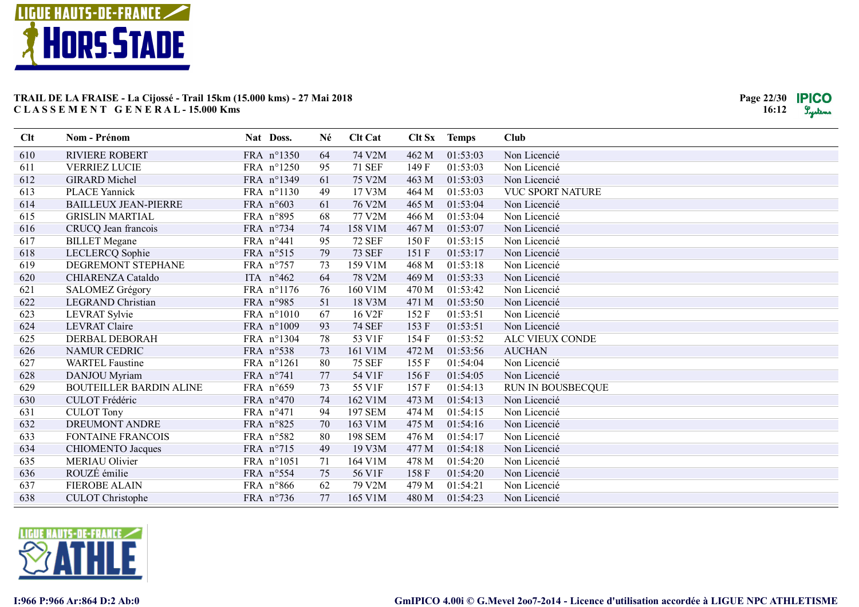

| Clt | <b>Nom - Prénom</b>            | Nat Doss.          | Né | <b>Clt Cat</b>     |       | Clt Sx Temps | <b>Club</b>             |
|-----|--------------------------------|--------------------|----|--------------------|-------|--------------|-------------------------|
| 610 | <b>RIVIERE ROBERT</b>          | FRA n°1350         | 64 | 74 V2M             | 462 M | 01:53:03     | Non Licencié            |
| 611 | <b>VERRIEZ LUCIE</b>           | FRA n°1250         | 95 | <b>71 SEF</b>      | 149F  | 01:53:03     | Non Licencié            |
| 612 | <b>GIRARD</b> Michel           | FRA n°1349         | 61 | 75 V2M             | 463 M | 01:53:03     | Non Licencié            |
| 613 | <b>PLACE Yannick</b>           | FRA n°1130         | 49 | 17 V3M             | 464 M | 01:53:03     | <b>VUC SPORT NATURE</b> |
| 614 | <b>BAILLEUX JEAN-PIERRE</b>    | FRA n°603          | 61 | 76 V2M             | 465 M | 01:53:04     | Non Licencié            |
| 615 | <b>GRISLIN MARTIAL</b>         | FRA n°895          | 68 | 77 V2M             | 466 M | 01:53:04     | Non Licencié            |
| 616 | CRUCQ Jean francois            | FRA n°734          | 74 | 158 V1M            | 467 M | 01:53:07     | Non Licencié            |
| 617 | <b>BILLET</b> Megane           | FRA n°441          | 95 | <b>72 SEF</b>      | 150 F | 01:53:15     | Non Licencié            |
| 618 | LECLERCQ Sophie                | FRA n°515          | 79 | <b>73 SEF</b>      | 151 F | 01:53:17     | Non Licencié            |
| 619 | DEGREMONT STEPHANE             | FRA n°757          | 73 | 159 V1M            | 468 M | 01:53:18     | Non Licencié            |
| 620 | CHIARENZA Cataldo              | ITA $n^{\circ}462$ | 64 | 78 V2M             | 469 M | 01:53:33     | Non Licencié            |
| 621 | <b>SALOMEZ Grégory</b>         | FRA n°1176         | 76 | 160 V1M            | 470 M | 01:53:42     | Non Licencié            |
| 622 | <b>LEGRAND Christian</b>       | FRA n°985          | 51 | 18 V3M             | 471 M | 01:53:50     | Non Licencié            |
| 623 | LEVRAT Sylvie                  | FRA n°1010         | 67 | 16 V <sub>2F</sub> | 152F  | 01:53:51     | Non Licencié            |
| 624 | <b>LEVRAT Claire</b>           | FRA n°1009         | 93 | <b>74 SEF</b>      | 153 F | 01:53:51     | Non Licencié            |
| 625 | DERBAL DEBORAH                 | FRA n°1304         | 78 | 53 V1F             | 154 F | 01:53:52     | ALC VIEUX CONDE         |
| 626 | <b>NAMUR CEDRIC</b>            | FRA n°538          | 73 | 161 V1M            | 472 M | 01:53:56     | <b>AUCHAN</b>           |
| 627 | <b>WARTEL Faustine</b>         | FRA n°1261         | 80 | <b>75 SEF</b>      | 155F  | 01:54:04     | Non Licencié            |
| 628 | DANJOU Myriam                  | FRA $n^{\circ}741$ | 77 | 54 V1F             | 156F  | 01:54:05     | Non Licencié            |
| 629 | <b>BOUTEILLER BARDIN ALINE</b> | FRA n°659          | 73 | 55 V1F             | 157F  | 01:54:13     | RUN IN BOUSBECQUE       |
| 630 | CULOT Frédéric                 | FRA n°470          | 74 | 162 V1M            | 473 M | 01:54:13     | Non Licencié            |
| 631 | <b>CULOT Tony</b>              | FRA $n^{\circ}471$ | 94 | <b>197 SEM</b>     | 474 M | 01:54:15     | Non Licencié            |
| 632 | <b>DREUMONT ANDRE</b>          | FRA n°825          | 70 | 163 V1M            | 475 M | 01:54:16     | Non Licencié            |
| 633 | <b>FONTAINE FRANCOIS</b>       | FRA n°582          | 80 | <b>198 SEM</b>     | 476 M | 01:54:17     | Non Licencié            |
| 634 | <b>CHIOMENTO Jacques</b>       | FRA n°715          | 49 | 19 V3M             | 477 M | 01:54:18     | Non Licencié            |
| 635 | <b>MERIAU Olivier</b>          | FRA n°1051         | 71 | 164 V1M            | 478 M | 01:54:20     | Non Licencié            |
| 636 | ROUZÉ émilie                   | FRA n°554          | 75 | 56 V1F             | 158F  | 01:54:20     | Non Licencié            |
| 637 | <b>FIEROBE ALAIN</b>           | FRA n°866          | 62 | 79 V2M             | 479 M | 01:54:21     | Non Licencié            |
| 638 | <b>CULOT</b> Christophe        | FRA n°736          | 77 | 165 V1M            | 480 M | 01:54:23     | Non Licencié            |

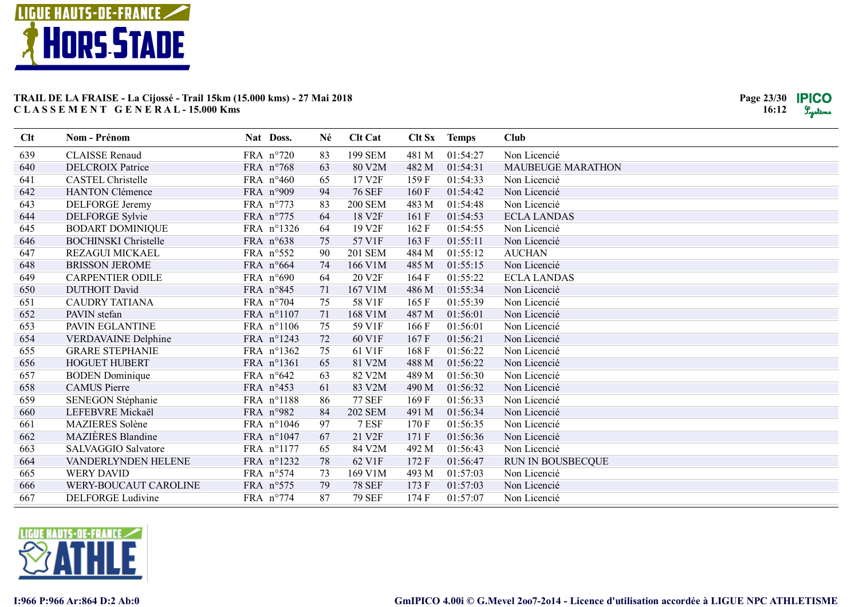

| Clt | Nom - Prénom                | Nat Doss.          |            | Né | <b>Clt Cat</b>     |       | Clt Sx Temps | <b>Club</b>              |
|-----|-----------------------------|--------------------|------------|----|--------------------|-------|--------------|--------------------------|
| 639 | <b>CLAISSE</b> Renaud       | FRA n°720          |            | 83 | <b>199 SEM</b>     | 481 M | 01:54:27     | Non Licencié             |
| 640 | <b>DELCROIX Patrice</b>     | FRA n°768          |            | 63 | 80 V2M             | 482 M | 01:54:31     | <b>MAUBEUGE MARATHON</b> |
| 641 | <b>CASTEL Christelle</b>    | FRA $n^{\circ}460$ |            | 65 | 17 V2F             | 159F  | 01:54:33     | Non Licencié             |
| 642 | <b>HANTON Clémence</b>      | FRA n°909          |            | 94 | <b>76 SEF</b>      | 160F  | 01:54:42     | Non Licencié             |
| 643 | DELFORGE Jeremy             | FRA n°773          |            | 83 | <b>200 SEM</b>     | 483 M | 01:54:48     | Non Licencié             |
| 644 | <b>DELFORGE Sylvie</b>      | FRA n°775          |            | 64 | 18 V <sub>2F</sub> | 161F  | 01:54:53     | <b>ECLA LANDAS</b>       |
| 645 | <b>BODART DOMINIQUE</b>     | FRA n°1326         |            | 64 | 19 V <sub>2F</sub> | 162F  | 01:54:55     | Non Licencié             |
| 646 | <b>BOCHINSKI</b> Christelle | FRA n°638          |            | 75 | 57 V1F             | 163F  | 01:55:11     | Non Licencié             |
| 647 | <b>REZAGUI MICKAEL</b>      | FRA n°552          |            | 90 | <b>201 SEM</b>     | 484 M | 01:55:12     | <b>AUCHAN</b>            |
| 648 | <b>BRISSON JEROME</b>       | FRA n°664          |            | 74 | 166 V1M            | 485 M | 01:55:15     | Non Licencié             |
| 649 | <b>CARPENTIER ODILE</b>     | FRA n°690          |            | 64 | 20 V2F             | 164 F | 01:55:22     | <b>ECLA LANDAS</b>       |
| 650 | <b>DUTHOIT David</b>        | FRA n°845          |            | 71 | 167 V1M            | 486 M | 01:55:34     | Non Licencié             |
| 651 | <b>CAUDRY TATIANA</b>       | FRA n°704          |            | 75 | 58 V1F             | 165F  | 01:55:39     | Non Licencié             |
| 652 | PAVIN stefan                | FRA n°1107         |            | 71 | 168 V1M            | 487 M | 01:56:01     | Non Licencié             |
| 653 | PAVIN EGLANTINE             | FRA n°1106         |            | 75 | 59 V1F             | 166F  | 01:56:01     | Non Licencié             |
| 654 | VERDAVAINE Delphine         | FRA n°1243         |            | 72 | 60 V1F             | 167F  | 01:56:21     | Non Licencié             |
| 655 | <b>GRARE STEPHANIE</b>      | FRA n°1362         |            | 75 | 61 V1F             | 168F  | 01:56:22     | Non Licencié             |
| 656 | <b>HOGUET HUBERT</b>        | FRA n°1361         |            | 65 | 81 V2M             | 488 M | 01:56:22     | Non Licencié             |
| 657 | <b>BODEN</b> Dominique      | FRA n°642          |            | 63 | 82 V2M             | 489 M | 01:56:30     | Non Licencié             |
| 658 | <b>CAMUS</b> Pierre         | FRA n°453          |            | 61 | 83 V2M             | 490 M | 01:56:32     | Non Licencié             |
| 659 | SENEGON Stéphanie           | FRA n°1188         |            | 86 | <b>77 SEF</b>      | 169F  | 01:56:33     | Non Licencié             |
| 660 | LEFEBVRE Mickaël            | FRA n°982          |            | 84 | <b>202 SEM</b>     | 491 M | 01:56:34     | Non Licencié             |
| 661 | <b>MAZIERES</b> Solène      |                    | FRA n°1046 | 97 | 7 ESF              | 170F  | 01:56:35     | Non Licencié             |
| 662 | <b>MAZIÈRES</b> Blandine    | FRA n°1047         |            | 67 | 21 V2F             | 171 F | 01:56:36     | Non Licencié             |
| 663 | SALVAGGIO Salvatore         | FRA n°1177         |            | 65 | 84 V2M             | 492 M | 01:56:43     | Non Licencié             |
| 664 | VANDERLYNDEN HELENE         | FRA n°1232         |            | 78 | 62 V1F             | 172F  | 01:56:47     | RUN IN BOUSBECQUE        |
| 665 | <b>WERY DAVID</b>           | FRA n°574          |            | 73 | 169 V1M            | 493 M | 01:57:03     | Non Licencié             |
| 666 | WERY-BOUCAUT CAROLINE       | FRA n°575          |            | 79 | <b>78 SEF</b>      | 173 F | 01:57:03     | Non Licencié             |
| 667 | <b>DELFORGE Ludivine</b>    | FRA n°774          |            | 87 | <b>79 SEF</b>      | 174F  | 01:57:07     | Non Licencié             |

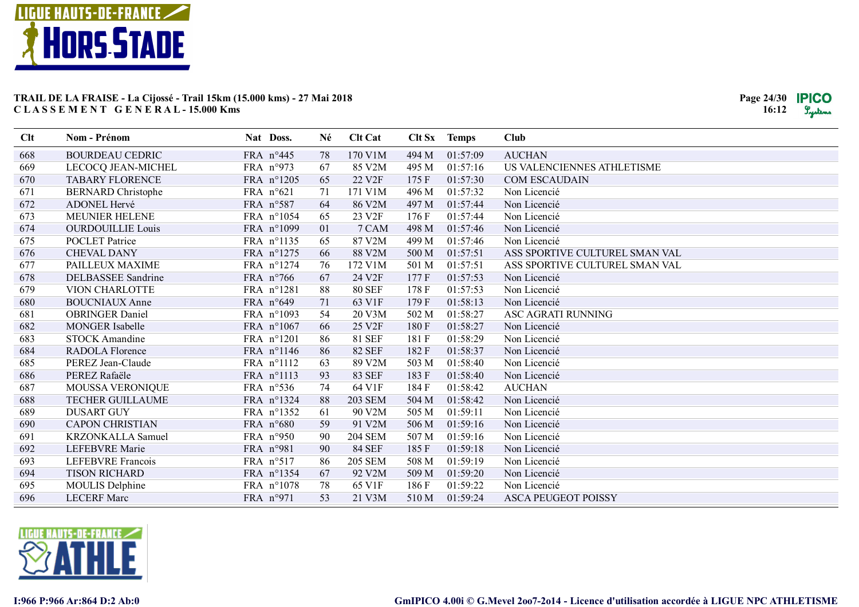

| Clt | Nom - Prénom              | Nat Doss.           | Né | <b>Clt Cat</b>     |       | Clt Sx Temps | Club                           |
|-----|---------------------------|---------------------|----|--------------------|-------|--------------|--------------------------------|
| 668 | <b>BOURDEAU CEDRIC</b>    | FRA n°445           | 78 | 170 V1M            | 494 M | 01:57:09     | <b>AUCHAN</b>                  |
| 669 | LECOCQ JEAN-MICHEL        | FRA n°973           | 67 | 85 V2M             | 495 M | 01:57:16     | US VALENCIENNES ATHLETISME     |
| 670 | <b>TABARY FLORENCE</b>    | FRA n°1205          | 65 | 22 V <sub>2F</sub> | 175 F | 01:57:30     | <b>COM ESCAUDAIN</b>           |
| 671 | <b>BERNARD</b> Christophe | FRA n°621           | 71 | 171 V1M            | 496 M | 01:57:32     | Non Licencié                   |
| 672 | ADONEL Hervé              | FRA n°587           | 64 | 86 V2M             | 497 M | 01:57:44     | Non Licencié                   |
| 673 | MEUNIER HELENE            | FRA n°1054          | 65 | 23 V2F             | 176 F | 01:57:44     | Non Licencié                   |
| 674 | <b>OURDOUILLIE Louis</b>  | FRA n°1099          | 01 | 7 CAM              | 498 M | 01:57:46     | Non Licencié                   |
| 675 | <b>POCLET</b> Patrice     | FRA n°1135          | 65 | 87 V2M             | 499 M | 01:57:46     | Non Licencié                   |
| 676 | <b>CHEVAL DANY</b>        | FRA n°1275          | 66 | 88 V2M             | 500 M | 01:57:51     | ASS SPORTIVE CULTUREL SMAN VAL |
| 677 | PAILLEUX MAXIME           | FRA n°1274          | 76 | 172 V1M            | 501 M | 01:57:51     | ASS SPORTIVE CULTUREL SMAN VAL |
| 678 | <b>DELBASSEE Sandrine</b> | FRA $n^{\circ}$ 766 | 67 | 24 V2F             | 177F  | 01:57:53     | Non Licencié                   |
| 679 | VION CHARLOTTE            | FRA n°1281          | 88 | <b>80 SEF</b>      | 178F  | 01:57:53     | Non Licencié                   |
| 680 | <b>BOUCNIAUX</b> Anne     | FRA n°649           | 71 | 63 V1F             | 179F  | 01:58:13     | Non Licencié                   |
| 681 | <b>OBRINGER Daniel</b>    | FRA n°1093          | 54 | 20 V3M             | 502 M | 01:58:27     | ASC AGRATI RUNNING             |
| 682 | <b>MONGER Isabelle</b>    | FRA n°1067          | 66 | 25 V2F             | 180F  | 01:58:27     | Non Licencié                   |
| 683 | <b>STOCK Amandine</b>     | FRA n°1201          | 86 | <b>81 SEF</b>      | 181 F | 01:58:29     | Non Licencié                   |
| 684 | <b>RADOLA Florence</b>    | FRA n°1146          | 86 | <b>82 SEF</b>      | 182F  | 01:58:37     | Non Licencié                   |
| 685 | PEREZ Jean-Claude         | FRA n°1112          | 63 | 89 V2M             | 503 M | 01:58:40     | Non Licencié                   |
| 686 | PEREZ Rafaële             | FRA n°1113          | 93 | <b>83 SEF</b>      | 183F  | 01:58:40     | Non Licencié                   |
| 687 | MOUSSA VERONIQUE          | FRA n°536           | 74 | 64 V1F             | 184 F | 01:58:42     | <b>AUCHAN</b>                  |
| 688 | <b>TECHER GUILLAUME</b>   | FRA n°1324          | 88 | <b>203 SEM</b>     | 504 M | 01:58:42     | Non Licencié                   |
| 689 | <b>DUSART GUY</b>         | FRA n°1352          | 61 | 90 V2M             | 505 M | 01:59:11     | Non Licencié                   |
| 690 | <b>CAPON CHRISTIAN</b>    | FRA n°680           | 59 | 91 V2M             | 506 M | 01:59:16     | Non Licencié                   |
| 691 | KRZONKALLA Samuel         | FRA n°950           | 90 | <b>204 SEM</b>     | 507 M | 01:59:16     | Non Licencié                   |
| 692 | <b>LEFEBVRE</b> Marie     | FRA n°981           | 90 | <b>84 SEF</b>      | 185F  | 01:59:18     | Non Licencié                   |
| 693 | LEFEBVRE Francois         | FRA n°517           | 86 | <b>205 SEM</b>     | 508 M | 01:59:19     | Non Licencié                   |
| 694 | <b>TISON RICHARD</b>      | FRA n°1354          | 67 | 92 V2M             | 509 M | 01:59:20     | Non Licencié                   |
| 695 | <b>MOULIS Delphine</b>    | FRA n°1078          | 78 | 65 V1F             | 186F  | 01:59:22     | Non Licencié                   |
| 696 | <b>LECERF Marc</b>        | FRA n°971           | 53 | 21 V3M             | 510 M | 01:59:24     | <b>ASCA PEUGEOT POISSY</b>     |

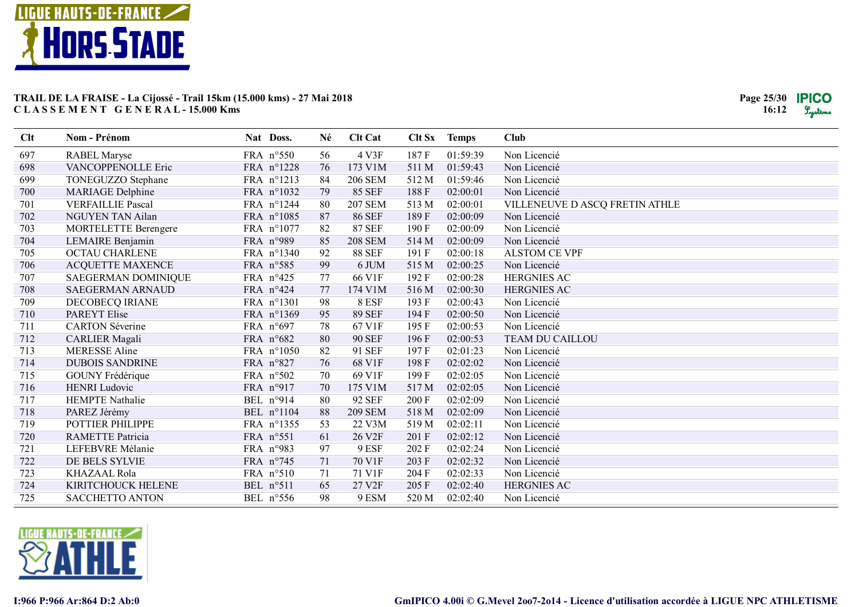

| Clt | Nom - Prénom                | Nat Doss.  | Né | <b>Clt Cat</b>     |       | Clt Sx Temps | <b>Club</b>                    |
|-----|-----------------------------|------------|----|--------------------|-------|--------------|--------------------------------|
| 697 | <b>RABEL Maryse</b>         | FRA n°550  | 56 | 4 V3F              | 187F  | 01:59:39     | Non Licencié                   |
| 698 | VANCOPPENOLLE Eric          | FRA n°1228 | 76 | 173 V1M            | 511 M | 01:59:43     | Non Licencié                   |
| 699 | TONEGUZZO Stephane          | FRA n°1213 | 84 | <b>206 SEM</b>     | 512 M | 01:59:46     | Non Licencié                   |
| 700 | <b>MARIAGE Delphine</b>     | FRA n°1032 | 79 | <b>85 SEF</b>      | 188F  | 02:00:01     | Non Licencié                   |
| 701 | <b>VERFAILLIE Pascal</b>    | FRA n°1244 | 80 | <b>207 SEM</b>     | 513 M | 02:00:01     | VILLENEUVE D ASCQ FRETIN ATHLE |
| 702 | NGUYEN TAN Ailan            | FRA n°1085 | 87 | <b>86 SEF</b>      | 189F  | 02:00:09     | Non Licencié                   |
| 703 | <b>MORTELETTE Berengere</b> | FRA n°1077 | 82 | <b>87 SEF</b>      | 190F  | 02:00:09     | Non Licencié                   |
| 704 | LEMAIRE Benjamin            | FRA n°989  | 85 | <b>208 SEM</b>     | 514 M | 02:00:09     | Non Licencié                   |
| 705 | <b>OCTAU CHARLENE</b>       | FRA n°1340 | 92 | <b>88 SEF</b>      | 191 F | 02:00:18     | <b>ALSTOM CE VPF</b>           |
| 706 | <b>ACQUETTE MAXENCE</b>     | FRA n°585  | 99 | 6 JUM              | 515 M | 02:00:25     | Non Licencié                   |
| 707 | SAEGERMAN DOMINIQUE         | FRA n°425  | 77 | 66 V1F             | 192F  | 02:00:28     | <b>HERGNIES AC</b>             |
| 708 | SAEGERMAN ARNAUD            | FRA n°424  | 77 | 174 V1M            | 516 M | 02:00:30     | HERGNIES AC                    |
| 709 | DECOBECQ IRIANE             | FRA n°1301 | 98 | 8 ESF              | 193 F | 02:00:43     | Non Licencié                   |
| 710 | <b>PAREYT Elise</b>         | FRA n°1369 | 95 | <b>89 SEF</b>      | 194 F | 02:00:50     | Non Licencié                   |
| 711 | <b>CARTON Séverine</b>      | FRA n°697  | 78 | 67 V1F             | 195 F | 02:00:53     | Non Licencié                   |
| 712 | <b>CARLIER Magali</b>       | FRA n°682  | 80 | <b>90 SEF</b>      | 196F  | 02:00:53     | TEAM DU CAILLOU                |
| 713 | <b>MERESSE Aline</b>        | FRA n°1050 | 82 | 91 SEF             | 197F  | 02:01:23     | Non Licencié                   |
| 714 | <b>DUBOIS SANDRINE</b>      | FRA n°827  | 76 | 68 V1F             | 198F  | 02:02:02     | Non Licencié                   |
| 715 | GOUNY Frédérique            | FRA n°502  | 70 | 69 V1F             | 199F  | 02:02:05     | Non Licencié                   |
| 716 | <b>HENRI Ludovic</b>        | FRA n°917  | 70 | 175 V1M            | 517 M | 02:02:05     | Non Licencié                   |
| 717 | <b>HEMPTE</b> Nathalie      | BEL n°914  | 80 | <b>92 SEF</b>      | 200 F | 02:02:09     | Non Licencié                   |
| 718 | PAREZ Jérémy                | BEL n°1104 | 88 | <b>209 SEM</b>     | 518 M | 02:02:09     | Non Licencié                   |
| 719 | POTTIER PHILIPPE            | FRA n°1355 | 53 | 22 V3M             | 519 M | 02:02:11     | Non Licencié                   |
| 720 | <b>RAMETTE Patricia</b>     | FRA n°551  | 61 | 26 V <sub>2F</sub> | 201 F | 02:02:12     | Non Licencié                   |
| 721 | LEFEBVRE Mélanie            | FRA n°983  | 97 | 9 ESF              | 202 F | 02:02:24     | Non Licencié                   |
| 722 | DE BELS SYLVIE              | FRA n°745  | 71 | 70 V1F             | 203 F | 02:02:32     | Non Licencié                   |
| 723 | <b>KHAZAAL Rola</b>         | FRA n°510  | 71 | 71 V1F             | 204 F | 02:02:33     | Non Licencié                   |
| 724 | KIRITCHOUCK HELENE          | BEL n°511  | 65 | 27 V2F             | 205 F | 02:02:40     | <b>HERGNIES AC</b>             |
| 725 | <b>SACCHETTO ANTON</b>      | BEL n°556  | 98 | 9 ESM              | 520 M | 02:02:40     | Non Licencié                   |

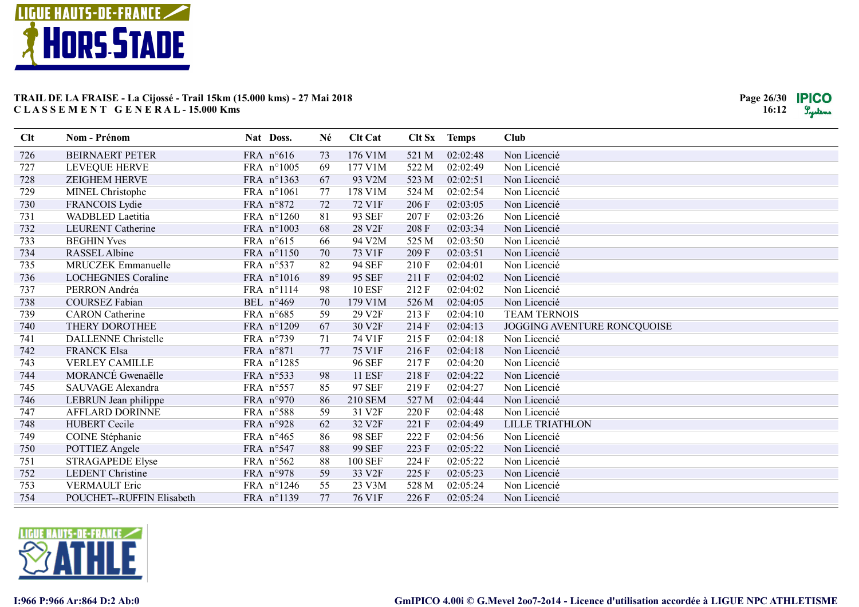

| Clt | Nom - Prénom               | Nat Doss.  | Né | <b>Clt Cat</b>     | Clt Sx | <b>Temps</b> | <b>Club</b>                 |
|-----|----------------------------|------------|----|--------------------|--------|--------------|-----------------------------|
| 726 | <b>BEIRNAERT PETER</b>     | FRA n°616  | 73 | 176 V1M            | 521 M  | 02:02:48     | Non Licencié                |
| 727 | LEVEQUE HERVE              | FRA n°1005 | 69 | 177 V1M            | 522 M  | 02:02:49     | Non Licencié                |
| 728 | <b>ZEIGHEM HERVE</b>       | FRA n°1363 | 67 | 93 V2M             | 523 M  | 02:02:51     | Non Licencié                |
| 729 | MINEL Christophe           | FRA n°1061 | 77 | 178 V1M            | 524 M  | 02:02:54     | Non Licencié                |
| 730 | FRANCOIS Lydie             | FRA n°872  | 72 | 72 V1F             | 206 F  | 02:03:05     | Non Licencié                |
| 731 | WADBLED Laetitia           | FRA n°1260 | 81 | 93 SEF             | 207 F  | 02:03:26     | Non Licencié                |
| 732 | LEURENT Catherine          | FRA n°1003 | 68 | 28 V2F             | 208 F  | 02:03:34     | Non Licencié                |
| 733 | <b>BEGHIN Yves</b>         | FRA n°615  | 66 | 94 V2M             | 525 M  | 02:03:50     | Non Licencié                |
| 734 | <b>RASSEL Albine</b>       | FRA n°1150 | 70 | 73 V1F             | 209 F  | 02:03:51     | Non Licencié                |
| 735 | MRUCZEK Emmanuelle         | FRA n°537  | 82 | <b>94 SEF</b>      | 210F   | 02:04:01     | Non Licencié                |
| 736 | <b>LOCHEGNIES Coraline</b> | FRA n°1016 | 89 | <b>95 SEF</b>      | 211 F  | 02:04:02     | Non Licencié                |
| 737 | PERRON Andréa              | FRA n°1114 | 98 | <b>10 ESF</b>      | 212 F  | 02:04:02     | Non Licencié                |
| 738 | <b>COURSEZ Fabian</b>      | BEL n°469  | 70 | 179 V1M            | 526 M  | 02:04:05     | Non Licencié                |
| 739 | <b>CARON</b> Catherine     | FRA n°685  | 59 | 29 V2F             | 213 F  | 02:04:10     | <b>TEAM TERNOIS</b>         |
| 740 | THERY DOROTHEE             | FRA n°1209 | 67 | 30 V2F             | 214F   | 02:04:13     | JOGGING AVENTURE RONCQUOISE |
| 741 | <b>DALLENNE</b> Christelle | FRA n°739  | 71 | 74 V1F             | 215 F  | 02:04:18     | Non Licencié                |
| 742 | <b>FRANCK Elsa</b>         | FRA n°871  | 77 | 75 V1F             | 216F   | 02:04:18     | Non Licencié                |
| 743 | <b>VERLEY CAMILLE</b>      | FRA n°1285 |    | <b>96 SEF</b>      | 217F   | 02:04:20     | Non Licencié                |
| 744 | MORANCÉ Gwenaëlle          | FRA n°533  | 98 | <b>11 ESF</b>      | 218F   | 02:04:22     | Non Licencié                |
| 745 | SAUVAGE Alexandra          | FRA n°557  | 85 | 97 SEF             | 219F   | 02:04:27     | Non Licencié                |
| 746 | LEBRUN Jean philippe       | FRA n°970  | 86 | <b>210 SEM</b>     | 527 M  | 02:04:44     | Non Licencié                |
| 747 | <b>AFFLARD DORINNE</b>     | FRA n°588  | 59 | 31 V2F             | 220 F  | 02:04:48     | Non Licencié                |
| 748 | <b>HUBERT Cecile</b>       | FRA n°928  | 62 | 32 V2F             | 221 F  | 02:04:49     | <b>LILLE TRIATHLON</b>      |
| 749 | COINE Stéphanie            | FRA n°465  | 86 | <b>98 SEF</b>      | 222 F  | 02:04:56     | Non Licencié                |
| 750 | POTTIEZ Angele             | FRA n°547  | 88 | <b>99 SEF</b>      | 223 F  | 02:05:22     | Non Licencié                |
| 751 | STRAGAPEDE Elyse           | FRA n°562  | 88 | <b>100 SEF</b>     | 224 F  | 02:05:22     | Non Licencié                |
| 752 | <b>LEDENT Christine</b>    | FRA n°978  | 59 | 33 V <sub>2F</sub> | 225F   | 02:05:23     | Non Licencié                |
| 753 | <b>VERMAULT Eric</b>       | FRA n°1246 | 55 | 23 V3M             | 528 M  | 02:05:24     | Non Licencié                |
| 754 | POUCHET--RUFFIN Elisabeth  | FRA n°1139 | 77 | 76 V1F             | 226 F  | 02:05:24     | Non Licencié                |

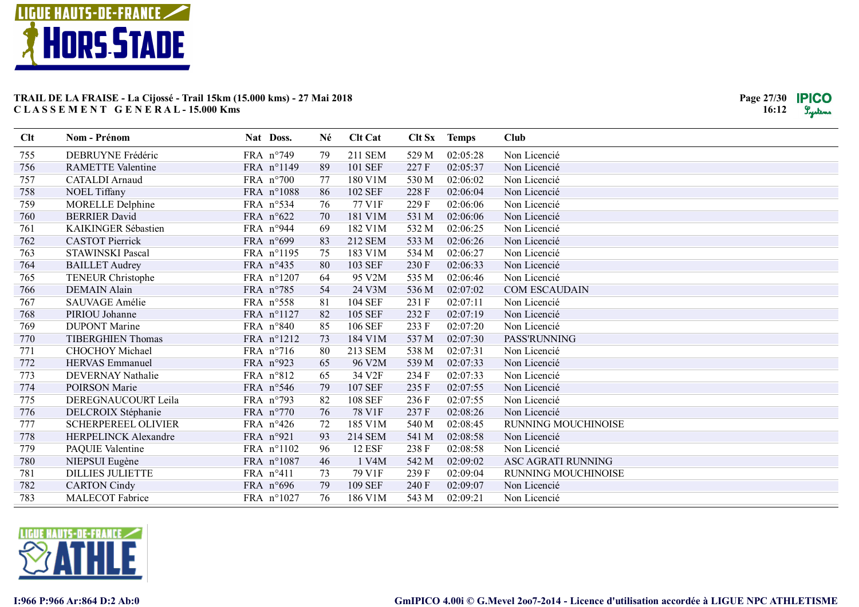

| Clt | Nom - Prénom                | Nat Doss.          | Né | <b>Clt Cat</b> | Clt Sx | <b>Temps</b> | <b>Club</b>               |
|-----|-----------------------------|--------------------|----|----------------|--------|--------------|---------------------------|
| 755 | DEBRUYNE Frédéric           | FRA n°749          | 79 | 211 SEM        | 529 M  | 02:05:28     | Non Licencié              |
| 756 | <b>RAMETTE Valentine</b>    | FRA n°1149         | 89 | 101 SEF        | 227F   | 02:05:37     | Non Licencié              |
| 757 | <b>CATALDI</b> Arnaud       | FRA $n°700$        | 77 | 180 V1M        | 530 M  | 02:06:02     | Non Licencié              |
| 758 | NOEL Tiffany                | FRA n°1088         | 86 | 102 SEF        | 228 F  | 02:06:04     | Non Licencié              |
| 759 | <b>MORELLE Delphine</b>     | FRA n°534          | 76 | 77 V1F         | 229 F  | 02:06:06     | Non Licencié              |
| 760 | <b>BERRIER David</b>        | FRA n°622          | 70 | 181 V1M        | 531 M  | 02:06:06     | Non Licencié              |
| 761 | KAIKINGER Sébastien         | FRA n°944          | 69 | 182 V1M        | 532 M  | 02:06:25     | Non Licencié              |
| 762 | <b>CASTOT Pierrick</b>      | FRA n°699          | 83 | 212 SEM        | 533 M  | 02:06:26     | Non Licencié              |
| 763 | STAWINSKI Pascal            | FRA n°1195         | 75 | 183 V1M        | 534 M  | 02:06:27     | Non Licencié              |
| 764 | <b>BAILLET</b> Audrey       | FRA n°435          | 80 | <b>103 SEF</b> | 230 F  | 02:06:33     | Non Licencié              |
| 765 | <b>TENEUR Christophe</b>    | FRA n°1207         | 64 | 95 V2M         | 535 M  | 02:06:46     | Non Licencié              |
| 766 | <b>DEMAIN Alain</b>         | FRA n°785          | 54 | 24 V3M         | 536 M  | 02:07:02     | <b>COM ESCAUDAIN</b>      |
| 767 | SAUVAGE Amélie              | FRA n°558          | 81 | <b>104 SEF</b> | 231 F  | 02:07:11     | Non Licencié              |
| 768 | PIRIOU Johanne              | FRA n°1127         | 82 | 105 SEF        | 232 F  | 02:07:19     | Non Licencié              |
| 769 | <b>DUPONT Marine</b>        | FRA n°840          | 85 | 106 SEF        | 233 F  | 02:07:20     | Non Licencié              |
| 770 | <b>TIBERGHIEN Thomas</b>    | FRA n°1212         | 73 | 184 V1M        | 537 M  | 02:07:30     | PASS'RUNNING              |
| 771 | CHOCHOY Michael             | FRA n°716          | 80 | 213 SEM        | 538 M  | 02:07:31     | Non Licencié              |
| 772 | <b>HERVAS</b> Emmanuel      | FRA n°923          | 65 | 96 V2M         | 539 M  | 02:07:33     | Non Licencié              |
| 773 | DEVERNAY Nathalie           | FRA n°812          | 65 | 34 V2F         | 234 F  | 02:07:33     | Non Licencié              |
| 774 | POIRSON Marie               | FRA n°546          | 79 | <b>107 SEF</b> | 235 F  | 02:07:55     | Non Licencié              |
| 775 | DEREGNAUCOURT Leila         | FRA n°793          | 82 | <b>108 SEF</b> | 236 F  | 02:07:55     | Non Licencié              |
| 776 | DELCROIX Stéphanie          | FRA n°770          | 76 | 78 V1F         | 237F   | 02:08:26     | Non Licencié              |
| 777 | <b>SCHERPEREEL OLIVIER</b>  | FRA n°426          | 72 | 185 V1M        | 540 M  | 02:08:45     | RUNNING MOUCHINOISE       |
| 778 | <b>HERPELINCK Alexandre</b> | FRA n°921          | 93 | <b>214 SEM</b> | 541 M  | 02:08:58     | Non Licencié              |
| 779 | PAQUIE Valentine            | FRA n°1102         | 96 | <b>12 ESF</b>  | 238 F  | 02:08:58     | Non Licencié              |
| 780 | NIEPSUI Eugène              | FRA n°1087         | 46 | 1 V4M          | 542 M  | 02:09:02     | <b>ASC AGRATI RUNNING</b> |
| 781 | <b>DILLIES JULIETTE</b>     | FRA $n^{\circ}411$ | 73 | 79 V1F         | 239 F  | 02:09:04     | RUNNING MOUCHINOISE       |
| 782 | <b>CARTON Cindy</b>         | FRA $n^{\circ}696$ | 79 | 109 SEF        | 240 F  | 02:09:07     | Non Licencié              |
| 783 | <b>MALECOT</b> Fabrice      | FRA n°1027         | 76 | 186 V1M        | 543 M  | 02:09:21     | Non Licencié              |

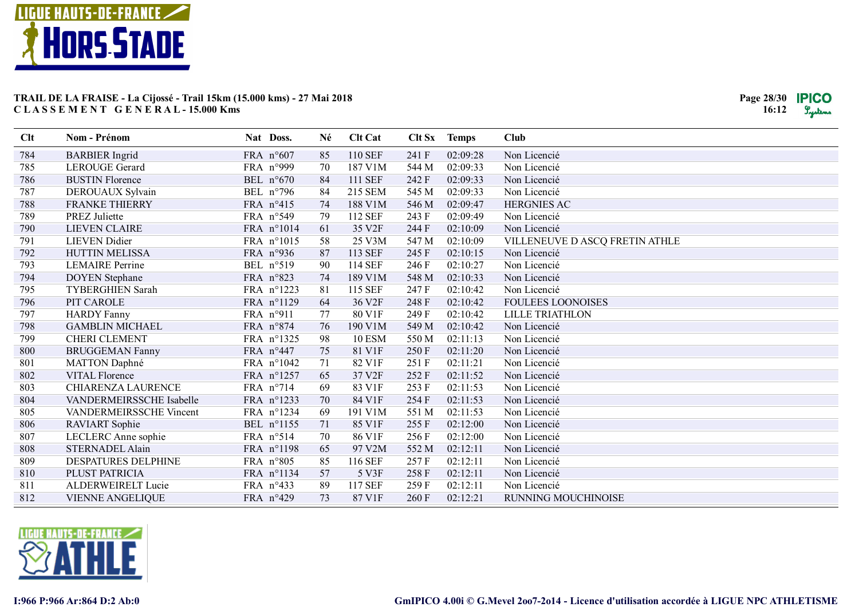

| Clt | Nom - Prénom             | Nat Doss.          | Né | <b>Clt Cat</b>     | Clt Sx | <b>Temps</b> | <b>Club</b>                    |
|-----|--------------------------|--------------------|----|--------------------|--------|--------------|--------------------------------|
| 784 | <b>BARBIER</b> Ingrid    | FRA n°607          | 85 | 110 SEF            | 241 F  | 02:09:28     | Non Licencié                   |
| 785 | LEROUGE Gerard           | FRA n°999          | 70 | 187 V1M            | 544 M  | 02:09:33     | Non Licencié                   |
| 786 | <b>BUSTIN Florence</b>   | BEL n°670          | 84 | 111 SEF            | 242 F  | 02:09:33     | Non Licencié                   |
| 787 | DEROUAUX Sylvain         | BEL n°796          | 84 | 215 SEM            | 545 M  | 02:09:33     | Non Licencié                   |
| 788 | <b>FRANKE THIERRY</b>    | FRA n°415          | 74 | 188 V1M            | 546 M  | 02:09:47     | <b>HERGNIES AC</b>             |
| 789 | <b>PREZ Juliette</b>     | FRA n°549          | 79 | 112 SEF            | 243 F  | 02:09:49     | Non Licencié                   |
| 790 | <b>LIEVEN CLAIRE</b>     | FRA n°1014         | 61 | 35 V2F             | 244 F  | 02:10:09     | Non Licencié                   |
| 791 | <b>LIEVEN</b> Didier     | FRA n°1015         | 58 | 25 V3M             | 547 M  | 02:10:09     | VILLENEUVE D ASCQ FRETIN ATHLE |
| 792 | <b>HUTTIN MELISSA</b>    | FRA n°936          | 87 | 113 SEF            | 245 F  | 02:10:15     | Non Licencié                   |
| 793 | <b>LEMAIRE Perrine</b>   | BEL n°519          | 90 | 114 SEF            | 246F   | 02:10:27     | Non Licencié                   |
| 794 | <b>DOYEN</b> Stephane    | FRA n°823          | 74 | 189 V1M            | 548 M  | 02:10:33     | Non Licencié                   |
| 795 | <b>TYBERGHIEN Sarah</b>  | FRA n°1223         | 81 | 115 SEF            | 247F   | 02:10:42     | Non Licencié                   |
| 796 | PIT CAROLE               | FRA n°1129         | 64 | 36 V <sub>2F</sub> | 248 F  | 02:10:42     | <b>FOULEES LOONOISES</b>       |
| 797 | <b>HARDY Fanny</b>       | FRA n°911          | 77 | 80 V1F             | 249F   | 02:10:42     | <b>LILLE TRIATHLON</b>         |
| 798 | <b>GAMBLIN MICHAEL</b>   | FRA n°874          | 76 | 190 V1M            | 549 M  | 02:10:42     | Non Licencié                   |
| 799 | <b>CHERI CLEMENT</b>     | FRA n°1325         | 98 | <b>10 ESM</b>      | 550 M  | 02:11:13     | Non Licencié                   |
| 800 | <b>BRUGGEMAN Fanny</b>   | FRA n°447          | 75 | 81 V1F             | 250 F  | 02:11:20     | Non Licencié                   |
| 801 | <b>MATTON Daphné</b>     | FRA n°1042         | 71 | 82 V1F             | 251 F  | 02:11:21     | Non Licencié                   |
| 802 | <b>VITAL Florence</b>    | FRA n°1257         | 65 | 37 V2F             | 252 F  | 02:11:52     | Non Licencié                   |
| 803 | CHIARENZA LAURENCE       | FRA n°714          | 69 | 83 V1F             | 253 F  | 02:11:53     | Non Licencié                   |
| 804 | VANDERMEIRSSCHE Isabelle | FRA n°1233         | 70 | 84 V1F             | 254 F  | 02:11:53     | Non Licencié                   |
| 805 | VANDERMEIRSSCHE Vincent  | FRA n°1234         | 69 | 191 V1M            | 551 M  | 02:11:53     | Non Licencié                   |
| 806 | RAVIART Sophie           | BEL n°1155         | 71 | 85 V1F             | 255 F  | 02:12:00     | Non Licencié                   |
| 807 | LECLERC Anne sophie      | FRA n°514          | 70 | 86 V1F             | 256F   | 02:12:00     | Non Licencié                   |
| 808 | <b>STERNADEL Alain</b>   | FRA n°1198         | 65 | 97 V2M             | 552 M  | 02:12:11     | Non Licencié                   |
| 809 | DESPATURES DELPHINE      | FRA n°805          | 85 | 116 SEF            | 257F   | 02:12:11     | Non Licencié                   |
| 810 | PLUST PATRICIA           | FRA n°1134         | 57 | 5 V3F              | 258 F  | 02:12:11     | Non Licencié                   |
| 811 | ALDERWEIRELT Lucie       | FRA n°433          | 89 | <b>117 SEF</b>     | 259F   | 02:12:11     | Non Licencié                   |
| 812 | <b>VIENNE ANGELIQUE</b>  | FRA $n^{\circ}429$ | 73 | 87 V1F             | 260 F  | 02:12:21     | RUNNING MOUCHINOISE            |

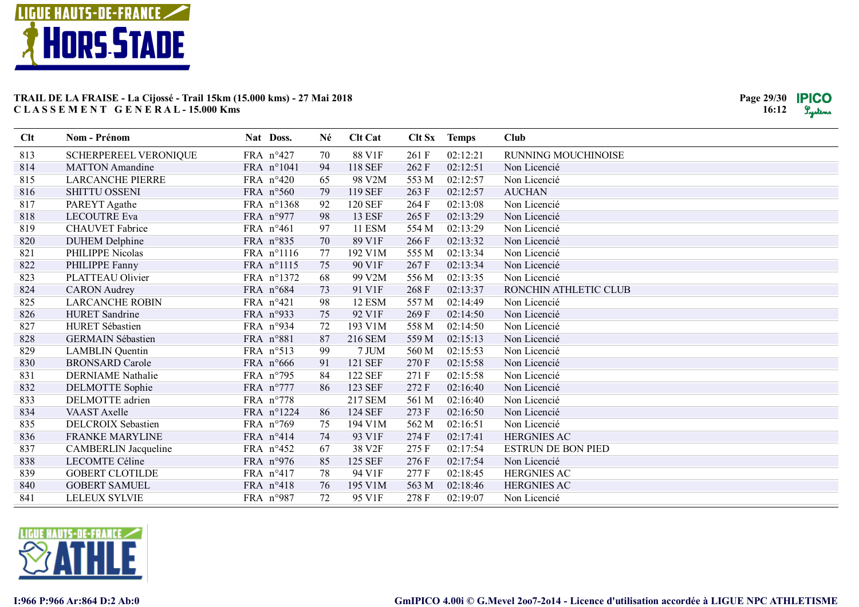

| Clt | <b>Nom - Prénom</b>       | Nat Doss.  | Né | <b>Clt Cat</b> | Clt Sx | <b>Temps</b> | Club                      |
|-----|---------------------------|------------|----|----------------|--------|--------------|---------------------------|
| 813 | SCHERPEREEL VERONIQUE     | FRA n°427  | 70 | 88 V1F         | 261 F  | 02:12:21     | RUNNING MOUCHINOISE       |
| 814 | <b>MATTON</b> Amandine    | FRA n°1041 | 94 | <b>118 SEF</b> | 262 F  | 02:12:51     | Non Licencié              |
| 815 | <b>LARCANCHE PIERRE</b>   | FRA n°420  | 65 | 98 V2M         | 553 M  | 02:12:57     | Non Licencié              |
| 816 | <b>SHITTU OSSENI</b>      | FRA n°560  | 79 | 119 SEF        | 263 F  | 02:12:57     | <b>AUCHAN</b>             |
| 817 | PAREYT Agathe             | FRA n°1368 | 92 | <b>120 SEF</b> | 264 F  | 02:13:08     | Non Licencié              |
| 818 | <b>LECOUTRE Eva</b>       | FRA n°977  | 98 | <b>13 ESF</b>  | 265 F  | 02:13:29     | Non Licencié              |
| 819 | <b>CHAUVET</b> Fabrice    | FRA n°461  | 97 | <b>11 ESM</b>  | 554 M  | 02:13:29     | Non Licencié              |
| 820 | <b>DUHEM Delphine</b>     | FRA n°835  | 70 | 89 V1F         | 266F   | 02:13:32     | Non Licencié              |
| 821 | PHILIPPE Nicolas          | FRA n°1116 | 77 | 192 V1M        | 555 M  | 02:13:34     | Non Licencié              |
| 822 | PHILIPPE Fanny            | FRA n°1115 | 75 | 90 V1F         | 267F   | 02:13:34     | Non Licencié              |
| 823 | PLATTEAU Olivier          | FRA n°1372 | 68 | 99 V2M         | 556 M  | 02:13:35     | Non Licencié              |
| 824 | <b>CARON</b> Audrey       | FRA n°684  | 73 | 91 V1F         | 268 F  | 02:13:37     | RONCHIN ATHLETIC CLUB     |
| 825 | <b>LARCANCHE ROBIN</b>    | FRA n°421  | 98 | 12 ESM         | 557 M  | 02:14:49     | Non Licencié              |
| 826 | <b>HURET</b> Sandrine     | FRA n°933  | 75 | 92 V1F         | 269F   | 02:14:50     | Non Licencié              |
| 827 | HURET Sébastien           | FRA n°934  | 72 | 193 V1M        | 558 M  | 02:14:50     | Non Licencié              |
| 828 | <b>GERMAIN Sébastien</b>  | FRA n°881  | 87 | 216 SEM        | 559 M  | 02:15:13     | Non Licencié              |
| 829 | <b>LAMBLIN</b> Quentin    | FRA n°513  | 99 | 7 JUM          | 560 M  | 02:15:53     | Non Licencié              |
| 830 | <b>BRONSARD Carole</b>    | FRA n°666  | 91 | 121 SEF        | 270 F  | 02:15:58     | Non Licencié              |
| 831 | <b>DERNIAME</b> Nathalie  | FRA n°795  | 84 | <b>122 SEF</b> | 271 F  | 02:15:58     | Non Licencié              |
| 832 | <b>DELMOTTE</b> Sophie    | FRA n°777  | 86 | 123 SEF        | 272 F  | 02:16:40     | Non Licencié              |
| 833 | DELMOTTE adrien           | FRA n°778  |    | <b>217 SEM</b> | 561 M  | 02:16:40     | Non Licencié              |
| 834 | <b>VAAST</b> Axelle       | FRA n°1224 | 86 | 124 SEF        | 273 F  | 02:16:50     | Non Licencié              |
| 835 | <b>DELCROIX Sebastien</b> | FRA n°769  | 75 | 194 V1M        | 562 M  | 02:16:51     | Non Licencié              |
| 836 | <b>FRANKE MARYLINE</b>    | FRA n°414  | 74 | 93 V1F         | 274 F  | 02:17:41     | <b>HERGNIES AC</b>        |
| 837 | CAMBERLIN Jacqueline      | FRA n°452  | 67 | 38 V2F         | 275F   | 02:17:54     | <b>ESTRUN DE BON PIED</b> |
| 838 | LECOMTE Céline            | FRA n°976  | 85 | 125 SEF        | 276F   | 02:17:54     | Non Licencié              |
| 839 | <b>GOBERT CLOTILDE</b>    | FRA n°417  | 78 | 94 V1F         | 277F   | 02:18:45     | <b>HERGNIES AC</b>        |
| 840 | <b>GOBERT SAMUEL</b>      | FRA n°418  | 76 | 195 V1M        | 563 M  | 02:18:46     | <b>HERGNIES AC</b>        |
| 841 | <b>LELEUX SYLVIE</b>      | FRA n°987  | 72 | 95 V1F         | 278F   | 02:19:07     | Non Licencié              |